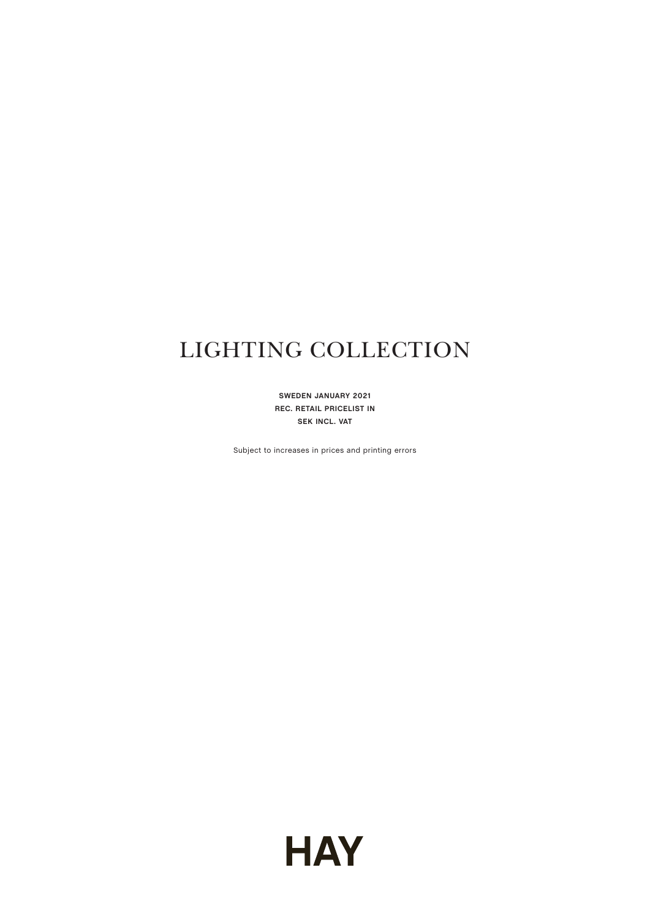# LIGHTING COLLECTION

**SWEDEN JANUARY 2021 REC. RETAIL PRICELIST IN SEK INCL. VAT**

Subject to increases in prices and printing errors

**HAY**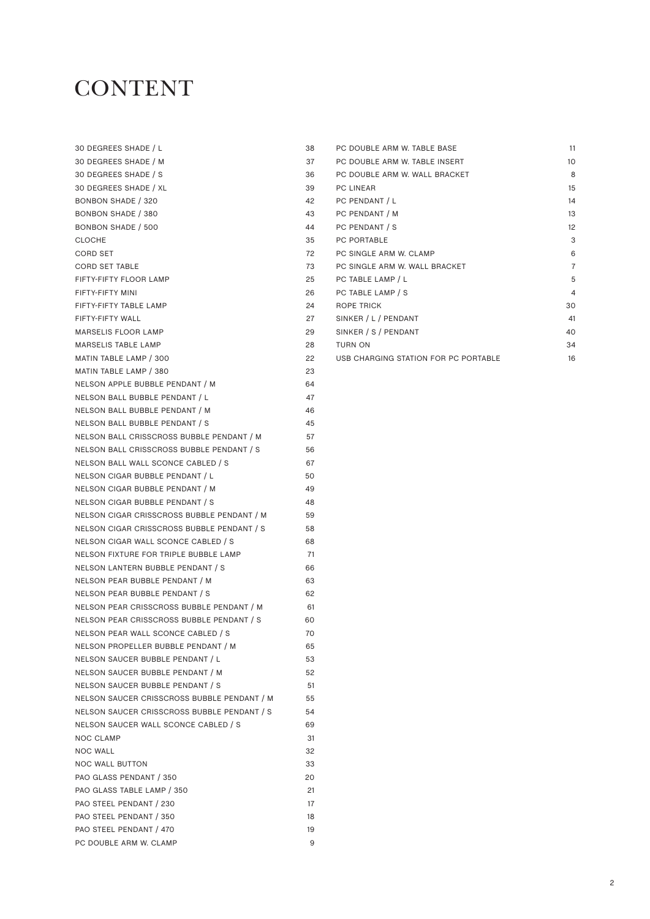#### **CONTENT**

| 30 DEGREES SHADE / L                        | 38 |
|---------------------------------------------|----|
| 30 DEGREES SHADE / M                        | 37 |
| 30 DEGREES SHADE / S                        | 36 |
| 30 DEGREES SHADE / XL                       | 39 |
| <b>BONBON SHADE / 320</b>                   | 42 |
| <b>BONBON SHADE / 380</b>                   | 43 |
| <b>BONBON SHADE / 500</b>                   | 44 |
| <b>CLOCHE</b>                               | 35 |
| <b>CORD SET</b>                             | 72 |
| <b>CORD SET TABLE</b>                       | 73 |
| FIFTY-FIFTY FLOOR LAMP                      | 25 |
| FIFTY-FIFTY MINI                            | 26 |
| FIFTY-FIFTY TABLE LAMP                      | 24 |
| FIFTY-FIFTY WALL                            | 27 |
| <b>MARSELIS FLOOR LAMP</b>                  | 29 |
| <b>MARSELIS TABLE LAMP</b>                  | 28 |
| MATIN TABLE LAMP / 300                      | 22 |
| MATIN TABLE LAMP / 380                      | 23 |
| NELSON APPLE BUBBLE PENDANT / M             | 64 |
| NELSON BALL BUBBLE PENDANT / L              | 47 |
| NELSON BALL BUBBLE PENDANT / M              | 46 |
| NELSON BALL BUBBLE PENDANT / S              | 45 |
| NELSON BALL CRISSCROSS BUBBLE PENDANT / M   | 57 |
| NELSON BALL CRISSCROSS BUBBLE PENDANT / S   | 56 |
| NELSON BALL WALL SCONCE CABLED / S          | 67 |
| NELSON CIGAR BUBBLE PENDANT / L             | 50 |
| NELSON CIGAR BUBBLE PENDANT / M             | 49 |
| NELSON CIGAR BUBBLE PENDANT / S             | 48 |
| NELSON CIGAR CRISSCROSS BUBBLE PENDANT / M  | 59 |
| NELSON CIGAR CRISSCROSS BUBBLE PENDANT / S  | 58 |
| NELSON CIGAR WALL SCONCE CABLED / S         | 68 |
| NELSON FIXTURE FOR TRIPLE BUBBLE LAMP       | 71 |
| NELSON LANTERN BUBBLE PENDANT / S           | 66 |
| NELSON PEAR BUBBLE PENDANT / M              | 63 |
| NELSON PEAR BUBBLE PENDANT / S              | 62 |
| NELSON PEAR CRISSCROSS BUBBLE PENDANT / M   | 61 |
| NELSON PEAR CRISSCROSS BUBBLE PENDANT / S   | 60 |
| NELSON PEAR WALL SCONCE CABLED / S          | 70 |
| NELSON PROPELLER BUBBLE PENDANT / M         | 65 |
| NELSON SAUCER BUBBLE PENDANT / L            | 53 |
| NELSON SAUCER BUBBLE PENDANT / M            | 52 |
| NELSON SAUCER BUBBLE PENDANT / S            | 51 |
| NELSON SAUCER CRISSCROSS BUBBLE PENDANT / M | 55 |
| NELSON SAUCER CRISSCROSS BUBBLE PENDANT / S | 54 |
| NELSON SAUCER WALL SCONCE CABLED / S        | 69 |
| <b>NOC CLAMP</b>                            | 31 |
| <b>NOC WALL</b>                             | 32 |
| <b>NOC WALL BUTTON</b>                      | 33 |
| PAO GLASS PENDANT / 350                     | 20 |
| PAO GLASS TABLE LAMP / 350                  | 21 |
| PAO STEEL PENDANT / 230                     | 17 |
| PAO STEEL PENDANT / 350                     | 18 |
| PAO STEEL PENDANT / 470                     | 19 |
| PC DOUBLE ARM W. CLAMP                      | 9  |

| PC DOUBLE ARM W. TABLE BASE          | 11             |
|--------------------------------------|----------------|
| PC DOUBLE ARM W. TABLE INSERT        | 10             |
| PC DOUBLE ARM W. WALL BRACKET        | 8              |
| PC LINEAR                            | 15             |
| PC PENDANT / L                       | 14             |
| PC PENDANT / M                       | 13             |
| PC PENDANT / S                       | 12             |
| PC PORTABLE                          | 3              |
| PC SINGLE ARM W. CLAMP               | 6              |
| PC SINGLE ARM W. WALL BRACKET        | $\overline{7}$ |
| PC TABLE LAMP / L                    | 5              |
| PC TABLE LAMP / S                    | 4              |
| ROPE TRICK                           | 30             |
| SINKER / L / PENDANT                 | 41             |
| SINKER / S / PENDANT                 | 40             |
| <b>TURN ON</b>                       | 34             |
| USB CHARGING STATION FOR PC PORTABLE | 16             |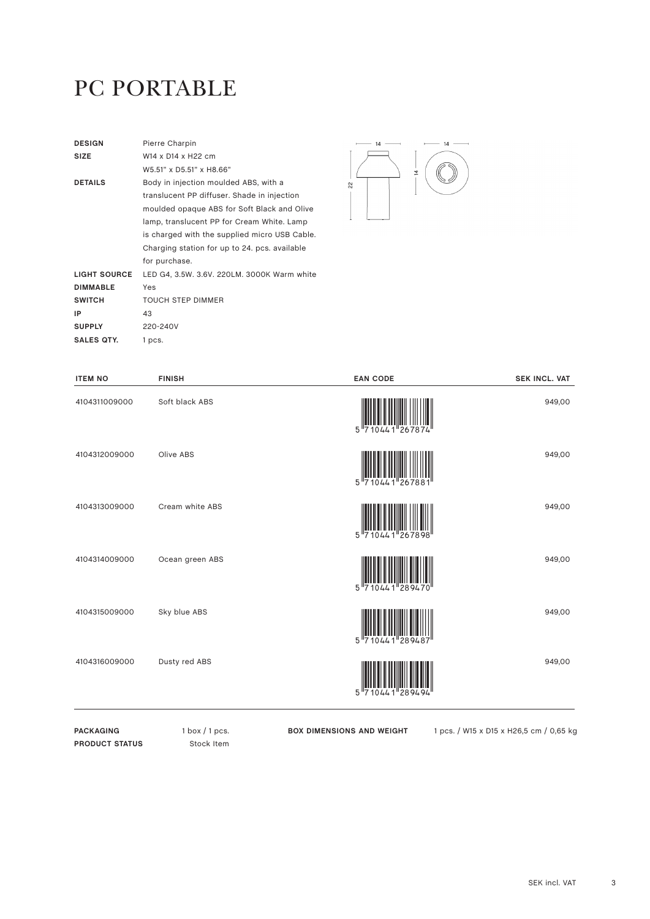#### PC PORTABLE

| <b>DESIGN</b>   | Pierre Charpin                                |
|-----------------|-----------------------------------------------|
| <b>SIZE</b>     | W14 x D14 x H22 cm                            |
|                 | W5.51" x D5.51" x H8.66"                      |
| <b>DETAILS</b>  | Body in injection moulded ABS, with a         |
|                 | translucent PP diffuser. Shade in injection   |
|                 | moulded opaque ABS for Soft Black and Olive   |
|                 | lamp, translucent PP for Cream White. Lamp    |
|                 | is charged with the supplied micro USB Cable. |
|                 | Charging station for up to 24, pcs. available |
|                 | for purchase.                                 |
| LIGHT SOURCE    | LED G4, 3.5W. 3.6V. 220LM. 3000K Warm white   |
| <b>DIMMABLE</b> | Yes                                           |
| <b>SWITCH</b>   | <b>TOUCH STEP DIMMER</b>                      |
| ΙP              | 43                                            |
| <b>SUPPLY</b>   | 220-240V                                      |
| SALES QTY.      | 1 pcs.                                        |



| <b>ITEM NO</b> | <b>FINISH</b>   | <b>EAN CODE</b>                                 | <b>SEK INCL. VAT</b> |
|----------------|-----------------|-------------------------------------------------|----------------------|
| 4104311009000  | Soft black ABS  | 5''7                                            | 949,00               |
| 4104312009000  | Olive ABS       | 5 7 1 0 4 4 1 2 6 7 8 8 1                       | 949,00               |
| 4104313009000  | Cream white ABS | 5 710441 267898                                 | 949,00               |
| 4104314009000  | Ocean green ABS | $5$ <sup>11</sup> 710441 <sup>1</sup><br>289470 | 949,00               |
| 4104315009000  | Sky blue ABS    | 10441 289487<br>5"7                             | 949,00               |
| 4104316009000  | Dusty red ABS   | 89494<br>5                                      | 949,00               |
|                |                 |                                                 |                      |

PACKAGING 1 box / 1 pcs. **PRODUCT STATUS** Stock Item

**BOX DIMENSIONS AND WEIGHT** 1 pcs. / W15 x D15 x H26,5 cm / 0,65 kg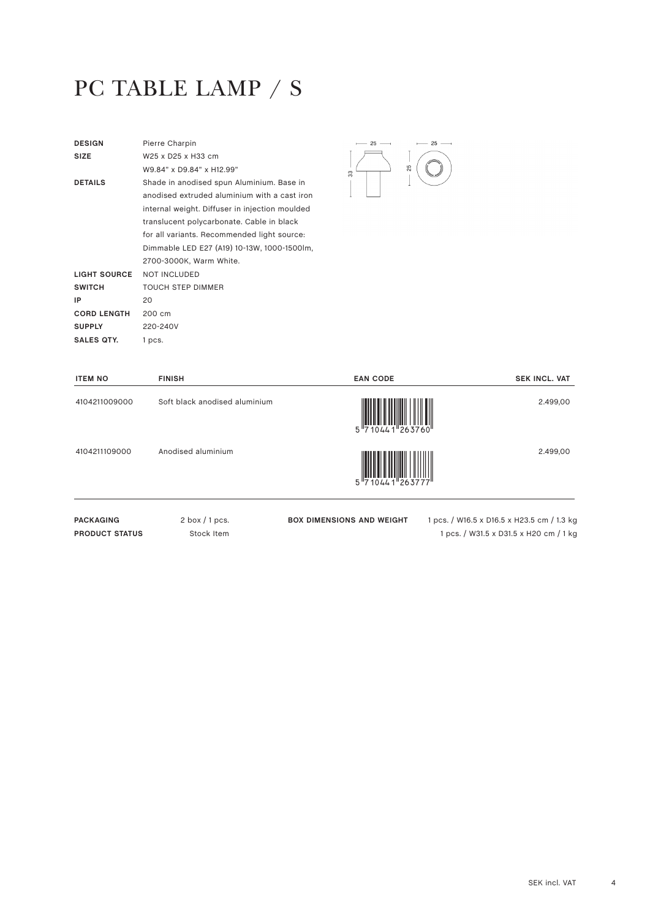# PC TABLE LAMP / S

| <b>DESIGN</b>       | Pierre Charpin                                 |    |
|---------------------|------------------------------------------------|----|
| SIZE                | W25 x D25 x H33 cm                             |    |
|                     | W9.84" x D9.84" x H12.99"                      | 33 |
| <b>DETAILS</b>      | Shade in anodised spun Aluminium. Base in      |    |
|                     | anodised extruded aluminium with a cast iron   |    |
|                     | internal weight. Diffuser in injection moulded |    |
|                     | translucent polycarbonate. Cable in black      |    |
|                     | for all variants. Recommended light source:    |    |
|                     | Dimmable LED E27 (A19) 10-13W, 1000-1500lm,    |    |
|                     | 2700-3000K, Warm White.                        |    |
| <b>LIGHT SOURCE</b> | <b>NOT INCLUDED</b>                            |    |
| <b>SWITCH</b>       | <b>TOUCH STEP DIMMER</b>                       |    |
| IP                  | 20                                             |    |
| <b>CORD LENGTH</b>  | 200 cm                                         |    |
| <b>SUPPLY</b>       | 220-240V                                       |    |
| SALES QTY.          | 1 pcs.                                         |    |
|                     |                                                |    |



| <b>ITEM NO</b>   | <b>FINISH</b>                 | <b>EAN CODE</b>                  | <b>SEK INCL. VAT</b>                       |
|------------------|-------------------------------|----------------------------------|--------------------------------------------|
| 4104211009000    | Soft black anodised aluminium | $5\frac{1}{710441}$              | 2.499,00                                   |
| 4104211109000    | Anodised aluminium            |                                  | 2.499,00                                   |
| <b>PACKAGING</b> | $2$ box $/1$ pcs.             | <b>BOX DIMENSIONS AND WEIGHT</b> | 1 pcs. / W16.5 x D16.5 x H23.5 cm / 1.3 kg |

**PRODUCT STATUS** Stock Item

1 pcs. / W31.5 x D31.5 x H20 cm / 1 kg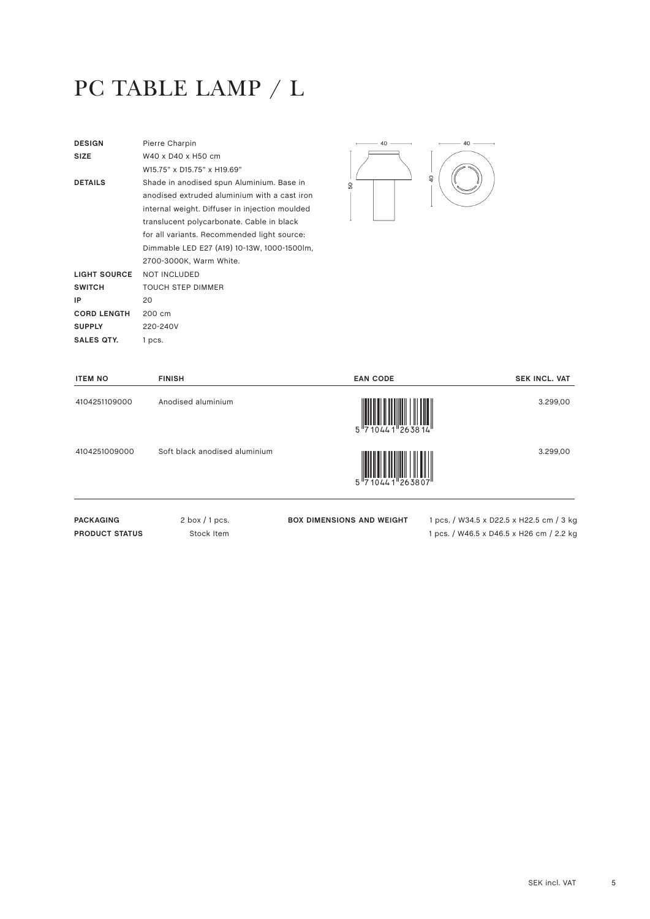# PC TABLE LAMP / L

| <b>DESIGN</b>       | Pierre Charpin                                 |
|---------------------|------------------------------------------------|
| <b>SIZE</b>         | W40 x D40 x H50 cm                             |
|                     | W15 75" x D15 75" x H19 69"                    |
| <b>DETAILS</b>      | Shade in anodised spun Aluminium. Base in      |
|                     | anodised extruded aluminium with a cast iron   |
|                     | internal weight. Diffuser in injection moulded |
|                     | translucent polycarbonate. Cable in black      |
|                     | for all variants. Recommended light source:    |
|                     | Dimmable LED E27 (A19) 10-13W, 1000-1500lm,    |
|                     | 2700-3000K, Warm White.                        |
| <b>LIGHT SOURCE</b> | <b>NOT INCLUDED</b>                            |
| <b>SWITCH</b>       | <b>TOUCH STEP DIMMER</b>                       |
| IP                  | 20                                             |
| <b>CORD LENGTH</b>  | 200 cm                                         |
| <b>SUPPLY</b>       | 220-240V                                       |
| SALES QTY.          | 1 pcs.                                         |
|                     |                                                |



| <b>ITEM NO</b>   | <b>FINISH</b>                 | <b>EAN CODE</b>                                                                          | <b>SEK INCL. VAT</b>                     |
|------------------|-------------------------------|------------------------------------------------------------------------------------------|------------------------------------------|
| 4104251109000    | Anodised aluminium            | $\begin{array}{c} 1 \ \begin{array}{c} 1 \ \end{array} \\ 5 \ \end{array}$ 710441 263814 | 3.299,00                                 |
| 4104251009000    | Soft black anodised aluminium | <br> 263807 - 10441                                                                      | 3.299,00                                 |
| <b>PACKAGING</b> | $2$ box $/1$ pcs.             | <b>BOX DIMENSIONS AND WEIGHT</b>                                                         | 1 pcs. / W34.5 x D22.5 x H22.5 cm / 3 kg |

**PRODUCT STATUS** Stock Item

1 pcs. / W46.5 x D46.5 x H26 cm / 2.2 kg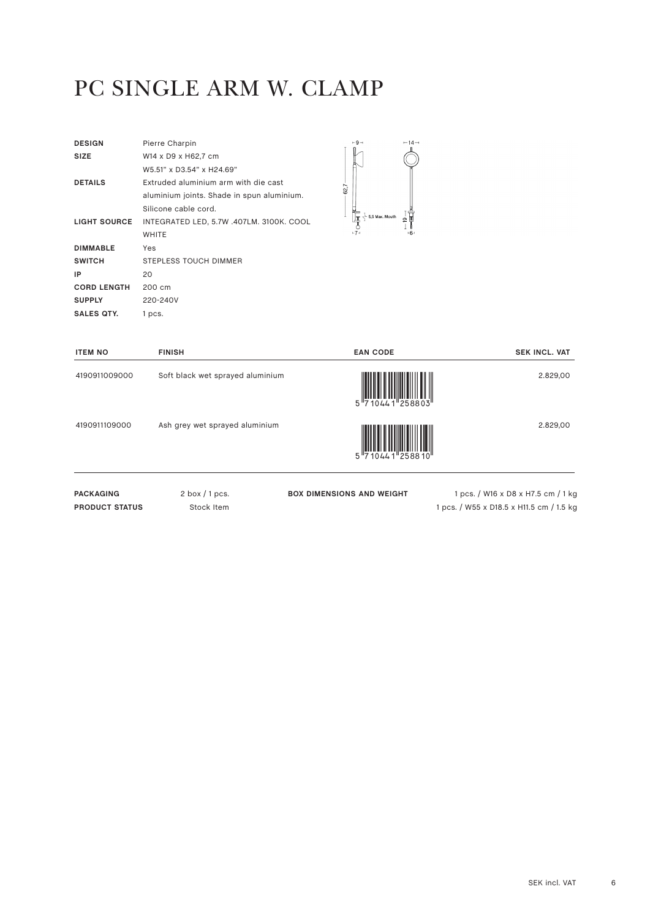#### PC SINGLE ARM W. CLAMP

| <b>DESIGN</b>       | Pierre Charpin                             |
|---------------------|--------------------------------------------|
| <b>SIZE</b>         | W14 x D9 x H62.7 cm                        |
|                     | W5.51" x D3.54" x H24.69"                  |
| <b>DETAILS</b>      | Extruded aluminium arm with die cast       |
|                     | aluminium joints. Shade in spun aluminium. |
|                     | Silicone cable cord.                       |
| <b>LIGHT SOURCE</b> | INTEGRATED LED, 5.7W .407LM. 3100K. COOL   |
|                     | <b>WHITE</b>                               |
| <b>DIMMABLE</b>     | Yes                                        |
| <b>SWITCH</b>       | STEPLESS TOUCH DIMMER                      |
| IP                  | 20                                         |
| <b>CORD LENGTH</b>  | 200 cm                                     |
| <b>SUPPLY</b>       | 220-240V                                   |
| SALES QTY.          | 1 pcs.                                     |



| <b>ITEM NO</b>   | <b>FINISH</b>                    | <b>EAN CODE</b>                  | <b>SEK INCL. VAT</b>               |
|------------------|----------------------------------|----------------------------------|------------------------------------|
| 4190911009000    | Soft black wet sprayed aluminium | 5 710441 258803                  | 2.829,00                           |
| 4190911109000    | Ash grey wet sprayed aluminium   | 5 710441 258810                  | 2.829,00                           |
| <b>PACKAGING</b> | $2$ box $/1$ pcs.                | <b>BOX DIMENSIONS AND WEIGHT</b> | 1 pcs. / W16 x D8 x H7.5 cm / 1 kg |

**PRODUCT STATUS** Stock Item

**BOX DIMENSIONS AND WEIGHT** 1 pcs. / W16 x D8 x H7.5 cm / 1 kg 1 pcs. / W55 x D18.5 x H11.5 cm / 1.5 kg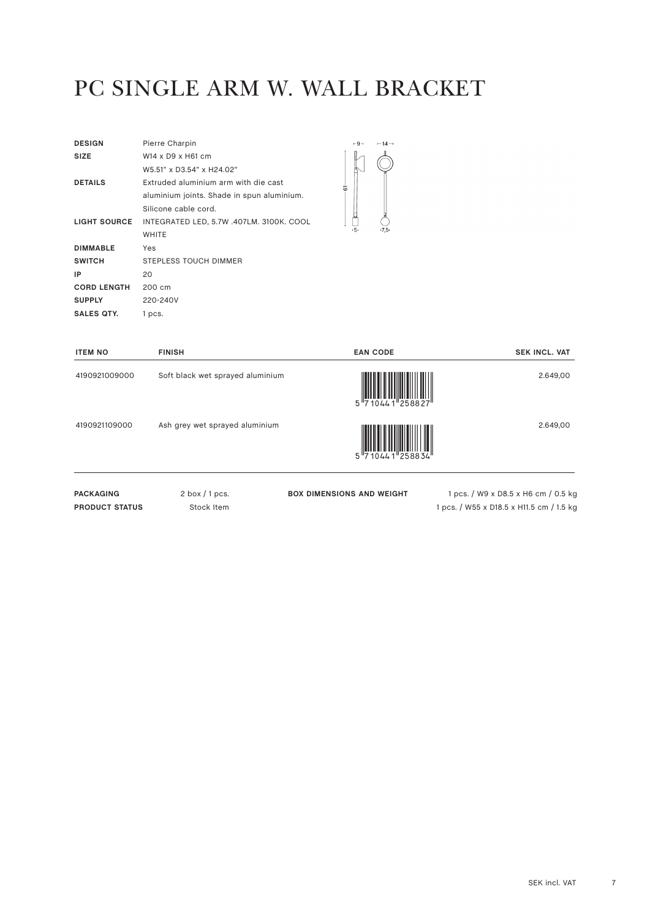## PC SINGLE ARM W. WALL BRACKET

| <b>DESIGN</b>       | Pierre Charpin                             |
|---------------------|--------------------------------------------|
| <b>SIZE</b>         | W14 x D9 x H61 cm                          |
|                     | W5.51" x D3.54" x H24.02"                  |
| <b>DETAILS</b>      | Extruded aluminium arm with die cast       |
|                     | aluminium joints. Shade in spun aluminium. |
|                     | Silicone cable cord.                       |
| <b>LIGHT SOURCE</b> | INTEGRATED LED, 5.7W .407LM. 3100K. COOL   |
|                     | <b>WHITE</b>                               |
| <b>DIMMABLE</b>     | Yes                                        |
| <b>SWITCH</b>       | STEPLESS TOUCH DIMMER                      |
| ΙP                  |                                            |
|                     | 20                                         |
| <b>CORD LENGTH</b>  | 200 cm                                     |
| <b>SUPPLY</b>       | 220-240V                                   |



| <b>ITEM NO</b> | <b>FINISH</b>                    | <b>EAN CODE</b> | <b>SEK INCL. VAT</b> |
|----------------|----------------------------------|-----------------|----------------------|
| 4190921009000  | Soft black wet sprayed aluminium | 5''7            | 2.649,00             |
| 4190921109000  | Ash grey wet sprayed aluminium   | 5 710441 258834 | 2.649,00             |
|                |                                  |                 |                      |

PACKAGING 2 box / 1 pcs. **PRODUCT STATUS** Stock Item

**BOX DIMENSIONS AND WEIGHT** 1 pcs. / W9 x D8.5 x H6 cm / 0.5 kg 1 pcs. / W55 x D18.5 x H11.5 cm / 1.5 kg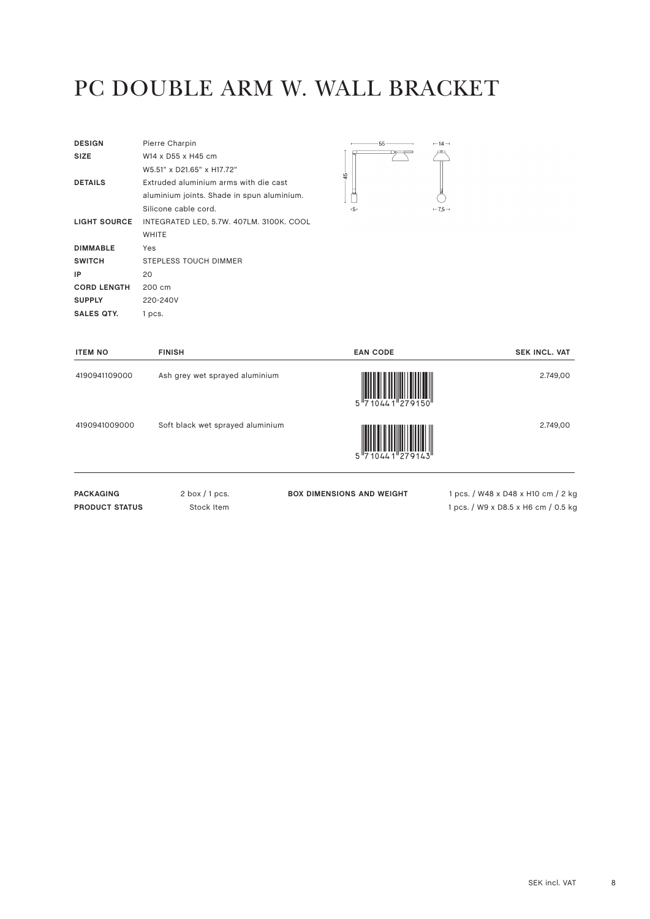## PC DOUBLE ARM W. WALL BRACKET

| <b>DESIGN</b>      | Pierre Charpin                             |
|--------------------|--------------------------------------------|
| <b>SIZE</b>        | W14 x D55 x H45 cm                         |
|                    | W5.51" x D21.65" x H17.72"                 |
| <b>DETAILS</b>     | Extruded aluminium arms with die cast      |
|                    | aluminium joints. Shade in spun aluminium. |
|                    | Silicone cable cord.                       |
| LIGHT SOURCE       | INTEGRATED LED, 5.7W. 407LM. 3100K. COOL   |
|                    | WHITE                                      |
| <b>DIMMABLE</b>    | Yes                                        |
| <b>SWITCH</b>      | <b>STEPLESS TOUCH DIMMER</b>               |
| ΙP                 | 20                                         |
| <b>CORD LENGTH</b> | 200 cm                                     |
| <b>SUPPLY</b>      | 220-240V                                   |
| SALES OTY.         | 1 pcs.                                     |



| <b>ITEM NO</b>   | <b>FINISH</b>                    | <b>EAN CODE</b>                  | <b>SEK INCL. VAT</b>               |
|------------------|----------------------------------|----------------------------------|------------------------------------|
| 4190941109000    | Ash grey wet sprayed aluminium   | $5\frac{1}{710441}$              | 2.749,00                           |
| 4190941009000    | Soft black wet sprayed aluminium | $5\frac{1}{710441}$              | 2.749,00                           |
| <b>PACKAGING</b> | $2$ box $/1$ pcs.                | <b>BOX DIMENSIONS AND WEIGHT</b> | 1 pcs. / W48 x D48 x H10 cm / 2 kg |

**PRODUCT STATUS** Stock Item

1 pcs. / W9 x D8.5 x H6 cm / 0.5 kg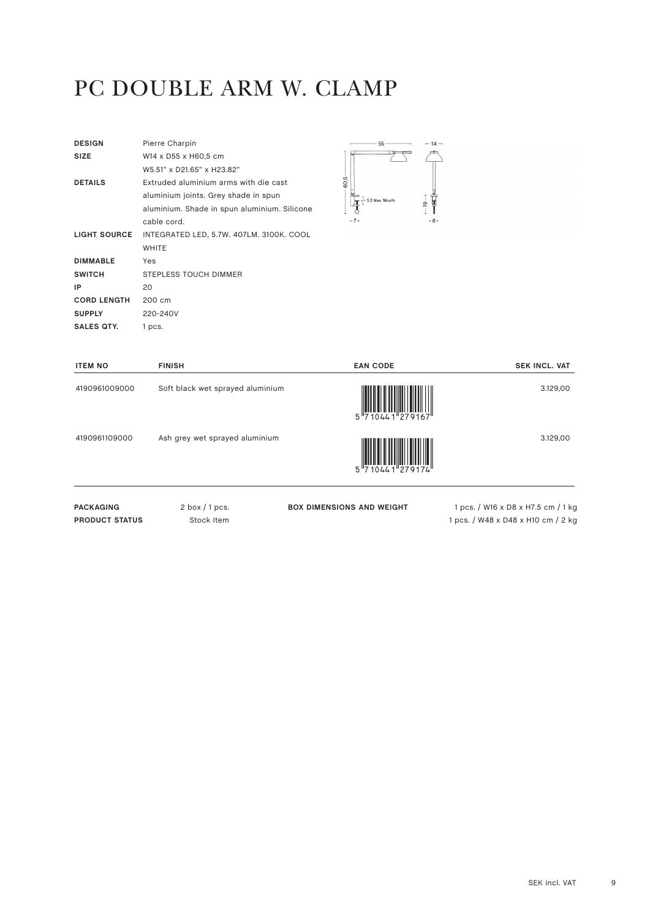# PC DOUBLE ARM W. CLAMP

| <b>DESIGN</b>       | Pierre Charpin                               |
|---------------------|----------------------------------------------|
| <b>SIZE</b>         | W14 x D55 x H60,5 cm                         |
|                     | W5.51" x D21.65" x H23.82"                   |
| <b>DETAILS</b>      | Extruded aluminium arms with die cast        |
|                     | aluminium joints. Grey shade in spun         |
|                     | aluminium. Shade in spun aluminium. Silicone |
|                     | cable cord.                                  |
| <b>LIGHT SOURCE</b> | INTEGRATED LED, 5.7W. 407LM. 3100K. COOL     |
|                     | <b>WHITE</b>                                 |
| <b>DIMMABLE</b>     | Yes                                          |
| <b>SWITCH</b>       | <b>STEPLESS TOUCH DIMMER</b>                 |
| IP                  | 20                                           |
| <b>CORD LENGTH</b>  | 200 cm                                       |
| <b>SUPPLY</b>       | 220-240V                                     |
| <b>SALES QTY.</b>   | 1 pcs.                                       |



| <b>ITEM NO</b>                            | <b>FINISH</b>                    | <b>EAN CODE</b>                  | <b>SEK INCL. VAT</b>                                                     |
|-------------------------------------------|----------------------------------|----------------------------------|--------------------------------------------------------------------------|
| 4190961009000                             | Soft black wet sprayed aluminium | 5 710441 279167                  | 3.129,00                                                                 |
| 4190961109000                             | Ash grey wet sprayed aluminium   |                                  | 3.129,00                                                                 |
| <b>PACKAGING</b><br><b>PRODUCT STATUS</b> | $2$ box $/1$ pcs.<br>Stock Item  | <b>BOX DIMENSIONS AND WEIGHT</b> | 1 pcs. / W16 x D8 x H7.5 cm / 1 kg<br>1 pcs. / W48 x D48 x H10 cm / 2 kg |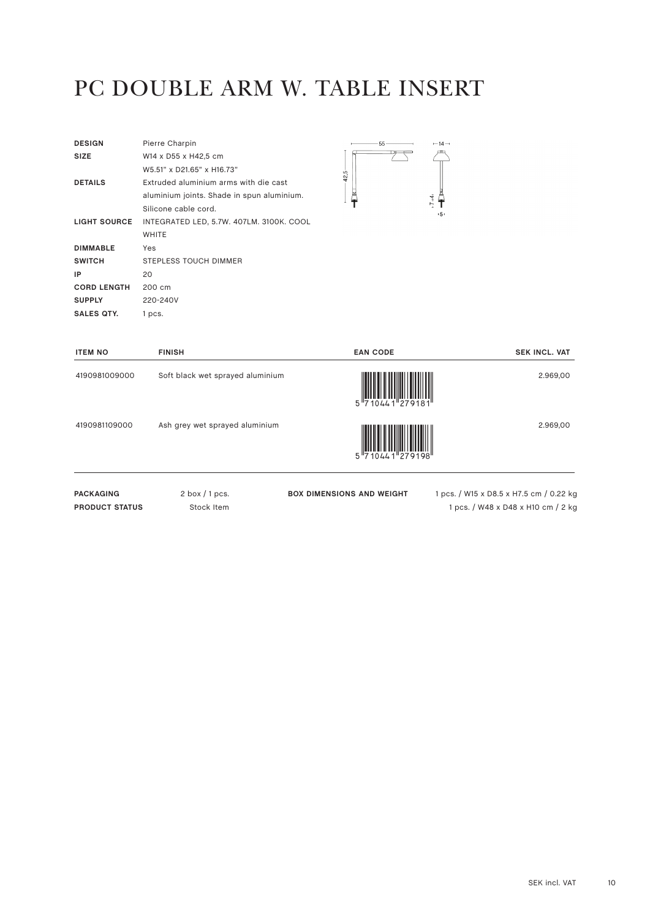## PC DOUBLE ARM W. TABLE INSERT

| <b>DESIGN</b>       | Pierre Charpin                             |
|---------------------|--------------------------------------------|
| <b>SIZE</b>         | W14 x D55 x H42,5 cm                       |
|                     | W5.51" x D21.65" x H16.73"                 |
| <b>DETAILS</b>      | Extruded aluminium arms with die cast      |
|                     | aluminium joints. Shade in spun aluminium. |
|                     | Silicone cable cord.                       |
| <b>LIGHT SOURCE</b> | INTEGRATED LED, 5.7W. 407LM. 3100K. COOL   |
|                     | <b>WHITE</b>                               |
| <b>DIMMABLE</b>     | Yes                                        |
| <b>SWITCH</b>       |                                            |
|                     | STEPLESS TOUCH DIMMER                      |
| IP                  | 20                                         |
| <b>CORD LENGTH</b>  | 200 cm                                     |
| <b>SUPPLY</b>       | 220-240V                                   |



| <b>ITEM NO</b>   | <b>FINISH</b>                    | <b>EAN CODE</b>                  | <b>SEK INCL. VAT</b>                    |
|------------------|----------------------------------|----------------------------------|-----------------------------------------|
| 4190981009000    | Soft black wet sprayed aluminium | $5\frac{1}{710441}$ $279181$     | 2.969,00                                |
| 4190981109000    | Ash grey wet sprayed aluminium   | $5\frac{1}{710441}$ $279198$     | 2.969,00                                |
| <b>PACKAGING</b> | $2$ box $/1$ pcs.                | <b>BOX DIMENSIONS AND WEIGHT</b> | 1 pcs. / W15 x D8.5 x H7.5 cm / 0.22 kg |

**PRODUCT STATUS** Stock Item

**BOX DIMENSIONS AND WEIGHT** 1 pcs. / W15 x D8.5 x H7.5 cm / 0.22 kg 1 pcs. / W48 x D48 x H10 cm / 2 kg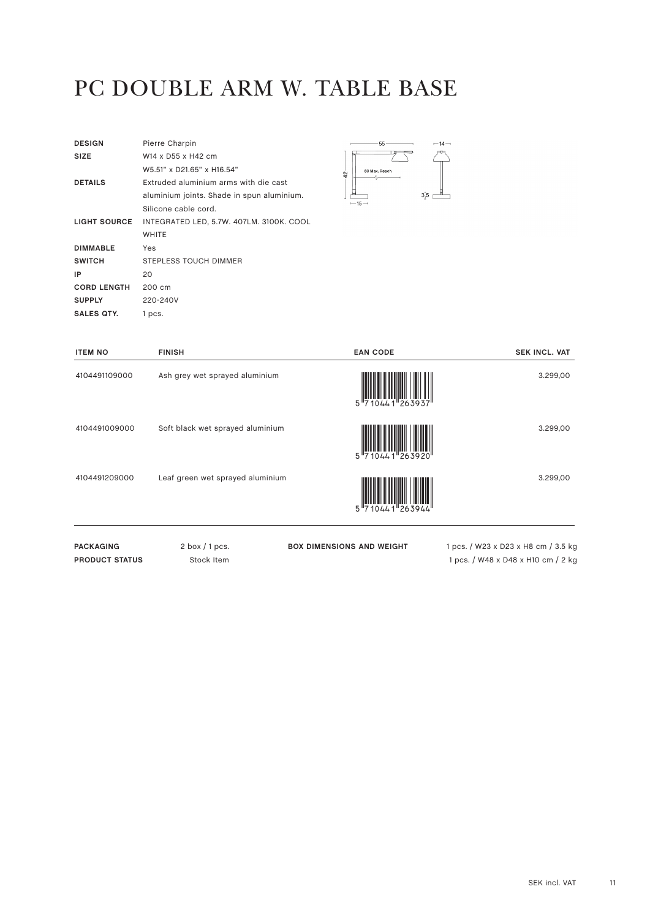# PC DOUBLE ARM W. TABLE BASE

| <b>DESIGN</b>       | Pierre Charpin                             |
|---------------------|--------------------------------------------|
| <b>SIZE</b>         | W14 x D55 x H42 cm                         |
|                     | W5.51" x D21.65" x H16.54"                 |
| <b>DETAILS</b>      | Extruded aluminium arms with die cast      |
|                     | aluminium joints. Shade in spun aluminium. |
|                     | Silicone cable cord.                       |
| <b>LIGHT SOURCE</b> | INTEGRATED LED, 5.7W. 407LM. 3100K. COOL   |
|                     | <b>WHITE</b>                               |
| <b>DIMMABLE</b>     | Yes                                        |
|                     |                                            |
| <b>SWITCH</b>       | STEPLESS TOUCH DIMMER                      |
| IP                  | 20                                         |
| <b>CORD LENGTH</b>  | 200 cm                                     |
| <b>SUPPLY</b>       | 220-240V                                   |



| <b>ITEM NO</b>        | <b>FINISH</b>                    | <b>EAN CODE</b>                  | <b>SEK INCL. VAT</b>                |
|-----------------------|----------------------------------|----------------------------------|-------------------------------------|
| 4104491109000         | Ash grey wet sprayed aluminium   | 5 710441 263937                  | 3.299,00                            |
| 4104491009000         | Soft black wet sprayed aluminium | 5 710441 263920                  | 3.299,00                            |
| 4104491209000         | Leaf green wet sprayed aluminium | 5 710441 263944                  | 3.299,00                            |
| <b>PACKAGING</b>      | $2$ box $/1$ pcs.                | <b>BOX DIMENSIONS AND WEIGHT</b> | 1 pcs. / W23 x D23 x H8 cm / 3.5 kg |
| <b>PRODUCT STATUS</b> | Stock Item                       |                                  | 1 pcs. / W48 x D48 x H10 cm / 2 kg  |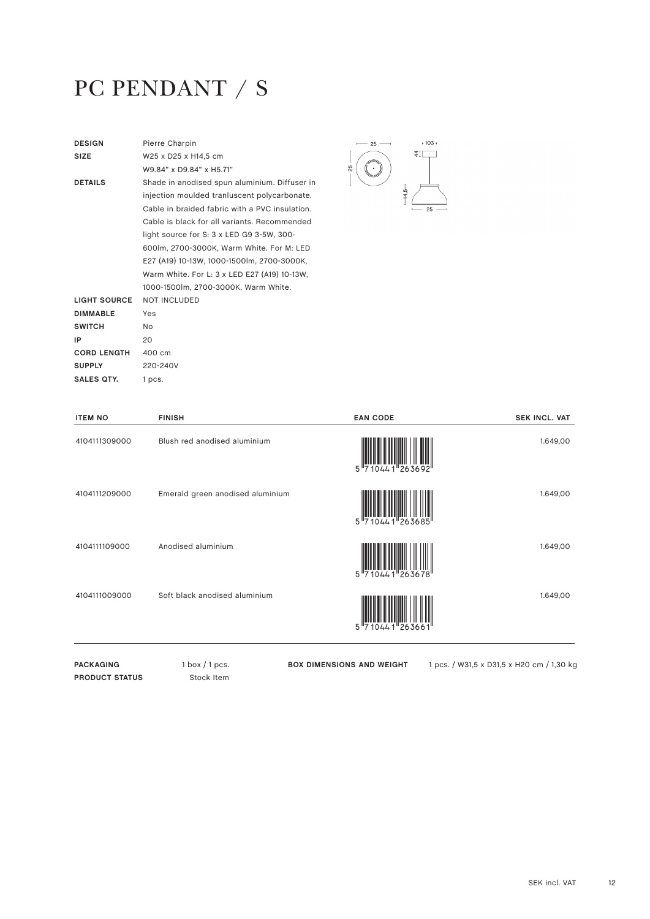# PC PENDANT / S

| <b>DESIGN</b>       | Pierre Charpin                                 |
|---------------------|------------------------------------------------|
| <b>SIZE</b>         | W25 x D25 x H14.5 cm                           |
|                     | W9.84" x D9.84" x H5.71"                       |
| <b>DETAILS</b>      | Shade in anodised spun aluminium. Diffuser in  |
|                     | injection moulded tranluscent polycarbonate.   |
|                     | Cable in braided fabric with a PVC insulation. |
|                     | Cable is black for all variants. Recommended   |
|                     | light source for S: 3 x LED G9 3-5W, 300-      |
|                     | 600lm, 2700-3000K, Warm White. For M: LED      |
|                     | E27 (A19) 10-13W, 1000-1500lm, 2700-3000K,     |
|                     | Warm White. For L: 3 x LED E27 (A19) 10-13W,   |
|                     | 1000-1500lm, 2700-3000K, Warm White.           |
| <b>LIGHT SOURCE</b> | <b>NOT INCLUDED</b>                            |
| <b>DIMMABLE</b>     | Yes                                            |
| <b>SWITCH</b>       | N <sub>o</sub>                                 |
| IP                  | 20                                             |
| <b>CORD LENGTH</b>  | 400 cm                                         |
| <b>SUPPLY</b>       | 220-240V                                       |
| SALES OTY.          | 1 pcs.                                         |
|                     |                                                |



| <b>ITEM NO</b> | <b>FINISH</b>                    | <b>EAN CODE</b>                   | <b>SEK INCL. VAT</b> |
|----------------|----------------------------------|-----------------------------------|----------------------|
| 4104111309000  | Blush red anodised aluminium     | 10441 263692<br>5''7              | 1.649,00             |
| 4104111209000  | Emerald green anodised aluminium | 10441 263685                      | 1.649,00             |
| 4104111109000  | Anodised aluminium               | 10441 263678<br>5 "7              | 1.649,00             |
| 4104111009000  | Soft black anodised aluminium    | $10441$ <sup>263661</sup><br>5''7 | 1.649,00             |
|                |                                  |                                   |                      |

PACKAGING 1 box / 1 pcs. **PRODUCT STATUS** Stock Item

**BOX DIMENSIONS AND WEIGHT** 1 pcs. / W31,5 x D31,5 x H20 cm / 1,30 kg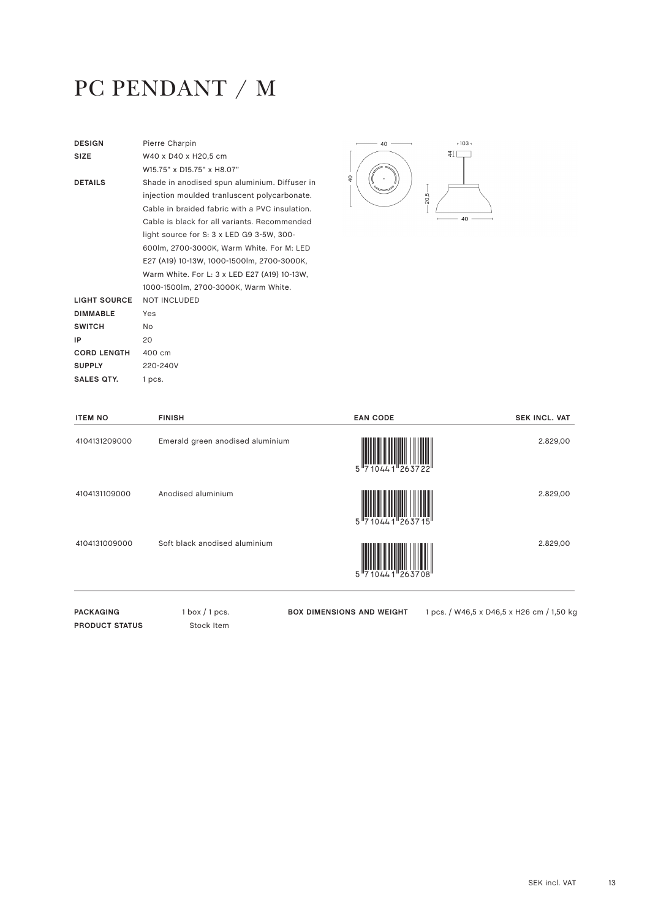# PC PENDANT / M

| <b>DESIGN</b>       | Pierre Charpin                                 |
|---------------------|------------------------------------------------|
| <b>SIZE</b>         | W40 x D40 x H20.5 cm                           |
|                     | W15 75" x D15 75" x H8 07"                     |
| <b>DETAILS</b>      | Shade in anodised spun aluminium. Diffuser in  |
|                     | injection moulded tranluscent polycarbonate.   |
|                     | Cable in braided fabric with a PVC insulation. |
|                     | Cable is black for all variants. Recommended   |
|                     | light source for S: 3 x LED G9 3-5W, 300-      |
|                     | 600lm, 2700-3000K, Warm White. For M: LED      |
|                     | E27 (A19) 10-13W, 1000-1500lm, 2700-3000K,     |
|                     | Warm White. For L: 3 x LED E27 (A19) 10-13W,   |
|                     | 1000-1500lm, 2700-3000K, Warm White.           |
| <b>LIGHT SOURCE</b> | <b>NOT INCLUDED</b>                            |
| <b>DIMMABLE</b>     | Yes                                            |
| <b>SWITCH</b>       | No                                             |
| IP                  | 20                                             |
| <b>CORD LENGTH</b>  | 400 cm                                         |
| <b>SUPPLY</b>       | 220-240V                                       |
| SALES QTY.          | 1 pcs.                                         |
|                     |                                                |



| <b>ITEM NO</b> | <b>FINISH</b>                    | <b>EAN CODE</b>                         | <b>SEK INCL. VAT</b> |
|----------------|----------------------------------|-----------------------------------------|----------------------|
| 4104131209000  | Emerald green anodised aluminium | 5 710441 263722                         | 2.829,00             |
| 4104131109000  | Anodised aluminium               | $5 \frac{\text{minmax}}{710441} 263715$ | 2.829,00             |
| 4104131009000  | Soft black anodised aluminium    | $10441$<br>5"7                          | 2.829,00             |

PACKAGING 1 box / 1 pcs. **PRODUCT STATUS** Stock Item

**BOX DIMENSIONS AND WEIGHT** 1 pcs. / W46,5 x D46,5 x H26 cm / 1,50 kg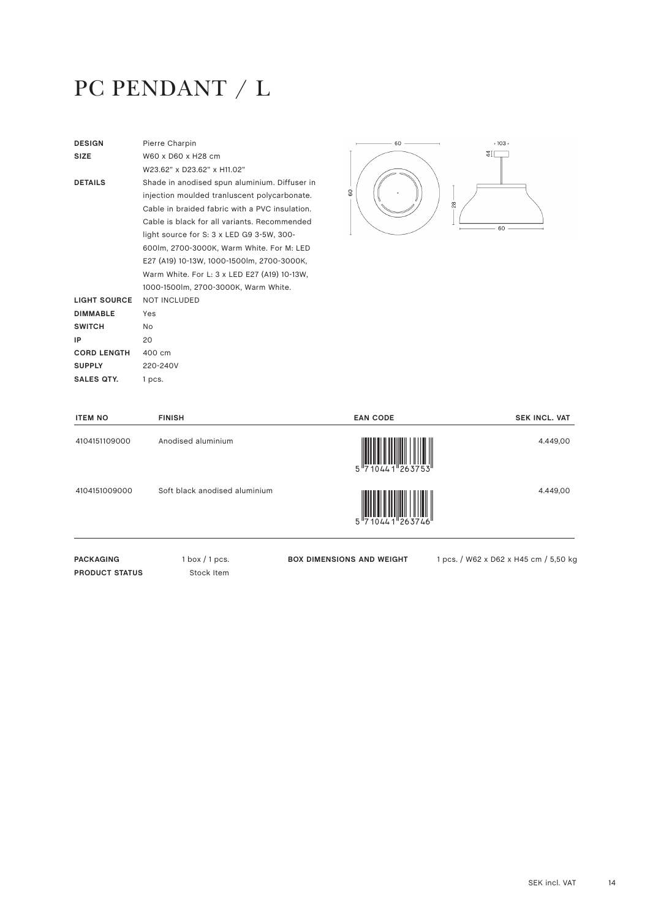# PC PENDANT / L

| <b>DESIGN</b>      | Pierre Charpin                                 |
|--------------------|------------------------------------------------|
| <b>SIZE</b>        | W60 x D60 x H28 cm                             |
|                    | W23.62" x D23.62" x H11.02"                    |
| <b>DETAILS</b>     | Shade in anodised spun aluminium. Diffuser in  |
|                    | injection moulded tranluscent polycarbonate.   |
|                    | Cable in braided fabric with a PVC insulation. |
|                    | Cable is black for all variants. Recommended   |
|                    | light source for S: 3 x LED G9 3-5W, 300-      |
|                    | 600lm, 2700-3000K, Warm White. For M: LED      |
|                    | E27 (A19) 10-13W, 1000-1500lm, 2700-3000K,     |
|                    | Warm White. For L: 3 x LED E27 (A19) 10-13W,   |
|                    | 1000-1500lm, 2700-3000K, Warm White.           |
| LIGHT SOURCE       | <b>NOT INCLUDED</b>                            |
| <b>DIMMABLE</b>    | Yes                                            |
| <b>SWITCH</b>      | <b>No</b>                                      |
| IP                 | 20                                             |
| <b>CORD LENGTH</b> | 400 cm                                         |
| <b>SUPPLY</b>      | 220-240V                                       |
| SALES QTY.         | 1 pcs.                                         |
|                    |                                                |

**PRODUCT STATUS** Stock Item



| <b>ITEM NO</b>   | <b>FINISH</b>                 | <b>EAN CODE</b>                  | <b>SEK INCL. VAT</b>                  |
|------------------|-------------------------------|----------------------------------|---------------------------------------|
| 4104151109000    | Anodised aluminium            |                                  | 4.449,00                              |
| 4104151009000    | Soft black anodised aluminium |                                  | 4.449,00                              |
| <b>PACKAGING</b> | $1$ box $/1$ pcs.             | <b>BOX DIMENSIONS AND WEIGHT</b> | 1 pcs. / W62 x D62 x H45 cm / 5,50 kg |

SEK incl. VAT 14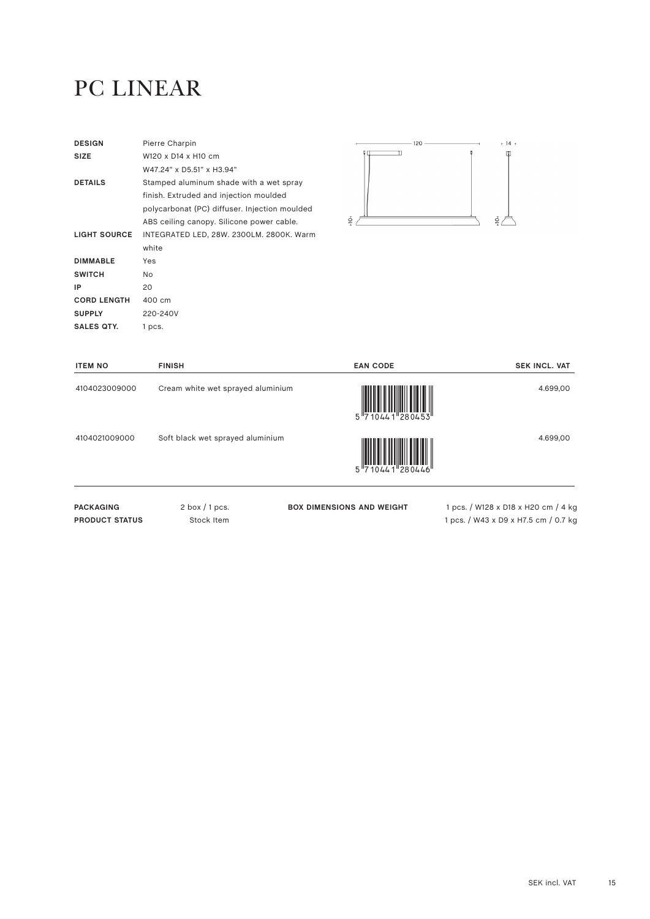# PC LINEAR

| <b>DESIGN</b>      | Pierre Charpin                                |               |
|--------------------|-----------------------------------------------|---------------|
| <b>SIZE</b>        | W120 x D14 x H10 cm                           |               |
|                    | W47.24" x D5.51" x H3.94"                     |               |
| <b>DETAILS</b>     | Stamped aluminum shade with a wet spray       |               |
|                    | finish. Extruded and injection moulded        |               |
|                    | polycarbonat (PC) diffuser. Injection moulded |               |
|                    | ABS ceiling canopy. Silicone power cable.     | $\frac{1}{2}$ |
| LIGHT SOURCE       | INTEGRATED LED, 28W. 2300LM. 2800K. Warm      |               |
|                    | white                                         |               |
| <b>DIMMABLE</b>    | Yes                                           |               |
| <b>SWITCH</b>      | No.                                           |               |
| IP                 | 20                                            |               |
| <b>CORD LENGTH</b> | 400 cm                                        |               |
| <b>SUPPLY</b>      | 220-240V                                      |               |
| <b>SALES QTY.</b>  | 1 pcs.                                        |               |



×.

| <b>ITEM NO</b>                            | <b>FINISH</b>                     | <b>EAN CODE</b>                  | <b>SEK INCL. VAT</b>                                                        |
|-------------------------------------------|-----------------------------------|----------------------------------|-----------------------------------------------------------------------------|
| 4104023009000                             | Cream white wet sprayed aluminium | 5 710441 280453                  | 4.699,00                                                                    |
| 4104021009000                             | Soft black wet sprayed aluminium  | 5 710441 280446                  | 4.699,00                                                                    |
| <b>PACKAGING</b><br><b>PRODUCT STATUS</b> | $2$ box $/1$ pcs.<br>Stock Item   | <b>BOX DIMENSIONS AND WEIGHT</b> | 1 pcs. / W128 x D18 x H20 cm / 4 kg<br>1 pcs. / W43 x D9 x H7.5 cm / 0.7 kg |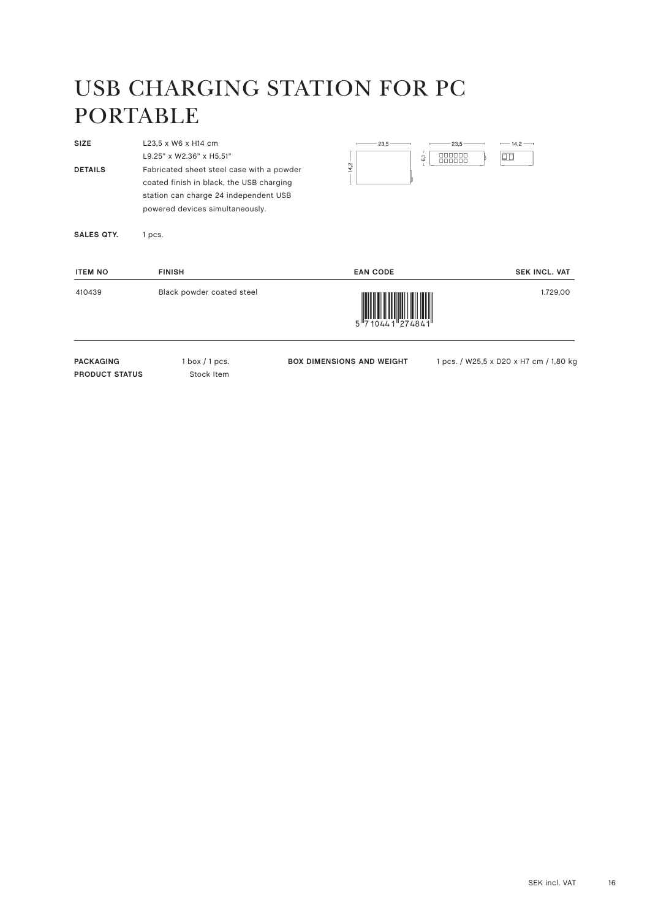# USB CHARGING STATION FOR PC PORTABLE

| SIZE                  | L23,5 x W6 x H14 cm                                                   | $-23.5$ —<br>$-23,5-$                      | $-14,2-$                               |
|-----------------------|-----------------------------------------------------------------------|--------------------------------------------|----------------------------------------|
| <b>DETAILS</b>        | L9.25" x W2.36" x H5.51"<br>Fabricated sheet steel case with a powder | 000000<br>$\overline{6}$<br>000000<br>14,2 | $\Box$                                 |
|                       | coated finish in black, the USB charging                              |                                            |                                        |
|                       | station can charge 24 independent USB                                 |                                            |                                        |
|                       | powered devices simultaneously.                                       |                                            |                                        |
| <b>SALES QTY.</b>     | 1 pcs.                                                                |                                            |                                        |
| <b>ITEM NO</b>        | <b>FINISH</b>                                                         | <b>EAN CODE</b>                            | <b>SEK INCL. VAT</b>                   |
| 410439                | Black powder coated steel                                             | 0441 27484                                 | 1.729,00                               |
| <b>PACKAGING</b>      | $1$ box $/1$ pcs.                                                     | <b>BOX DIMENSIONS AND WEIGHT</b>           | 1 pcs. / W25,5 x D20 x H7 cm / 1,80 kg |
| <b>PRODUCT STATUS</b> | Stock Item                                                            |                                            |                                        |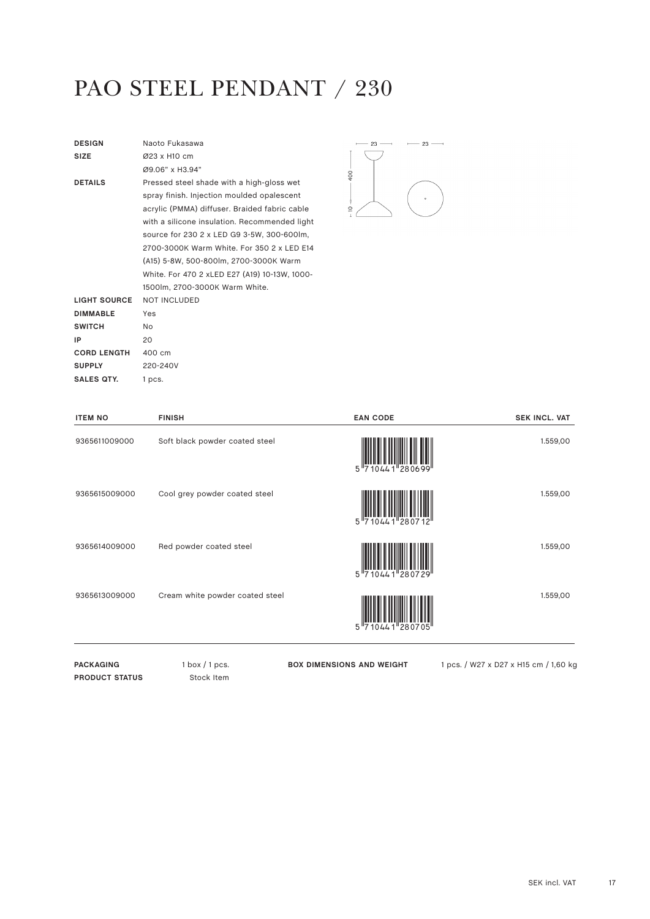# PAO STEEL PENDANT / 230

| <b>DESIGN</b>       | Naoto Fukasawa                                |
|---------------------|-----------------------------------------------|
| <b>SIZE</b>         | Ø23 x H10 cm                                  |
|                     | Ø9.06" x H3.94"                               |
| <b>DETAILS</b>      | Pressed steel shade with a high-gloss wet     |
|                     | spray finish. Injection moulded opalescent    |
|                     | acrylic (PMMA) diffuser. Braided fabric cable |
|                     | with a silicone insulation. Recommended light |
|                     | source for 230 2 x LED G9 3-5W, 300-600lm,    |
|                     | 2700-3000K Warm White, For 350 2 x LED E14    |
|                     | (A15) 5-8W, 500-800lm, 2700-3000K Warm        |
|                     | White. For 470 2 xLED E27 (A19) 10-13W, 1000- |
|                     | 1500lm. 2700-3000K Warm White.                |
| <b>LIGHT SOURCE</b> | <b>NOT INCLUDED</b>                           |
| <b>DIMMABLE</b>     | Yes                                           |
| <b>SWITCH</b>       | NΩ                                            |
| IP                  | 20                                            |
| <b>CORD LENGTH</b>  | 400 cm                                        |
| <b>SUPPLY</b>       | 220-240V                                      |
| SALES QTY.          | 1 pcs.                                        |
|                     |                                               |



| <b>ITEM NO</b> | <b>FINISH</b>                   | <b>EAN CODE</b>        | <b>SEK INCL. VAT</b> |
|----------------|---------------------------------|------------------------|----------------------|
| 9365611009000  | Soft black powder coated steel  | 5 710441 280699        | 1.559,00             |
| 9365615009000  | Cool grey powder coated steel   | $10441$ 280712<br>5''7 | 1.559,00             |
| 9365614009000  | Red powder coated steel         | 5 710441 280729        | 1.559,00             |
| 9365613009000  | Cream white powder coated steel | 5 710441 280705        | 1.559,00             |
|                |                                 |                        |                      |

PACKAGING 1 box / 1 pcs. **PRODUCT STATUS** Stock Item

**BOX DIMENSIONS AND WEIGHT** 1 pcs. / W27 x D27 x H15 cm / 1,60 kg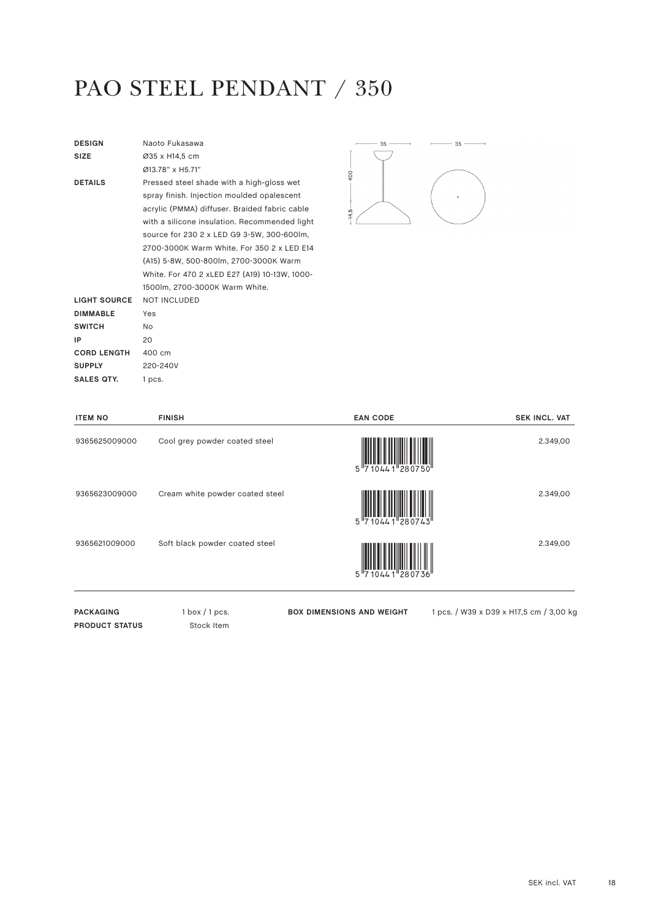## PAO STEEL PENDANT / 350

| <b>DESIGN</b>      | Naoto Fukasawa                                |
|--------------------|-----------------------------------------------|
| <b>SIZE</b>        | Ø35 x H14,5 cm                                |
|                    | Ø13 78" x H5 71"                              |
| <b>DETAILS</b>     | Pressed steel shade with a high-gloss wet     |
|                    | spray finish. Injection moulded opalescent    |
|                    | acrylic (PMMA) diffuser. Braided fabric cable |
|                    | with a silicone insulation. Recommended light |
|                    | source for 230 2 x LED G9 3-5W, 300-600lm,    |
|                    | 2700-3000K Warm White, For 350 2 x LED E14    |
|                    | (A15) 5-8W, 500-800lm, 2700-3000K Warm        |
|                    | White. For 470 2 xLED E27 (A19) 10-13W, 1000- |
|                    | 1500lm. 2700-3000K Warm White.                |
| LIGHT SOURCE       | <b>NOT INCLUDED</b>                           |
| <b>DIMMABLE</b>    | Yes                                           |
| <b>SWITCH</b>      | N <sub>o</sub>                                |
| IP                 | 20                                            |
| <b>CORD LENGTH</b> | 400 cm                                        |
| <b>SUPPLY</b>      | 220-240V                                      |
| SALES QTY.         | 1 pcs.                                        |
|                    |                                               |



| <b>ITEM NO</b> | <b>FINISH</b>                   | <b>EAN CODE</b>        | <b>SEK INCL. VAT</b> |
|----------------|---------------------------------|------------------------|----------------------|
| 9365625009000  | Cool grey powder coated steel   | 5 710441 280750        | 2.349,00             |
| 9365623009000  | Cream white powder coated steel | 5''7                   | 2.349,00             |
| 9365621009000  | Soft black powder coated steel  | $10441$ 280736<br>5''7 | 2.349,00             |
|                |                                 |                        |                      |

PACKAGING 1 box / 1 pcs. **PRODUCT STATUS** Stock Item

**BOX DIMENSIONS AND WEIGHT** 1 pcs. / W39 x D39 x H17,5 cm / 3,00 kg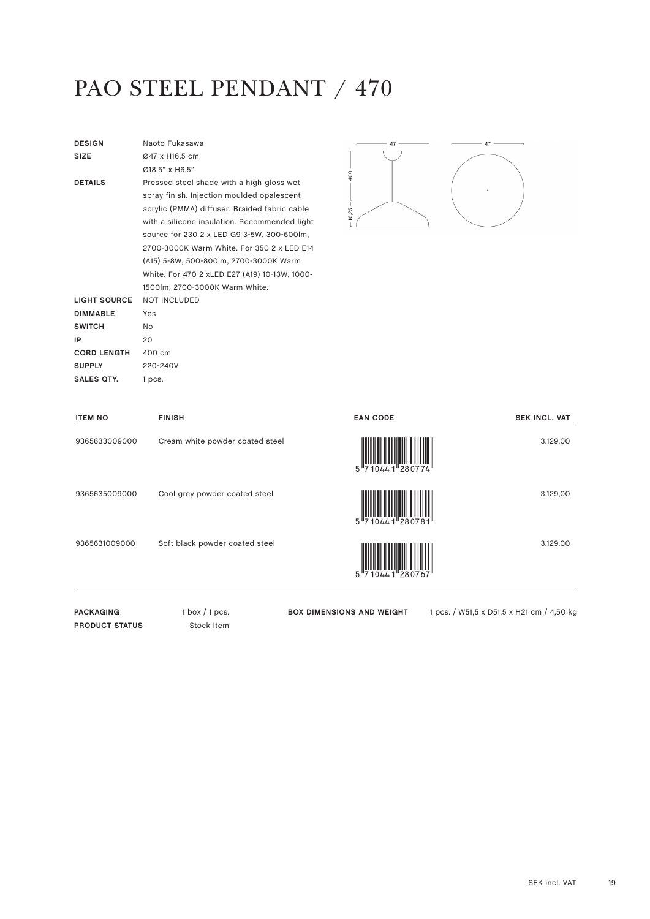# PAO STEEL PENDANT / 470

| <b>DESIGN</b>       | Naoto Fukasawa                                |
|---------------------|-----------------------------------------------|
| <b>SIZE</b>         | Ø47 x H16,5 cm                                |
|                     | $Ø18.5"$ x H6.5"                              |
| <b>DETAILS</b>      | Pressed steel shade with a high-gloss wet     |
|                     | spray finish. Injection moulded opalescent    |
|                     | acrylic (PMMA) diffuser. Braided fabric cable |
|                     | with a silicone insulation. Recommended light |
|                     | source for 230 2 x LED G9 3-5W, 300-600lm,    |
|                     | 2700-3000K Warm White, For 350 2 x LED E14    |
|                     | (A15) 5-8W, 500-800lm, 2700-3000K Warm        |
|                     | White. For 470 2 xLED E27 (A19) 10-13W, 1000- |
|                     | 1500lm. 2700-3000K Warm White.                |
| <b>LIGHT SOURCE</b> | <b>NOT INCLUDED</b>                           |
| <b>DIMMABLE</b>     | Yes                                           |
| <b>SWITCH</b>       | N <sub>o</sub>                                |
| IP                  | 20                                            |
| <b>CORD LENGTH</b>  | 400 cm                                        |
| <b>SUPPLY</b>       | 220-240V                                      |
| SALES QTY.          | 1 pcs.                                        |
|                     |                                               |



| <b>ITEM NO</b> | <b>FINISH</b>                   | <b>EAN CODE</b> | <b>SEK INCL. VAT</b> |
|----------------|---------------------------------|-----------------|----------------------|
| 9365633009000  | Cream white powder coated steel | 5 710441 280774 | 3.129,00             |
| 9365635009000  | Cool grey powder coated steel   | 5 "7            | 3.129,00             |
| 9365631009000  | Soft black powder coated steel  | 5''7            | 3.129,00             |

PACKAGING 1 box / 1 pcs. **PRODUCT STATUS** Stock Item

**BOX DIMENSIONS AND WEIGHT** 1 pcs. / W51,5 x D51,5 x H21 cm / 4,50 kg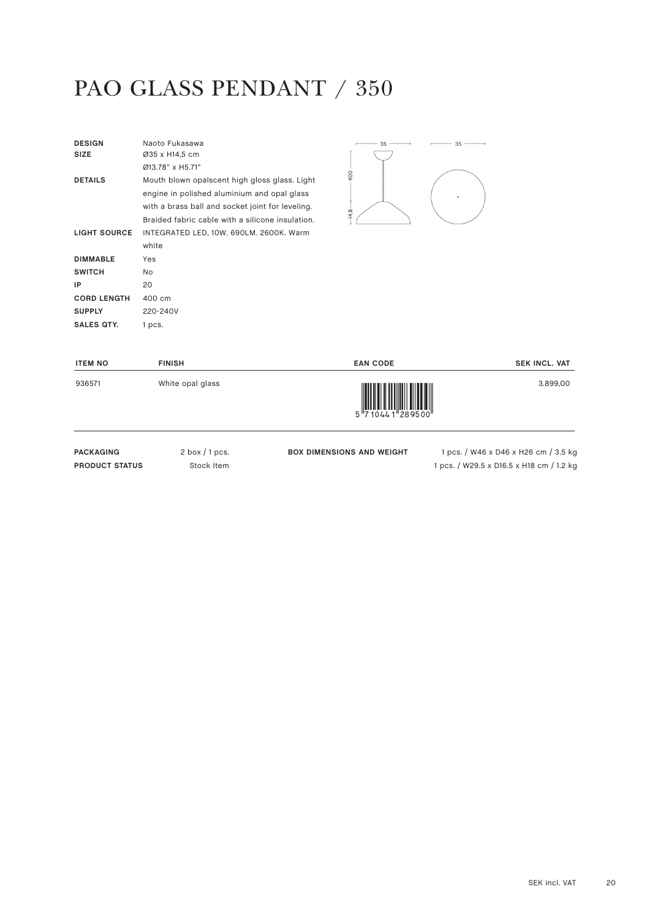# PAO GLASS PENDANT / 350

| <b>DESIGN</b><br><b>SIZE</b> | Naoto Fukasawa<br>Ø35 x H14,5 cm<br>Ø13.78" x H5.71"                                                                                                                                                 | 35                     | 35      |
|------------------------------|------------------------------------------------------------------------------------------------------------------------------------------------------------------------------------------------------|------------------------|---------|
| <b>DETAILS</b>               | Mouth blown opalscent high gloss glass. Light<br>engine in polished aluminium and opal glass<br>with a brass ball and socket joint for leveling.<br>Braided fabric cable with a silicone insulation. | $\overline{0}$<br>14,5 | $\circ$ |
| <b>LIGHT SOURCE</b>          | INTEGRATED LED, 10W. 690LM. 2600K. Warm                                                                                                                                                              |                        |         |
|                              | white                                                                                                                                                                                                |                        |         |
| <b>DIMMABLE</b>              | Yes                                                                                                                                                                                                  |                        |         |
| <b>SWITCH</b>                | <b>No</b>                                                                                                                                                                                            |                        |         |
| IP                           | 20                                                                                                                                                                                                   |                        |         |
| <b>CORD LENGTH</b>           | 400 cm                                                                                                                                                                                               |                        |         |
| <b>SUPPLY</b>                | 220-240V                                                                                                                                                                                             |                        |         |
| <b>SALES QTY.</b>            | 1 pcs.                                                                                                                                                                                               |                        |         |

| <b>ITEM NO</b> | <b>FINISH</b>    | <b>EAN CODE</b>                                                                                                                                                                                                                                                                                                                                                                                                                                                                                                                                                                           | <b>SEK INCL. VAT</b> |
|----------------|------------------|-------------------------------------------------------------------------------------------------------------------------------------------------------------------------------------------------------------------------------------------------------------------------------------------------------------------------------------------------------------------------------------------------------------------------------------------------------------------------------------------------------------------------------------------------------------------------------------------|----------------------|
| 936571         | White opal glass | $\begin{array}{c} \begin{array}{c} \begin{array}{c} \end{array}\\ \begin{array}{c} \end{array}\\ \begin{array}{c} \end{array}\\ \begin{array}{c} \end{array}\\ \begin{array}{c} \end{array}\\ \begin{array}{c} \end{array}\\ \begin{array}{c} \end{array}\\ \begin{array}{c} \end{array}\\ \begin{array}{c} \end{array}\\ \begin{array}{c} \end{array}\\ \begin{array}{c} \end{array}\\ \begin{array}{c} \end{array}\\ \begin{array}{c} \end{array}\\ \begin{array}{c} \end{array}\\ \begin{array}{c} \end{array}\\ \begin{array}{c} \end{array}\\ \begin{array}{c} \end{array}\\ \begin$ | 3.899,00             |

PACKAGING 2 box / 1 pcs. **PRODUCT STATUS** Stock Item

**BOX DIMENSIONS AND WEIGHT** 1 pcs. / W46 x D46 x H26 cm / 3.5 kg 1 pcs. / W29.5 x D16.5 x H18 cm / 1.2 kg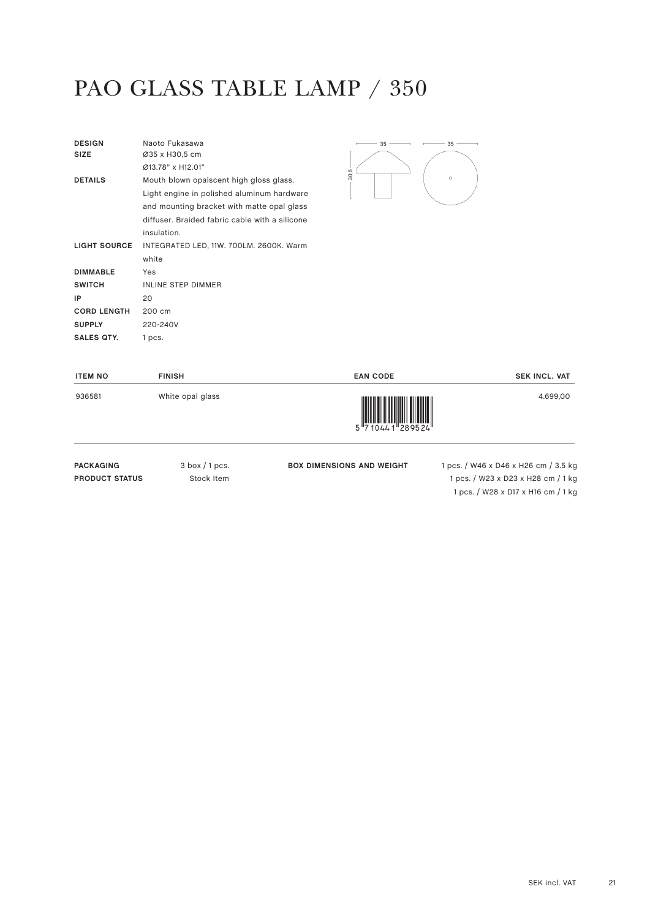#### PAO GLASS TABLE LAMP / 350

| <b>DESIGN</b><br><b>SIZE</b> | Naoto Fukasawa<br>Ø35 x H30,5 cm               |
|------------------------------|------------------------------------------------|
|                              | Ø13.78" x H12.01"                              |
| <b>DETAILS</b>               | Mouth blown opalscent high gloss glass.        |
|                              | Light engine in polished aluminum hardware     |
|                              | and mounting bracket with matte opal glass     |
|                              | diffuser. Braided fabric cable with a silicone |
|                              | insulation.                                    |
| <b>LIGHT SOURCE</b>          | INTEGRATED LED, 11W. 700LM. 2600K. Warm        |
|                              | white                                          |
| <b>DIMMABLE</b>              | Yes                                            |
| <b>SWITCH</b>                | <b>INLINE STEP DIMMER</b>                      |
| IP                           | 20                                             |
| <b>CORD LENGTH</b>           | 200 cm                                         |
| <b>SUPPLY</b>                | 220-240V                                       |
| SALES QTY.                   | 1 pcs.                                         |



| <b>ITEM NO</b> | <b>FINISH</b>    | <b>EAN CODE</b>                                                                                                                                                                                                                                                                                                                                                                                                                                                                                                                                                 | <b>SEK INCL. VAT</b> |
|----------------|------------------|-----------------------------------------------------------------------------------------------------------------------------------------------------------------------------------------------------------------------------------------------------------------------------------------------------------------------------------------------------------------------------------------------------------------------------------------------------------------------------------------------------------------------------------------------------------------|----------------------|
| 936581         | White opal glass | $\begin{array}{c} \begin{array}{c} \begin{array}{c} \end{array} \\ \begin{array}{c} \end{array} \\ \begin{array}{c} \end{array} \\ \begin{array}{c} \end{array} \\ \begin{array}{c} \end{array} \\ \begin{array}{c} \end{array} \\ \begin{array}{c} \end{array} \\ \begin{array}{c} \end{array} \\ \begin{array}{c} \end{array} \\ \begin{array}{c} \end{array} \\ \begin{array}{c} \end{array} \\ \begin{array}{c} \end{array} \\ \begin{array}{c} \end{array} \\ \begin{array}{c} \end{array} \\ \begin{array}{c} \end{array} \\ \begin{array}{c} \end{array$ | 4.699,00             |

PACKAGING 3 box / 1 pcs. **PRODUCT STATUS** Stock Item

**BOX DIMENSIONS AND WEIGHT** 1 pcs. / W46 x D46 x H26 cm / 3.5 kg 1 pcs. / W23 x D23 x H28 cm / 1 kg 1 pcs. / W28 x D17 x H16 cm / 1 kg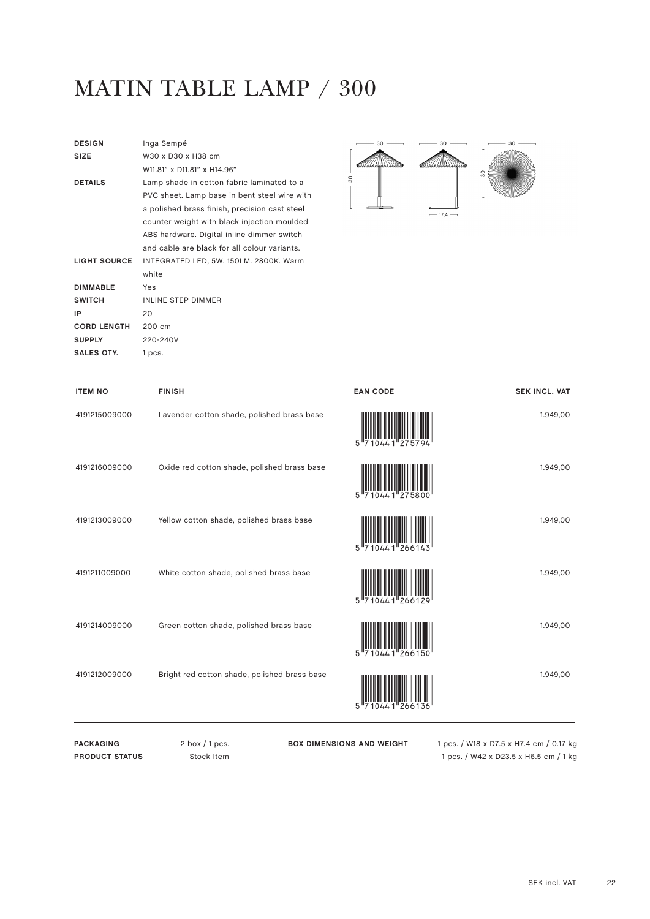# MATIN TABLE LAMP / 300

| <b>DESIGN</b>       | Inga Sempé                                    |
|---------------------|-----------------------------------------------|
| <b>SIZE</b>         | W30 x D30 x H38 cm                            |
|                     | W11.81" x D11.81" x H14.96"                   |
| <b>DETAILS</b>      | Lamp shade in cotton fabric laminated to a    |
|                     | PVC sheet. Lamp base in bent steel wire with  |
|                     | a polished brass finish, precision cast steel |
|                     | counter weight with black injection moulded   |
|                     | ABS hardware. Digital inline dimmer switch    |
|                     | and cable are black for all colour variants.  |
| <b>LIGHT SOURCE</b> | INTEGRATED LED, 5W. 150LM. 2800K. Warm        |
|                     | white                                         |
| <b>DIMMABLE</b>     | Yes                                           |
| <b>SWITCH</b>       | <b>INLINE STEP DIMMER</b>                     |
| IP                  | 20                                            |
| <b>CORD LENGTH</b>  | 200 cm                                        |
| <b>SUPPLY</b>       | 220-240V                                      |
| SALES QTY.          | 1 pcs.                                        |
|                     |                                               |



| <b>ITEM NO</b> | <b>FINISH</b>                                | <b>EAN CODE</b> | <b>SEK INCL. VAT</b> |
|----------------|----------------------------------------------|-----------------|----------------------|
| 4191215009000  | Lavender cotton shade, polished brass base   |                 | 1.949,00             |
| 4191216009000  | Oxide red cotton shade, polished brass base  |                 | 1.949,00             |
| 4191213009000  | Yellow cotton shade, polished brass base     |                 | 1.949,00             |
| 4191211009000  | White cotton shade, polished brass base      |                 | 1.949,00             |
| 4191214009000  | Green cotton shade, polished brass base      | '266150         | 1.949,00             |
| 4191212009000  | Bright red cotton shade, polished brass base | 5               | 1.949,00             |

PACKAGING 2 box / 1 pcs. **PRODUCT STATUS** Stock Item **BOX DIMENSIONS AND WEIGHT** 1 pcs. / W18 x D7.5 x H7.4 cm / 0.17 kg

1 pcs. / W42 x D23.5 x H6.5 cm / 1 kg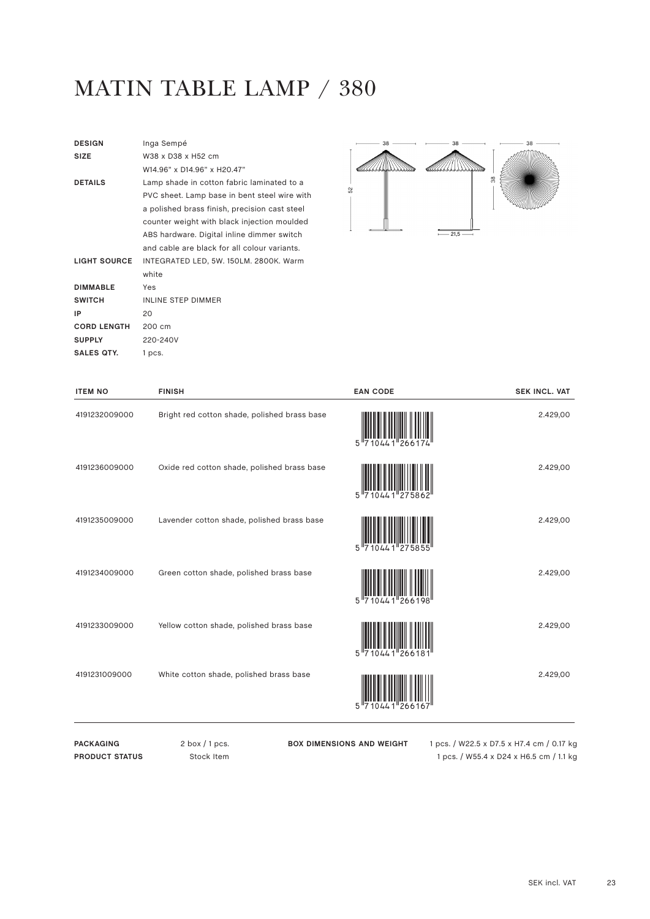# MATIN TABLE LAMP / 380

| <b>DESIGN</b>       | Inga Sempé                                    |
|---------------------|-----------------------------------------------|
| <b>SIZE</b>         | W38 x D38 x H52 cm                            |
|                     | W14 96" x D14 96" x H20 47"                   |
| <b>DETAILS</b>      | Lamp shade in cotton fabric laminated to a    |
|                     | PVC sheet. Lamp base in bent steel wire with  |
|                     | a polished brass finish, precision cast steel |
|                     | counter weight with black injection moulded   |
|                     | ABS hardware. Digital inline dimmer switch    |
|                     | and cable are black for all colour variants.  |
| <b>LIGHT SOURCE</b> | INTEGRATED LED, 5W. 150LM. 2800K. Warm        |
|                     | white                                         |
| <b>DIMMABLE</b>     | Yes                                           |
| <b>SWITCH</b>       | <b>INLINE STEP DIMMER</b>                     |
| IP                  | 20                                            |
| <b>CORD LENGTH</b>  | 200 cm                                        |
| <b>SUPPLY</b>       | 220-240V                                      |
| <b>SALES QTY.</b>   | 1 pcs.                                        |
|                     |                                               |



| <b>ITEM NO</b> | <b>FINISH</b>                                | <b>EAN CODE</b> | <b>SEK INCL. VAT</b> |
|----------------|----------------------------------------------|-----------------|----------------------|
| 4191232009000  | Bright red cotton shade, polished brass base |                 | 2.429,00             |
| 4191236009000  | Oxide red cotton shade, polished brass base  |                 | 2.429,00             |
| 4191235009000  | Lavender cotton shade, polished brass base   |                 | 2.429,00             |
| 4191234009000  | Green cotton shade, polished brass base      | 5 7 1 0 4 4 1   | 2.429,00             |
| 4191233009000  | Yellow cotton shade, polished brass base     | 0441"26618      | 2.429,00             |
| 4191231009000  | White cotton shade, polished brass base      |                 | 2.429,00             |

**BOX DIMENSIONS AND WEIGHT** 1 pcs. / W22.5 x D7.5 x H7.4 cm / 0.17 kg 1 pcs. / W55.4 x D24 x H6.5 cm / 1.1 kg

PACKAGING 2 box / 1 pcs. **PRODUCT STATUS** Stock Item

SEK incl. VAT 23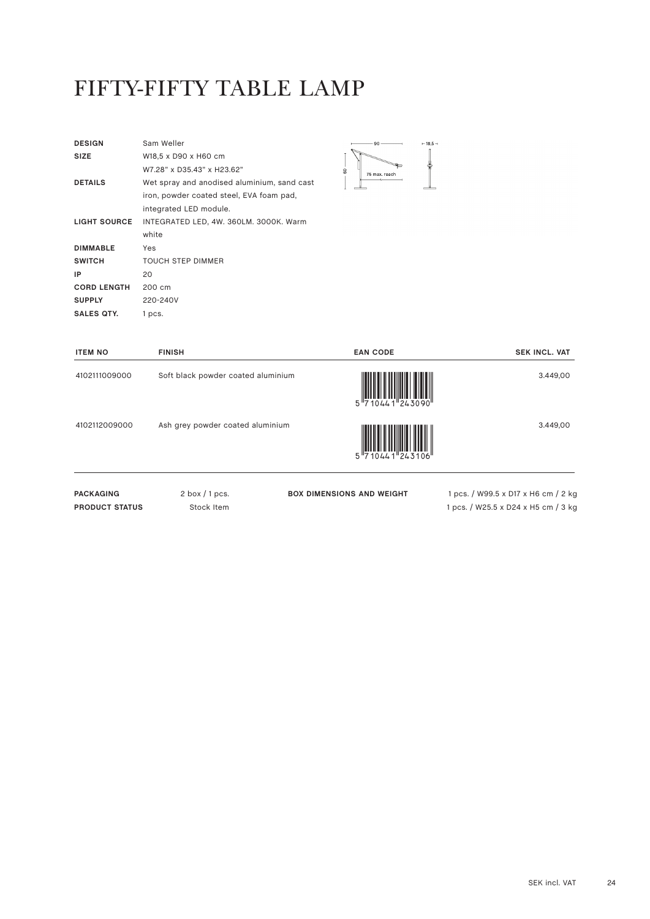#### FIFTY-FIFTY TABLE LAMP

| Sam Weller                                  |
|---------------------------------------------|
| W18.5 x D90 x H60 cm                        |
| W7.28" x D35.43" x H23.62"                  |
| Wet spray and anodised aluminium, sand cast |
| iron, powder coated steel, EVA foam pad,    |
| integrated LED module.                      |
| INTEGRATED LED, 4W. 360LM. 3000K. Warm      |
| white                                       |
| Yes                                         |
| <b>TOUCH STEP DIMMER</b>                    |
| 20                                          |
| 200 cm                                      |
| 220-240V                                    |
| 1 pcs.                                      |
|                                             |



| <b>ITEM NO</b>   | <b>FINISH</b>                      | <b>EAN CODE</b>                                                      | <b>SEK INCL. VAT</b>                |
|------------------|------------------------------------|----------------------------------------------------------------------|-------------------------------------|
| 4102111009000    | Soft black powder coated aluminium | $5\frac{  \text{min in H      }  \text{min in H    }}{710441243090}$ | 3.449,00                            |
| 4102112009000    | Ash grey powder coated aluminium   | $10441$ $243106$                                                     | 3.449,00                            |
| <b>PACKAGING</b> | $2$ box $/1$ pcs.                  | <b>BOX DIMENSIONS AND WEIGHT</b>                                     | 1 pcs. / W99.5 x D17 x H6 cm / 2 kg |

**PRODUCT STATUS** Stock Item

1 pcs. / W25.5 x D24 x H5 cm / 3 kg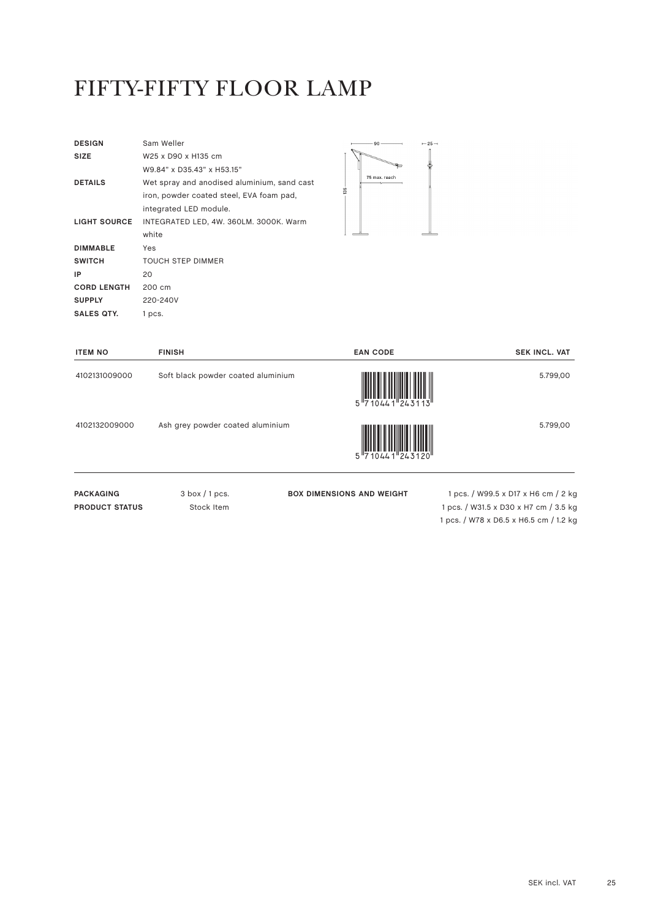#### FIFTY-FIFTY FLOOR LAMP

| <b>DESIGN</b>       | Sam Weller                                  |
|---------------------|---------------------------------------------|
| <b>SIZE</b>         | W25 x D90 x H135 cm                         |
|                     | W9.84" x D35.43" x H53.15"                  |
| <b>DETAILS</b>      | Wet spray and anodised aluminium, sand cast |
|                     | iron, powder coated steel, EVA foam pad,    |
|                     | integrated LED module.                      |
| <b>LIGHT SOURCE</b> | INTEGRATED LED, 4W. 360LM. 3000K. Warm      |
|                     | white                                       |
| <b>DIMMABLE</b>     | Yes                                         |
| <b>SWITCH</b>       | <b>TOUCH STEP DIMMER</b>                    |
| IP                  | 20                                          |
| <b>CORD LENGTH</b>  | 200 cm                                      |
| <b>SUPPLY</b>       | 220-240V                                    |
| SALES QTY.          | 1 pcs.                                      |



| <b>ITEM NO</b>   | <b>FINISH</b>                      | <b>EAN CODE</b>                                                                                                                                                                                                                                                                                                                                                                                                                                                                                                                                       | <b>SEK INCL. VAT</b>                |
|------------------|------------------------------------|-------------------------------------------------------------------------------------------------------------------------------------------------------------------------------------------------------------------------------------------------------------------------------------------------------------------------------------------------------------------------------------------------------------------------------------------------------------------------------------------------------------------------------------------------------|-------------------------------------|
| 4102131009000    | Soft black powder coated aluminium | $\begin{array}{c} \begin{array}{c} \end{array} \begin{array}{c} \end{array} \begin{array}{c} \end{array} \begin{array}{c} \end{array} \begin{array}{c} \end{array} \begin{array}{c} \end{array} \begin{array}{c} \end{array} \begin{array}{c} \end{array} \begin{array}{c} \end{array} \begin{array}{c} \end{array} \begin{array}{c} \end{array} \begin{array}{c} \end{array} \begin{array}{c} \end{array} \begin{array}{c} \end{array} \begin{array}{c} \end{array} \begin{array}{c} \end{array} \begin{array}{c} \end{array} \begin{array}{c} \end$ | 5.799,00                            |
| 4102132009000    | Ash grey powder coated aluminium   |                                                                                                                                                                                                                                                                                                                                                                                                                                                                                                                                                       | 5.799,00                            |
| <b>PACKAGING</b> | $3$ box $/1$ pcs.                  | <b>BOX DIMENSIONS AND WEIGHT</b>                                                                                                                                                                                                                                                                                                                                                                                                                                                                                                                      | 1 pcs. / W99.5 x D17 x H6 cm / 2 kg |

**PRODUCT STATUS** Stock Item

**BOX DIMENSIONS AND WEIGHT** 1 pcs. / W99.5 x D17 x H6 cm / 2 kg 1 pcs. / W31.5 x D30 x H7 cm / 3.5 kg 1 pcs. / W78 x D6.5 x H6.5 cm / 1.2 kg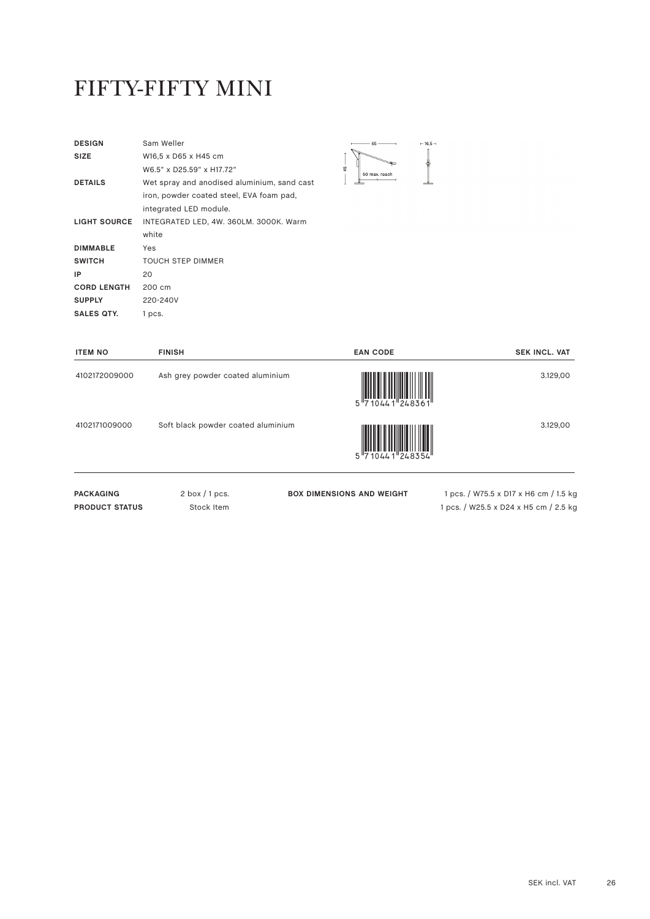#### FIFTY-FIFTY MINI

| <b>DESIGN</b>      | Sam Weller                                  |  |
|--------------------|---------------------------------------------|--|
| <b>SIZE</b>        | W16,5 x D65 x H45 cm                        |  |
|                    | W6.5" x D25.59" x H17.72"                   |  |
| <b>DETAILS</b>     | Wet spray and anodised aluminium, sand cast |  |
|                    | iron, powder coated steel, EVA foam pad,    |  |
|                    | integrated LED module.                      |  |
| LIGHT SOURCE       | INTEGRATED LED, 4W. 360LM. 3000K. Warm      |  |
|                    | white                                       |  |
| <b>DIMMABLE</b>    | Yes                                         |  |
| <b>SWITCH</b>      | <b>TOUCH STEP DIMMER</b>                    |  |
| IP                 | 20                                          |  |
| <b>CORD LENGTH</b> | 200 cm                                      |  |
| <b>SUPPLY</b>      | 220-240V                                    |  |
| <b>SALES QTY.</b>  | 1 pcs.                                      |  |
|                    |                                             |  |

| 65            | $-16,5-$ |
|---------------|----------|
|               |          |
| 50 max. reach |          |

| <b>ITEM NO</b>   | <b>FINISH</b>                      | <b>EAN CODE</b>                  | <b>SEK INCL. VAT</b>                  |
|------------------|------------------------------------|----------------------------------|---------------------------------------|
| 4102172009000    | Ash grey powder coated aluminium   | 5 710441 248361                  | 3.129,00                              |
| 4102171009000    | Soft black powder coated aluminium | 5 710441 248354                  | 3.129,00                              |
| <b>PACKAGING</b> | $2$ box $/1$ pcs.                  | <b>BOX DIMENSIONS AND WEIGHT</b> | 1 pcs. / W75.5 x D17 x H6 cm / 1.5 kg |

**PRODUCT STATUS** Stock Item

**BOX DIMENSIONS AND WEIGHT** 1 pcs. / W75.5 x D17 x H6 cm / 1.5 kg 1 pcs. / W25.5 x D24 x H5 cm / 2.5 kg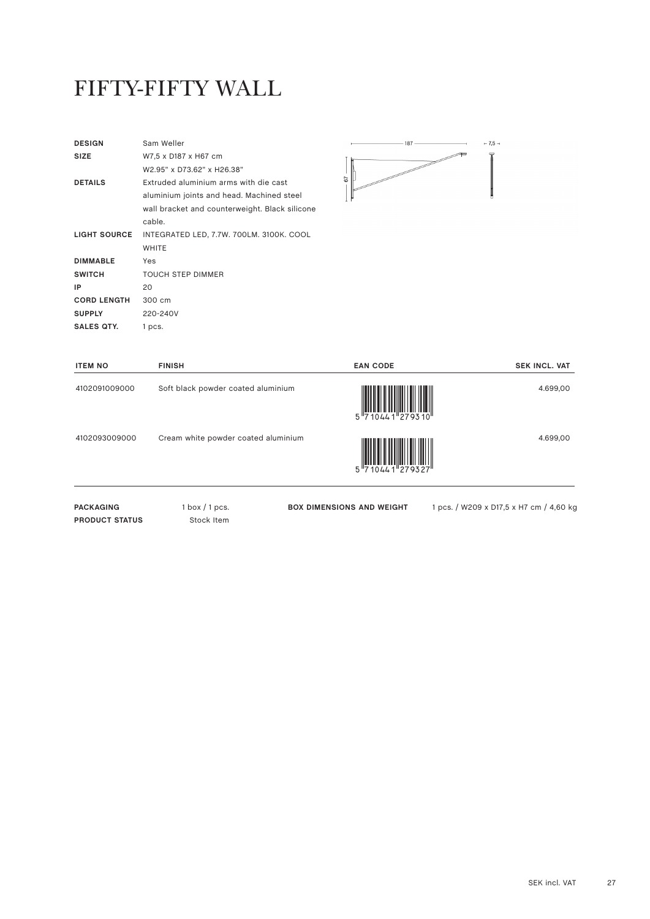#### FIFTY-FIFTY WALL

| <b>DESIGN</b>       | Sam Weller                                     |
|---------------------|------------------------------------------------|
| <b>SIZE</b>         | W7,5 x D187 x H67 cm                           |
|                     | W2.95" x D73.62" x H26.38"                     |
| <b>DETAILS</b>      | Extruded aluminium arms with die cast          |
|                     | aluminium joints and head. Machined steel      |
|                     | wall bracket and counterweight. Black silicone |
|                     | cable.                                         |
| <b>LIGHT SOURCE</b> | INTEGRATED LED, 7.7W. 700LM. 3100K. COOL       |
|                     | <b>WHITE</b>                                   |
| <b>DIMMABLE</b>     | Yes                                            |
| <b>SWITCH</b>       | <b>TOUCH STEP DIMMER</b>                       |
| IP                  | 20                                             |
| <b>CORD LENGTH</b>  | 300 cm                                         |
| <b>SUPPLY</b>       | 220-240V                                       |
| <b>SALES QTY.</b>   | 1 pcs.                                         |
|                     |                                                |



| <b>ITEM NO</b>        | <b>FINISH</b>                       | <b>EAN CODE</b>                  | <b>SEK INCL. VAT</b>                    |
|-----------------------|-------------------------------------|----------------------------------|-----------------------------------------|
| 4102091009000         | Soft black powder coated aluminium  | 5 710441 279310                  | 4.699,00                                |
| 4102093009000         | Cream white powder coated aluminium | 5 710441 279327                  | 4.699,00                                |
| <b>PACKAGING</b>      | $1$ box $/1$ pcs.                   | <b>BOX DIMENSIONS AND WEIGHT</b> | 1 pcs. / W209 x D17,5 x H7 cm / 4,60 kg |
| <b>PRODUCT STATUS</b> | Stock Item                          |                                  |                                         |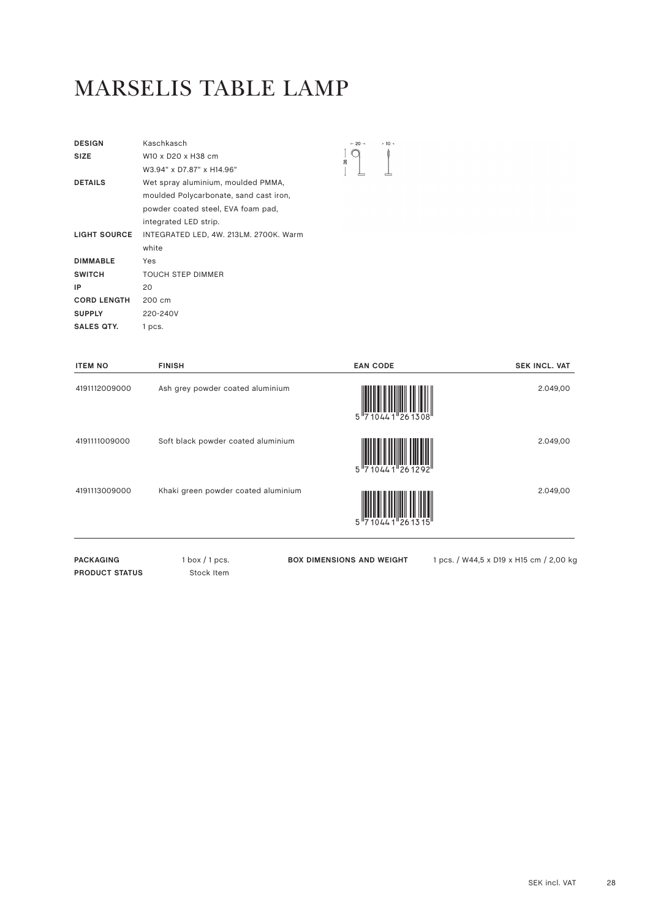#### MARSELIS TABLE LAMP

| <b>DESIGN</b>       | Kaschkasch                             | $-20 -$       | $+10 +$ |
|---------------------|----------------------------------------|---------------|---------|
| <b>SIZE</b>         | W10 x D20 x H38 cm                     | $\frac{8}{2}$ |         |
|                     | W3.94" x D7.87" x H14.96"              |               |         |
| <b>DETAILS</b>      | Wet spray aluminium, moulded PMMA,     |               |         |
|                     | moulded Polycarbonate, sand cast iron, |               |         |
|                     | powder coated steel, EVA foam pad,     |               |         |
|                     | integrated LED strip.                  |               |         |
| <b>LIGHT SOURCE</b> | INTEGRATED LED, 4W. 213LM. 2700K. Warm |               |         |
|                     | white                                  |               |         |
| <b>DIMMABLE</b>     | Yes                                    |               |         |
| <b>SWITCH</b>       | <b>TOUCH STEP DIMMER</b>               |               |         |
| IP                  | 20                                     |               |         |
| <b>CORD LENGTH</b>  | 200 cm                                 |               |         |
| <b>SUPPLY</b>       | 220-240V                               |               |         |
| SALES QTY.          | 1 pcs.                                 |               |         |

| <b>ITEM NO</b>   | <b>FINISH</b>                       | <b>EAN CODE</b>                  | <b>SEK INCL. VAT</b>                    |
|------------------|-------------------------------------|----------------------------------|-----------------------------------------|
| 4191112009000    | Ash grey powder coated aluminium    | 5 <sup>17</sup> 10441 261308     | 2.049,00                                |
| 4191111009000    | Soft black powder coated aluminium  | 5 710441 261292                  | 2.049,00                                |
| 4191113009000    | Khaki green powder coated aluminium | 5 710441 261315                  | 2.049,00                                |
| <b>PACKAGING</b> | $1$ box $/1$ pcs.                   | <b>BOX DIMENSIONS AND WEIGHT</b> | 1 pcs. / W44,5 x D19 x H15 cm / 2,00 kg |

**PRODUCT STATUS** Stock Item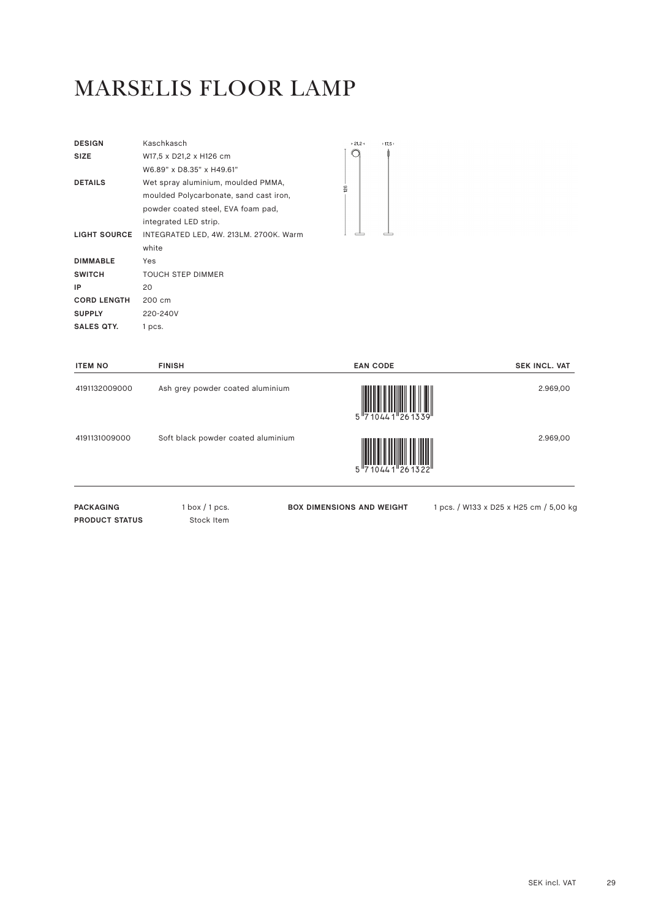# MARSELIS FLOOR LAMP

| <b>DESIGN</b>       | Kaschkasch                             |
|---------------------|----------------------------------------|
| <b>SIZE</b>         | W17,5 x D21,2 x H126 cm                |
|                     | W6.89" x D8.35" x H49.61"              |
| <b>DETAILS</b>      | Wet spray aluminium, moulded PMMA,     |
|                     | moulded Polycarbonate, sand cast iron, |
|                     | powder coated steel, EVA foam pad,     |
|                     | integrated LED strip.                  |
| <b>LIGHT SOURCE</b> | INTEGRATED LED, 4W. 213LM. 2700K. Warm |
|                     | white                                  |
| <b>DIMMABLE</b>     | Yes                                    |
| <b>SWITCH</b>       | <b>TOUCH STEP DIMMER</b>               |
| IP                  | 20                                     |
| <b>CORD LENGTH</b>  | 200 cm                                 |
| <b>SUPPLY</b>       | 220-240V                               |
| SALES QTY.          | 1 pcs.                                 |



| <b>ITEM NO</b>                            | <b>FINISH</b>                      | <b>EAN CODE</b>                  | <b>SEK INCL. VAT</b>                   |
|-------------------------------------------|------------------------------------|----------------------------------|----------------------------------------|
| 4191132009000                             | Ash grey powder coated aluminium   | 5 710441 261339                  | 2.969,00                               |
| 4191131009000                             | Soft black powder coated aluminium | $10441$ 261322                   | 2.969,00                               |
| <b>PACKAGING</b><br><b>PRODUCT STATUS</b> | $1$ box $/1$ pcs.<br>Stock Item    | <b>BOX DIMENSIONS AND WEIGHT</b> | 1 pcs. / W133 x D25 x H25 cm / 5,00 kg |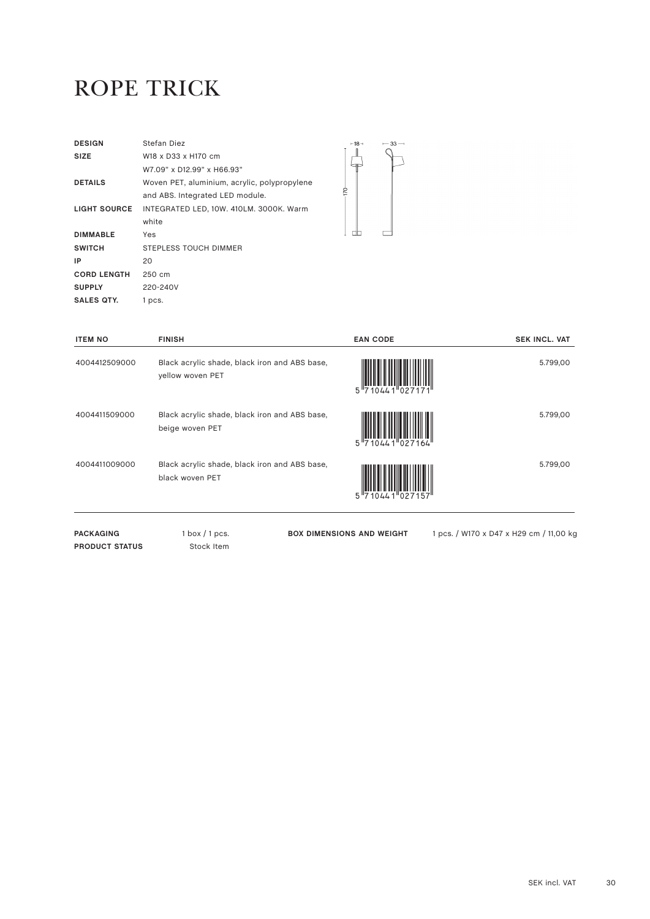#### ROPE TRICK

| <b>DESIGN</b>       | Stefan Diez                                  |
|---------------------|----------------------------------------------|
| <b>SIZE</b>         | W18 x D33 x H170 cm                          |
|                     | W7.09" x D12.99" x H66.93"                   |
| <b>DETAILS</b>      | Woven PET, aluminium, acrylic, polypropylene |
|                     | and ABS. Integrated LED module.              |
| <b>LIGHT SOURCE</b> | INTEGRATED LED, 10W. 410LM. 3000K. Warm      |
|                     | white                                        |
| <b>DIMMABLE</b>     | Yes                                          |
| <b>SWITCH</b>       | STEPLESS TOUCH DIMMER                        |
| IP                  | 20                                           |
| <b>CORD LENGTH</b>  | 250 cm                                       |
| <b>SUPPLY</b>       | 220-240V                                     |
| SALES QTY.          | 1 pcs.                                       |



| <b>ITEM NO</b>                            | <b>FINISH</b>                                                     | <b>EAN CODE</b>                  | <b>SEK INCL. VAT</b>                    |
|-------------------------------------------|-------------------------------------------------------------------|----------------------------------|-----------------------------------------|
| 4004412509000                             | Black acrylic shade, black iron and ABS base,<br>yellow woven PET | 5 710441 027171                  | 5.799,00                                |
| 4004411509000                             | Black acrylic shade, black iron and ABS base,<br>beige woven PET  | 5 710441 027164                  | 5.799,00                                |
| 4004411009000                             | Black acrylic shade, black iron and ABS base,<br>black woven PET  | 5 7 1044 1 0 2 7 1 5 7           | 5.799,00                                |
| <b>PACKAGING</b><br><b>PRODUCT STATUS</b> | $1$ box $/1$ pcs.<br>Stock Item                                   | <b>BOX DIMENSIONS AND WEIGHT</b> | 1 pcs. / W170 x D47 x H29 cm / 11,00 kg |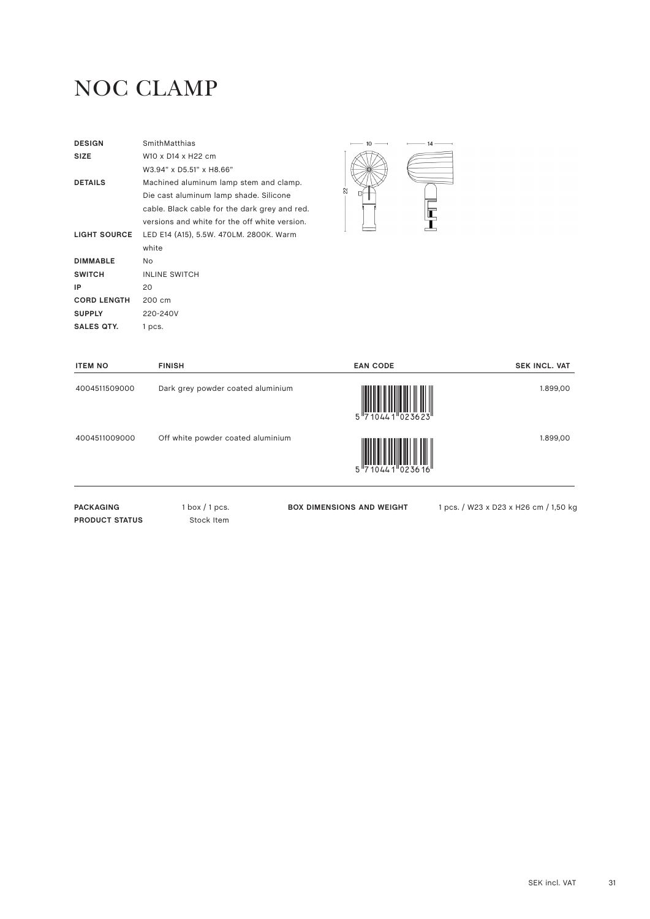# NOC CLAMP

| <b>DESIGN</b>       | SmithMatthias                                 |    | 10. | 14 |
|---------------------|-----------------------------------------------|----|-----|----|
| <b>SIZE</b>         | W10 x D14 x H22 cm                            |    |     |    |
|                     | W3.94" x D5.51" x H8.66"                      |    |     |    |
| <b>DETAILS</b>      | Machined aluminum lamp stem and clamp.        |    |     |    |
|                     | Die cast aluminum lamp shade. Silicone        | 22 |     |    |
|                     | cable. Black cable for the dark grey and red. |    |     |    |
|                     | versions and white for the off white version. |    |     |    |
| <b>LIGHT SOURCE</b> | LED E14 (A15), 5.5W. 470LM. 2800K. Warm       |    |     |    |
|                     | white                                         |    |     |    |
| <b>DIMMABLE</b>     | No                                            |    |     |    |
| <b>SWITCH</b>       | <b>INLINE SWITCH</b>                          |    |     |    |
| IP.                 | 20                                            |    |     |    |
| <b>CORD LENGTH</b>  | 200 cm                                        |    |     |    |
| <b>SUPPLY</b>       | 220-240V                                      |    |     |    |
| SALES QTY.          | 1 pcs.                                        |    |     |    |
|                     |                                               |    |     |    |

| <b>ITEM NO</b>                            | <b>FINISH</b>                     | <b>EAN CODE</b>                  | <b>SEK INCL. VAT</b>                  |
|-------------------------------------------|-----------------------------------|----------------------------------|---------------------------------------|
| 4004511509000                             | Dark grey powder coated aluminium | 5 710441 023623                  | 1.899,00                              |
| 4004511009000                             | Off white powder coated aluminium | 5 710441 023616                  | 1.899,00                              |
| <b>PACKAGING</b><br><b>PRODUCT STATUS</b> | $1$ box $/1$ pcs.<br>Stock Item   | <b>BOX DIMENSIONS AND WEIGHT</b> | 1 pcs. / W23 x D23 x H26 cm / 1,50 kg |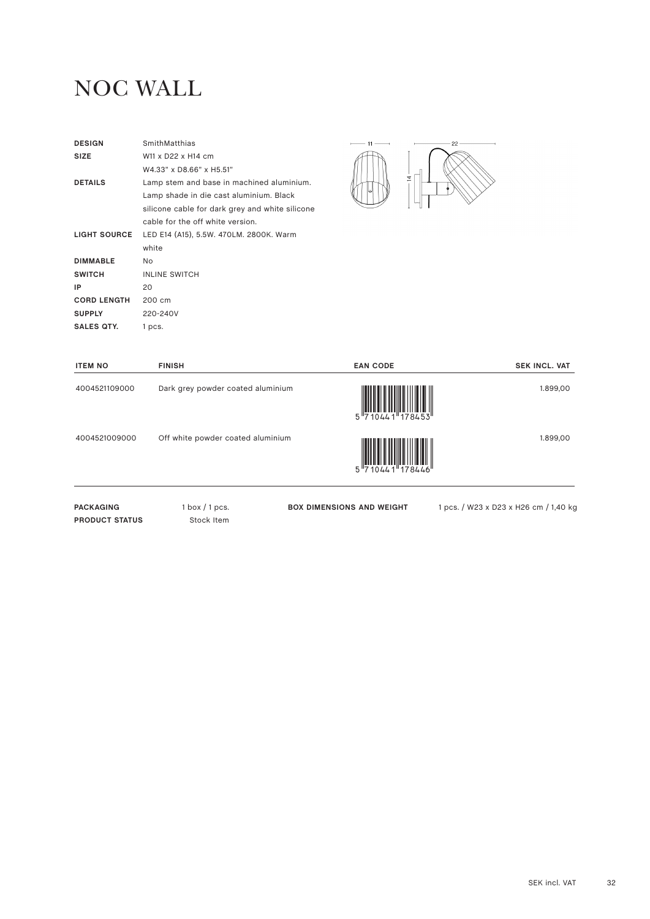#### NOC WALL

| <b>DESIGN</b>       | SmithMatthias                                   |
|---------------------|-------------------------------------------------|
| <b>SIZE</b>         | W11 x D22 x H14 cm                              |
|                     | W4.33" x D8.66" x H5.51"                        |
| <b>DETAILS</b>      | Lamp stem and base in machined aluminium.       |
|                     | Lamp shade in die cast aluminium. Black         |
|                     | silicone cable for dark grey and white silicone |
|                     | cable for the off white version.                |
| <b>LIGHT SOURCE</b> | LED E14 (A15), 5.5W. 470LM. 2800K. Warm         |
|                     | white                                           |
| <b>DIMMABLE</b>     | No.                                             |
| <b>SWITCH</b>       | <b>INLINE SWITCH</b>                            |
| IP                  | 20                                              |
| <b>CORD LENGTH</b>  | 200 cm                                          |
| <b>SUPPLY</b>       | 220-240V                                        |
| <b>SALES QTY.</b>   | 1 pcs.                                          |



| <b>ITEM NO</b>                            | <b>FINISH</b>                     | <b>EAN CODE</b>                  | <b>SEK INCL. VAT</b>                  |
|-------------------------------------------|-----------------------------------|----------------------------------|---------------------------------------|
| 4004521109000                             | Dark grey powder coated aluminium | 5 710441 178453                  | 1.899,00                              |
| 4004521009000                             | Off white powder coated aluminium | 5 710441 178446                  | 1.899,00                              |
| <b>PACKAGING</b><br><b>PRODUCT STATUS</b> | $1$ box $/1$ pcs.<br>Stock Item   | <b>BOX DIMENSIONS AND WEIGHT</b> | 1 pcs. / W23 x D23 x H26 cm / 1,40 kg |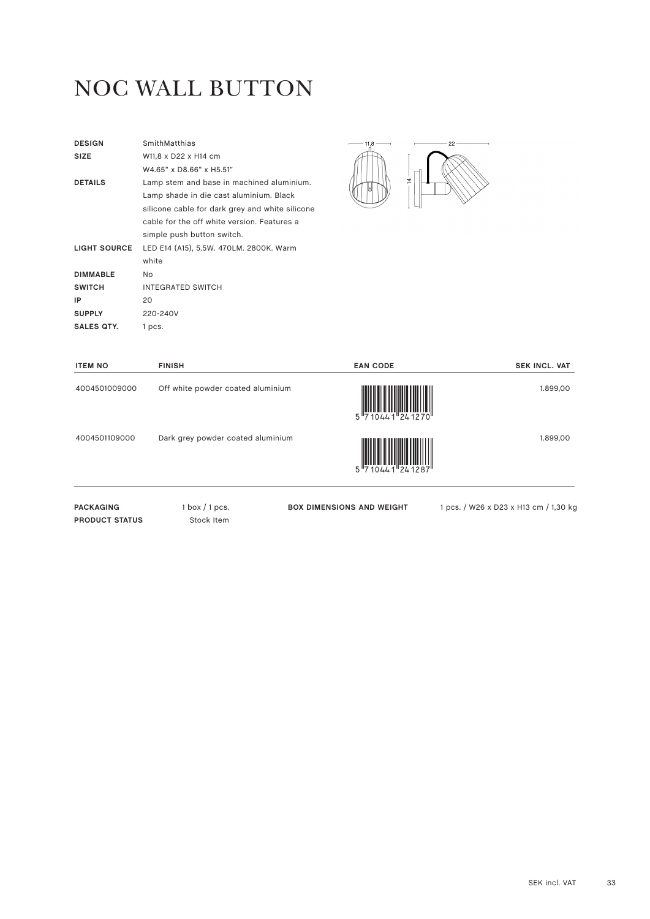# NOC WALL BUTTON

| SmithMatthias                                   |
|-------------------------------------------------|
| W11,8 x D22 x H14 cm                            |
| W4.65" x D8.66" x H5.51"                        |
| Lamp stem and base in machined aluminium.       |
| Lamp shade in die cast aluminium. Black         |
| silicone cable for dark grey and white silicone |
| cable for the off white version. Features a     |
| simple push button switch.                      |
| LED E14 (A15), 5.5W. 470LM. 2800K. Warm         |
| white                                           |
| No.                                             |
| <b>INTEGRATED SWITCH</b>                        |
| 20                                              |
| 220-240V                                        |
| 1 pcs.                                          |
|                                                 |



| <b>ITEM NO</b>                            | <b>FINISH</b>                     | <b>EAN CODE</b>                  | <b>SEK INCL. VAT</b>                  |
|-------------------------------------------|-----------------------------------|----------------------------------|---------------------------------------|
| 4004501009000                             | Off white powder coated aluminium | 5 710441 241270                  | 1.899,00                              |
| 4004501109000                             | Dark grey powder coated aluminium |                                  | 1.899,00                              |
| <b>PACKAGING</b><br><b>PRODUCT STATUS</b> | $1$ box $/1$ pcs.<br>Stock Item   | <b>BOX DIMENSIONS AND WEIGHT</b> | 1 pcs. / W26 x D23 x H13 cm / 1,30 kc |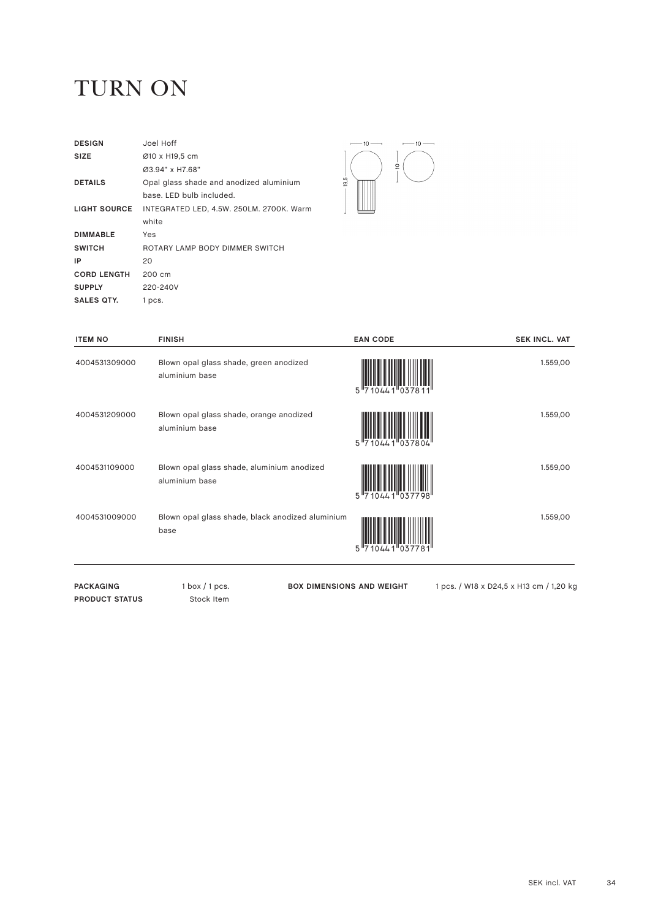#### TURN ON

| <b>DESIGN</b>      | Joel Hoff                                |
|--------------------|------------------------------------------|
| <b>SIZE</b>        | Ø10 x H19,5 cm                           |
|                    | Ø3.94" x H7.68"                          |
| <b>DETAILS</b>     | Opal glass shade and anodized aluminium  |
|                    | base. LED bulb included.                 |
| LIGHT SOURCE       | INTEGRATED LED, 4.5W. 250LM. 2700K. Warm |
|                    | white                                    |
| <b>DIMMABLE</b>    | Yes                                      |
| <b>SWITCH</b>      | ROTARY LAMP BODY DIMMER SWITCH           |
| ΙP                 | 20                                       |
| <b>CORD LENGTH</b> | 200 cm                                   |
| <b>SUPPLY</b>      | 220-240V                                 |
| <b>SALES QTY.</b>  | 1 pcs.                                   |



| <b>ITEM NO</b> | <b>FINISH</b>                                                | <b>EAN CODE</b>            | <b>SEK INCL. VAT</b> |
|----------------|--------------------------------------------------------------|----------------------------|----------------------|
| 4004531309000  | Blown opal glass shade, green anodized<br>aluminium base     | 5 7 10 4 4 1 0 3 7 8 1 1 " | 1.559,00             |
| 4004531209000  | Blown opal glass shade, orange anodized<br>aluminium base    | 5 "7<br>$10441^{10}37804$  | 1.559,00             |
| 4004531109000  | Blown opal glass shade, aluminium anodized<br>aluminium base | 5 710441 037798            | 1.559,00             |
| 4004531009000  | Blown opal glass shade, black anodized aluminium<br>base     | 5 "7<br>0441 037781        | 1.559,00             |
|                |                                                              |                            |                      |

PACKAGING 1 box / 1 pcs. **PRODUCT STATUS** Stock Item

**BOX DIMENSIONS AND WEIGHT** 1 pcs. / W18 x D24,5 x H13 cm / 1,20 kg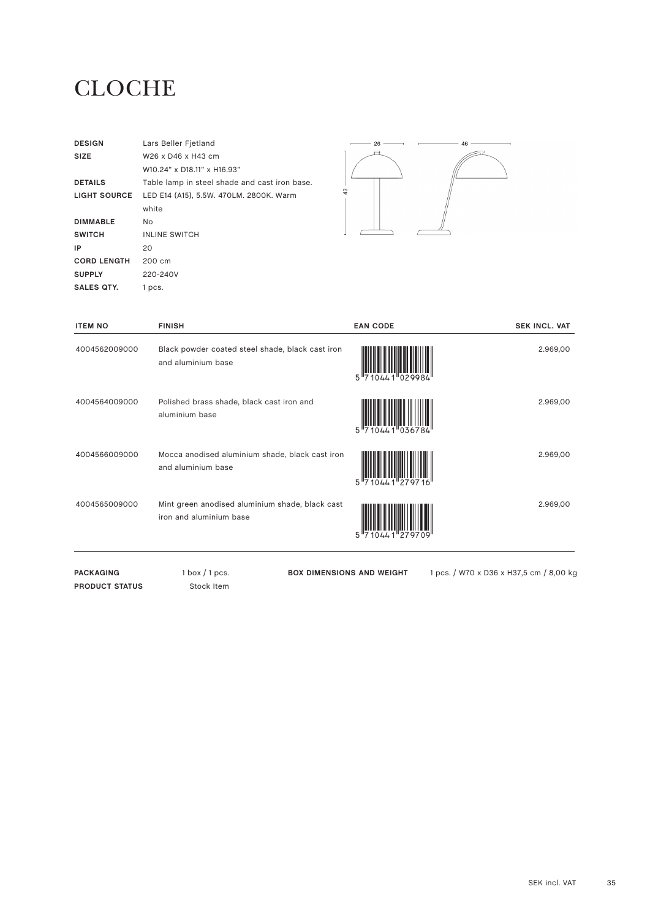#### **CLOCHE**

| <b>DESIGN</b>       | Lars Beller Fjetland                          |  |
|---------------------|-----------------------------------------------|--|
| <b>SIZE</b>         | W26 x D46 x H43 cm                            |  |
|                     | W10.24" x D18.11" x H16.93"                   |  |
| <b>DETAILS</b>      | Table lamp in steel shade and cast iron base. |  |
| <b>LIGHT SOURCE</b> | LED E14 (A15), 5.5W. 470LM. 2800K. Warm       |  |
|                     | white                                         |  |
| <b>DIMMABLE</b>     | No.                                           |  |
| <b>SWITCH</b>       | <b>INLINE SWITCH</b>                          |  |
| IP                  | 20                                            |  |
| <b>CORD LENGTH</b>  | 200 cm                                        |  |
| <b>SUPPLY</b>       | 220-240V                                      |  |
| <b>SALES QTY.</b>   | 1 pcs.                                        |  |



| <b>ITEM NO</b> | <b>FINISH</b>                                                              | <b>EAN CODE</b>                                 | <b>SEK INCL. VAT</b> |
|----------------|----------------------------------------------------------------------------|-------------------------------------------------|----------------------|
| 4004562009000  | Black powder coated steel shade, black cast iron<br>and aluminium base     | $10441^{\text{H}}029984^{\text{H}}$             | 2.969,00             |
| 4004564009000  | Polished brass shade, black cast iron and<br>aluminium base                | $10441$ <sup>1</sup> 036784 <sup>1</sup><br>5"7 | 2.969,00             |
| 4004566009000  | Mocca anodised aluminium shade, black cast iron<br>and aluminium base      | $10441$ <sup>279716</sup>                       | 2.969,00             |
| 4004565009000  | Mint green anodised aluminium shade, black cast<br>iron and aluminium base | "2707                                           | 2.969,00             |
|                |                                                                            |                                                 |                      |

PACKAGING 1 box / 1 pcs. **PRODUCT STATUS** Stock Item

**BOX DIMENSIONS AND WEIGHT** 1 pcs. / W70 x D36 x H37,5 cm / 8,00 kg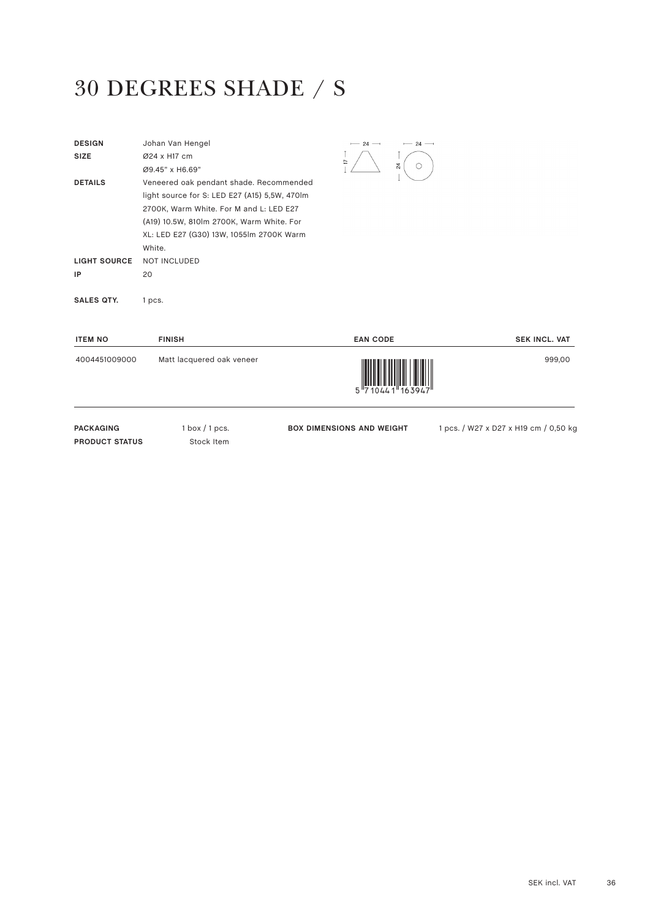# 30 DEGREES SHADE / S

| <b>DESIGN</b>       | Johan Van Hengel                              | $-24-$         | 24 |
|---------------------|-----------------------------------------------|----------------|----|
| <b>SIZE</b>         | Ø24 x H17 cm                                  | $\overline{1}$ |    |
|                     | Ø9.45" x H6.69"                               |                | 24 |
| <b>DETAILS</b>      | Veneered oak pendant shade. Recommended       |                |    |
|                     | light source for S: LED E27 (A15) 5,5W, 470lm |                |    |
|                     | 2700K, Warm White. For M and L: LED E27       |                |    |
|                     | (A19) 10.5W, 810lm 2700K, Warm White. For     |                |    |
|                     | XL: LED E27 (G30) 13W, 1055lm 2700K Warm      |                |    |
|                     | White.                                        |                |    |
| <b>LIGHT SOURCE</b> | <b>NOT INCLUDED</b>                           |                |    |
| IP                  | 20                                            |                |    |
|                     |                                               |                |    |
| <b>SALES QTY.</b>   | 1 pcs.                                        |                |    |

| <b>ITEM NO</b>   | <b>FINISH</b>             | <b>EAN CODE</b>                                                                                                                                                                                                                                                                                                                                                                                                                                                                                                                                                                           | <b>SEK INCL. VAT</b>                  |
|------------------|---------------------------|-------------------------------------------------------------------------------------------------------------------------------------------------------------------------------------------------------------------------------------------------------------------------------------------------------------------------------------------------------------------------------------------------------------------------------------------------------------------------------------------------------------------------------------------------------------------------------------------|---------------------------------------|
| 4004451009000    | Matt lacquered oak veneer | $\begin{array}{c} \begin{array}{c} \begin{array}{c} \end{array}\\ \begin{array}{c} \end{array}\\ \begin{array}{c} \end{array}\\ \begin{array}{c} \end{array}\\ \begin{array}{c} \end{array}\\ \begin{array}{c} \end{array}\\ \begin{array}{c} \end{array}\\ \begin{array}{c} \end{array}\\ \begin{array}{c} \end{array}\\ \begin{array}{c} \end{array}\\ \begin{array}{c} \end{array}\\ \begin{array}{c} \end{array}\\ \begin{array}{c} \end{array}\\ \begin{array}{c} \end{array}\\ \begin{array}{c} \end{array}\\ \begin{array}{c} \end{array}\\ \begin{array}{c} \end{array}\\ \begin$ | 999,00                                |
| <b>PACKAGING</b> | $1$ box $/1$ pcs.         | <b>BOX DIMENSIONS AND WEIGHT</b>                                                                                                                                                                                                                                                                                                                                                                                                                                                                                                                                                          | 1 pcs. / W27 x D27 x H19 cm / 0,50 kg |

**PRODUCT STATUS** Stock Item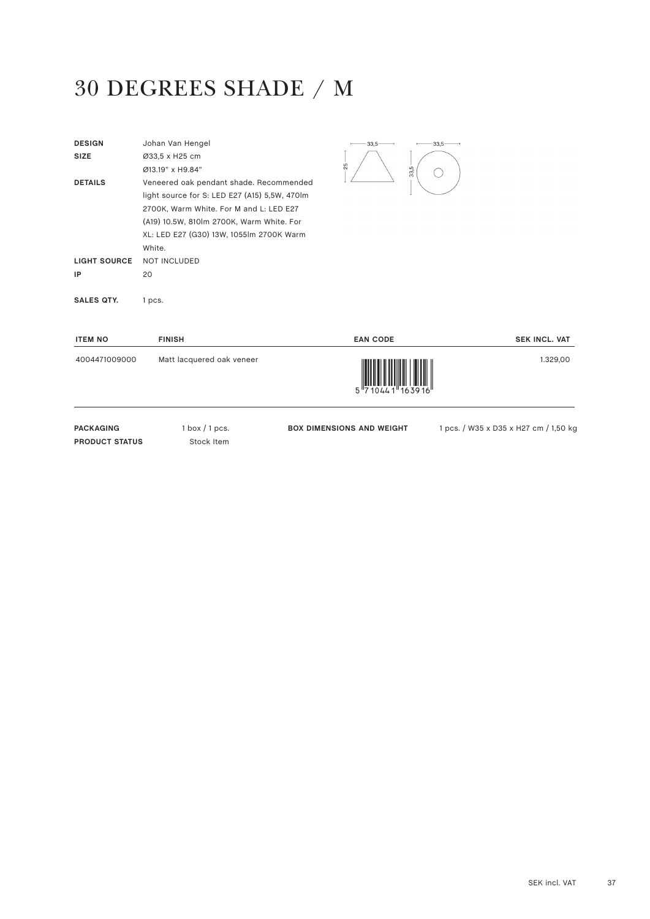## 30 DEGREES SHADE / M

| <b>DESIGN</b>       | Johan Van Hengel                              | 33,5 | $33,5-$ |
|---------------------|-----------------------------------------------|------|---------|
| <b>SIZE</b>         | Ø33,5 x H25 cm                                |      |         |
|                     | Ø13.19" x H9.84"                              | 25   | 33,5    |
| <b>DETAILS</b>      | Veneered oak pendant shade. Recommended       |      |         |
|                     | light source for S: LED E27 (A15) 5,5W, 470lm |      |         |
|                     | 2700K, Warm White. For M and L: LED E27       |      |         |
|                     | (A19) 10.5W, 810lm 2700K, Warm White. For     |      |         |
|                     | XL: LED E27 (G30) 13W, 1055lm 2700K Warm      |      |         |
|                     | White.                                        |      |         |
| <b>LIGHT SOURCE</b> | <b>NOT INCLUDED</b>                           |      |         |
| IP                  | 20                                            |      |         |
|                     |                                               |      |         |
| <b>SALES QTY.</b>   | 1 pcs.                                        |      |         |
|                     |                                               |      |         |

| <b>ITEM NO</b> | <b>FINISH</b>             | <b>EAN CODE</b>                                                                                                                                                                                                                                                                                                                                                                                                                                                                                                                                                 | <b>SEK INCL. VAT</b> |
|----------------|---------------------------|-----------------------------------------------------------------------------------------------------------------------------------------------------------------------------------------------------------------------------------------------------------------------------------------------------------------------------------------------------------------------------------------------------------------------------------------------------------------------------------------------------------------------------------------------------------------|----------------------|
| 4004471009000  | Matt lacquered oak veneer | $\begin{array}{c} \begin{array}{c} \begin{array}{c} \end{array} \\ \begin{array}{c} \end{array} \\ \begin{array}{c} \end{array} \\ \begin{array}{c} \end{array} \\ \begin{array}{c} \end{array} \\ \begin{array}{c} \end{array} \\ \begin{array}{c} \end{array} \\ \begin{array}{c} \end{array} \\ \begin{array}{c} \end{array} \\ \begin{array}{c} \end{array} \\ \begin{array}{c} \end{array} \\ \begin{array}{c} \end{array} \\ \begin{array}{c} \end{array} \\ \begin{array}{c} \end{array} \\ \begin{array}{c} \end{array} \\ \begin{array}{c} \end{array$ | 1.329,00             |
|                |                           |                                                                                                                                                                                                                                                                                                                                                                                                                                                                                                                                                                 |                      |

PACKAGING 1 box / 1 pcs. **PRODUCT STATUS** Stock Item

**BOX DIMENSIONS AND WEIGHT** 1 pcs. / W35 x D35 x H27 cm / 1,50 kg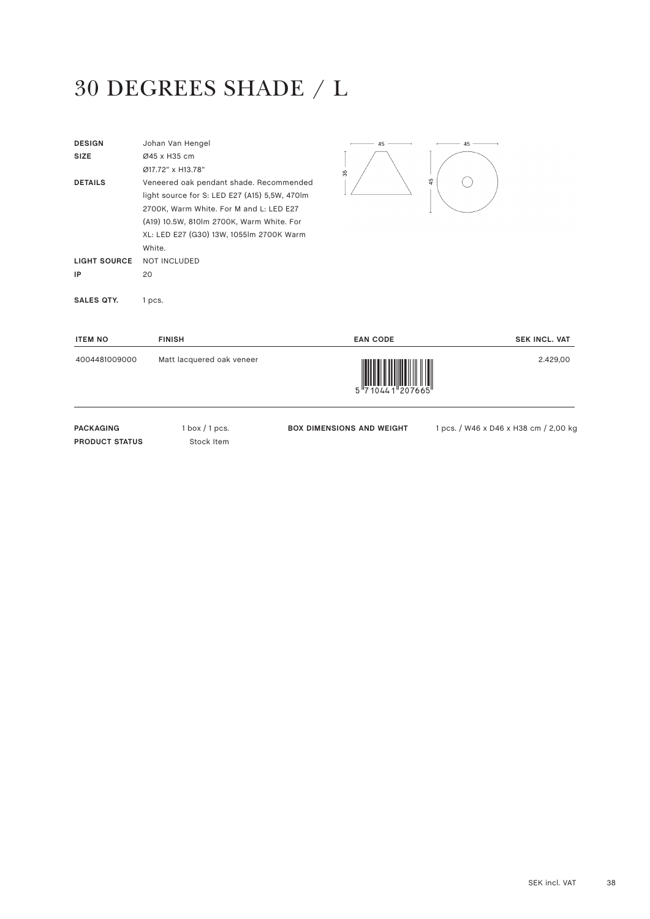## 30 DEGREES SHADE / L

| <b>DESIGN</b><br><b>SIZE</b> | Johan Van Hengel<br>Ø45 x H35 cm<br>Ø17.72" x H13.78"                                                                                                                                                                                  | 45<br>35 | 45 |
|------------------------------|----------------------------------------------------------------------------------------------------------------------------------------------------------------------------------------------------------------------------------------|----------|----|
| <b>DETAILS</b>               | Veneered oak pendant shade. Recommended<br>light source for S: LED E27 (A15) 5,5W, 470lm<br>2700K, Warm White. For M and L: LED E27<br>(A19) 10.5W, 810lm 2700K, Warm White. For<br>XL: LED E27 (G30) 13W, 1055lm 2700K Warm<br>White. |          | 45 |
| <b>LIGHT SOURCE</b>          | <b>NOT INCLUDED</b>                                                                                                                                                                                                                    |          |    |
| IP                           | 20                                                                                                                                                                                                                                     |          |    |
| <b>SALES QTY.</b>            | 1 pcs.                                                                                                                                                                                                                                 |          |    |

| <b>ITEM NO</b> | <b>FINISH</b>             | <b>EAN CODE</b>                                                                                                                                                                                                                                                                                                                                                                                                                                                                                                                                                 | <b>SEK INCL. VAT</b> |
|----------------|---------------------------|-----------------------------------------------------------------------------------------------------------------------------------------------------------------------------------------------------------------------------------------------------------------------------------------------------------------------------------------------------------------------------------------------------------------------------------------------------------------------------------------------------------------------------------------------------------------|----------------------|
| 4004481009000  | Matt lacquered oak veneer | $\begin{array}{c} \begin{array}{c} \begin{array}{c} \end{array} \\ \begin{array}{c} \end{array} \\ \begin{array}{c} \end{array} \\ \begin{array}{c} \end{array} \\ \begin{array}{c} \end{array} \\ \begin{array}{c} \end{array} \\ \begin{array}{c} \end{array} \\ \begin{array}{c} \end{array} \\ \begin{array}{c} \end{array} \\ \begin{array}{c} \end{array} \\ \begin{array}{c} \end{array} \\ \begin{array}{c} \end{array} \\ \begin{array}{c} \end{array} \\ \begin{array}{c} \end{array} \\ \begin{array}{c} \end{array} \\ \begin{array}{c} \end{array$ | 2.429,00             |
|                |                           |                                                                                                                                                                                                                                                                                                                                                                                                                                                                                                                                                                 |                      |

PACKAGING 1 box / 1 pcs. **PRODUCT STATUS** Stock Item

**BOX DIMENSIONS AND WEIGHT** 1 pcs. / W46 x D46 x H38 cm / 2,00 kg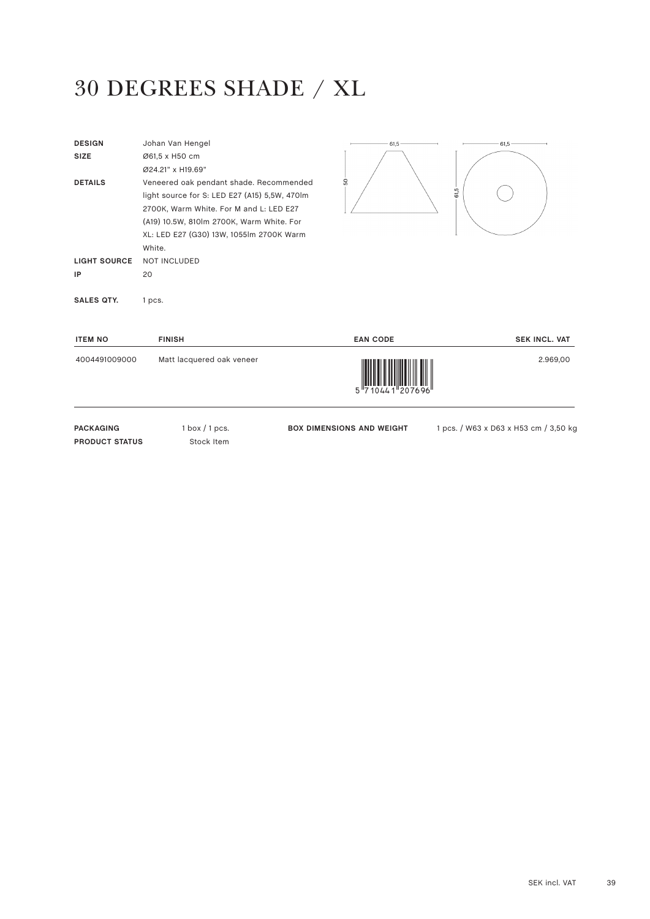#### 30 DEGREES SHADE / XL

| <b>DESIGN</b><br><b>SIZE</b><br><b>DETAILS</b> | Johan Van Hengel<br>Ø61,5 x H50 cm<br>Ø24.21" x H19.69"<br>Veneered oak pendant shade. Recommended<br>light source for S: LED E27 (A15) 5,5W, 470lm<br>2700K, Warm White. For M and L: LED E27<br>(A19) 10.5W, 810lm 2700K, Warm White. For<br>XL: LED E27 (G30) 13W, 1055lm 2700K Warm<br>White. | 61,5<br>SO | 61,5<br>61,5 |
|------------------------------------------------|---------------------------------------------------------------------------------------------------------------------------------------------------------------------------------------------------------------------------------------------------------------------------------------------------|------------|--------------|
| <b>LIGHT SOURCE</b>                            | <b>NOT INCLUDED</b>                                                                                                                                                                                                                                                                               |            |              |
| IP                                             | 20                                                                                                                                                                                                                                                                                                |            |              |
| <b>SALES QTY.</b>                              | 1 pcs.                                                                                                                                                                                                                                                                                            |            |              |

| <b>ITEM NO</b> | <b>FINISH</b>             | <b>EAN CODE</b>                                                                                                                                                                                                                                                                                                                                                                                                                                                                                                                                                 | <b>SEK INCL. VAT</b> |
|----------------|---------------------------|-----------------------------------------------------------------------------------------------------------------------------------------------------------------------------------------------------------------------------------------------------------------------------------------------------------------------------------------------------------------------------------------------------------------------------------------------------------------------------------------------------------------------------------------------------------------|----------------------|
| 4004491009000  | Matt lacquered oak veneer | $\begin{array}{c} \begin{array}{c} \begin{array}{c} \end{array} \\ \begin{array}{c} \end{array} \\ \begin{array}{c} \end{array} \\ \begin{array}{c} \end{array} \\ \begin{array}{c} \end{array} \\ \begin{array}{c} \end{array} \\ \begin{array}{c} \end{array} \\ \begin{array}{c} \end{array} \\ \begin{array}{c} \end{array} \\ \begin{array}{c} \end{array} \\ \begin{array}{c} \end{array} \\ \begin{array}{c} \end{array} \\ \begin{array}{c} \end{array} \\ \begin{array}{c} \end{array} \\ \begin{array}{c} \end{array} \\ \begin{array}{c} \end{array$ | 2.969,00             |
|                |                           |                                                                                                                                                                                                                                                                                                                                                                                                                                                                                                                                                                 |                      |

PACKAGING 1 box / 1 pcs. **PRODUCT STATUS** Stock Item

BOX DIMENSIONS AND WEIGHT 1 pcs. / W63 x D63 x H53 cm / 3,50 kg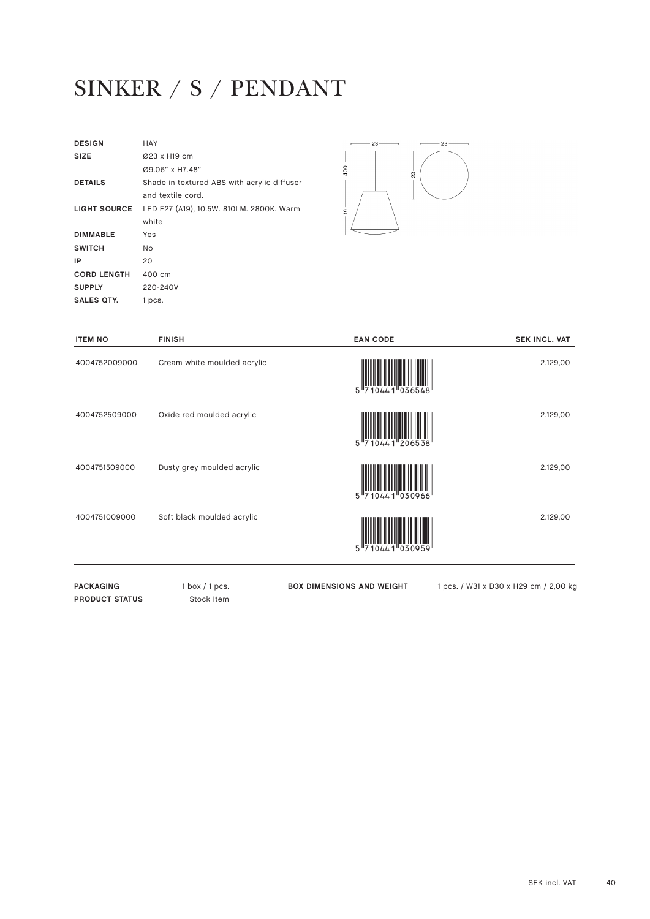## SINKER / S / PENDANT

| <b>DESIGN</b>       | HAY                                         |
|---------------------|---------------------------------------------|
| <b>SIZE</b>         | Ø23 x H19 cm                                |
|                     | Ø9.06" x H7.48"                             |
| <b>DETAILS</b>      | Shade in textured ABS with acrylic diffuser |
|                     | and textile cord.                           |
| <b>LIGHT SOURCE</b> | LED E27 (A19), 10.5W. 810LM. 2800K. Warm    |
|                     | white                                       |
| <b>DIMMABLE</b>     | Yes                                         |
| <b>SWITCH</b>       | No.                                         |
| IP                  | 20                                          |
| <b>CORD LENGTH</b>  | 400 cm                                      |
| <b>SUPPLY</b>       | 220-240V                                    |
| SALES OTY.          | 1 pcs.                                      |
|                     |                                             |



| <b>ITEM NO</b> | <b>FINISH</b>               | <b>EAN CODE</b>   | <b>SEK INCL. VAT</b> |
|----------------|-----------------------------|-------------------|----------------------|
| 4004752009000  | Cream white moulded acrylic | 5 710441 036548   | 2.129,00             |
| 4004752509000  | Oxide red moulded acrylic   | 5 710441 206538   | 2.129,00             |
| 4004751509000  | Dusty grey moulded acrylic  | 5 710441 030966   | 2.129,00             |
| 4004751009000  | Soft black moulded acrylic  | 5 7 1044 1 030959 | 2.129,00             |

PACKAGING 1 box / 1 pcs. **PRODUCT STATUS** Stock Item

**BOX DIMENSIONS AND WEIGHT** 1 pcs. / W31 x D30 x H29 cm / 2,00 kg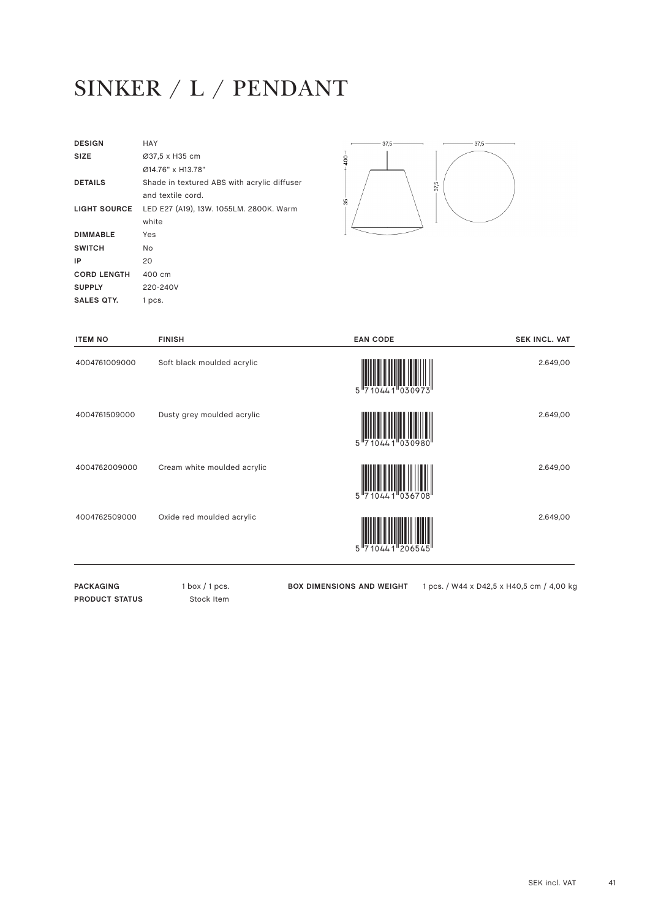## SINKER / L / PENDANT

| <b>DESIGN</b>       | HAY                                         |
|---------------------|---------------------------------------------|
| <b>SIZE</b>         | Ø37,5 x H35 cm                              |
|                     | Ø14.76" x H13.78"                           |
| <b>DETAILS</b>      | Shade in textured ABS with acrylic diffuser |
|                     | and textile cord.                           |
| <b>LIGHT SOURCE</b> | LED E27 (A19), 13W. 1055LM. 2800K. Warm     |
|                     | white                                       |
| <b>DIMMABLE</b>     | Yes                                         |
| <b>SWITCH</b>       | No.                                         |
| IP                  | 20                                          |
| <b>CORD LENGTH</b>  | 400 cm                                      |
| <b>SUPPLY</b>       | 220-240V                                    |
| SALES OTY.          | 1 pcs.                                      |
|                     |                                             |

PACKAGING 1 box / 1 pcs. **PRODUCT STATUS** Stock Item



| <b>FINISH</b>               | <b>EAN CODE</b>               | <b>SEK INCL. VAT</b> |
|-----------------------------|-------------------------------|----------------------|
| Soft black moulded acrylic  | 5 710441 030973               | 2.649,00             |
| Dusty grey moulded acrylic  | $5\frac{1}{7}$<br>0441 030980 | 2.649,00             |
| Cream white moulded acrylic | 5 710441 036708               | 2.649,00             |
| Oxide red moulded acrylic   | 5 710441 206545               | 2.649,00             |
|                             |                               |                      |

**BOX DIMENSIONS AND WEIGHT** 1 pcs. / W44 x D42,5 x H40,5 cm / 4,00 kg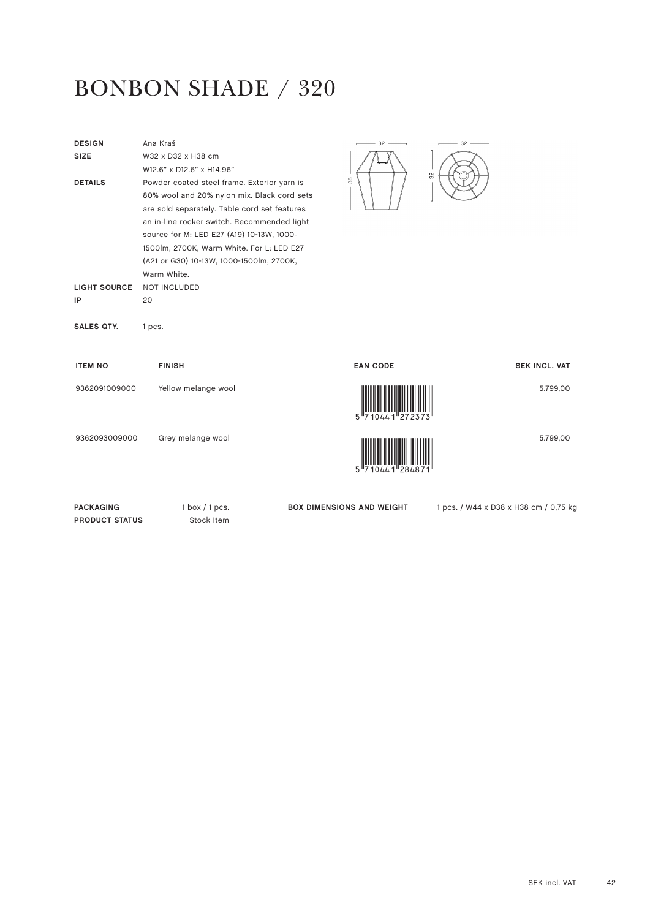#### BONBON SHADE / 320

| <b>DESIGN</b>         | Ana Kraš                                     | $-32-$                           | $32 -$                                |
|-----------------------|----------------------------------------------|----------------------------------|---------------------------------------|
| <b>SIZE</b>           | W32 x D32 x H38 cm                           |                                  |                                       |
|                       | W12.6" x D12.6" x H14.96"                    |                                  | 32                                    |
| <b>DETAILS</b>        | Powder coated steel frame. Exterior yarn is  | 38                               |                                       |
|                       | 80% wool and 20% nylon mix. Black cord sets  |                                  |                                       |
|                       | are sold separately. Table cord set features |                                  |                                       |
|                       | an in-line rocker switch. Recommended light  |                                  |                                       |
|                       | source for M: LED E27 (A19) 10-13W, 1000-    |                                  |                                       |
|                       | 1500lm, 2700K, Warm White. For L: LED E27    |                                  |                                       |
|                       | (A21 or G30) 10-13W, 1000-1500lm, 2700K,     |                                  |                                       |
|                       | Warm White.                                  |                                  |                                       |
| <b>LIGHT SOURCE</b>   | <b>NOT INCLUDED</b>                          |                                  |                                       |
| IP                    | 20                                           |                                  |                                       |
| <b>SALES QTY.</b>     | 1 pcs.                                       |                                  |                                       |
| <b>ITEM NO</b>        | <b>FINISH</b>                                | <b>EAN CODE</b>                  | <b>SEK INCL. VAT</b>                  |
| 9362091009000         | Yellow melange wool                          |                                  | 5.799,00                              |
|                       |                                              |                                  |                                       |
|                       |                                              |                                  |                                       |
|                       |                                              |                                  |                                       |
| 9362093009000         | Grey melange wool                            |                                  | 5.799,00                              |
|                       |                                              |                                  |                                       |
|                       |                                              |                                  |                                       |
|                       |                                              |                                  |                                       |
| <b>PACKAGING</b>      | $1$ box $/1$ pcs.                            | <b>BOX DIMENSIONS AND WEIGHT</b> | 1 pcs. / W44 x D38 x H38 cm / 0,75 kg |
| <b>PRODUCT STATUS</b> | Stock Item                                   |                                  |                                       |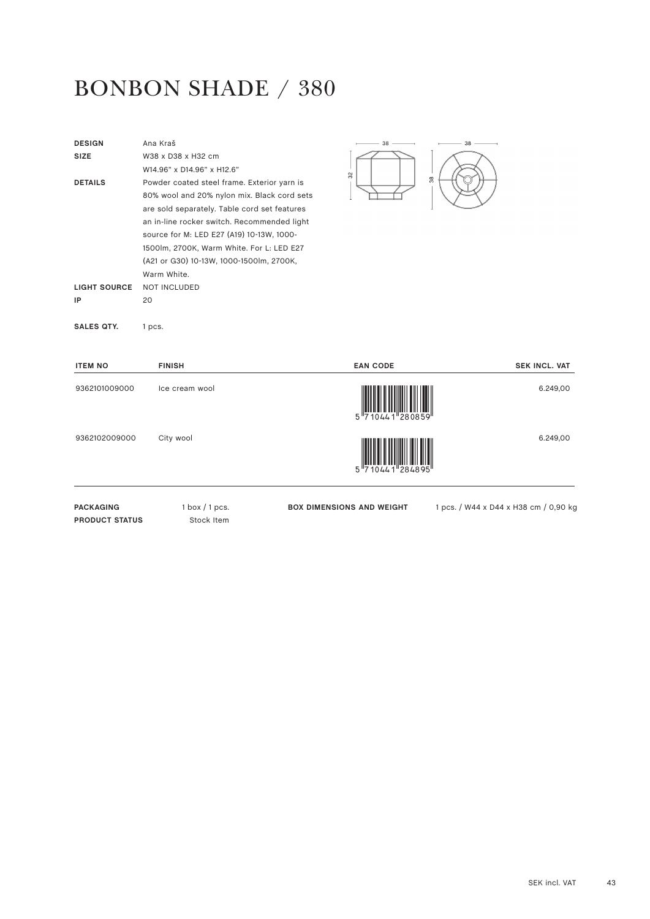#### BONBON SHADE / 380

| <b>DESIGN</b>         | Ana Kraš                                     | $-38 -$<br>$38 -$                |                                       |
|-----------------------|----------------------------------------------|----------------------------------|---------------------------------------|
| <b>SIZE</b>           | W38 x D38 x H32 cm                           |                                  |                                       |
|                       | W14.96" x D14.96" x H12.6"                   | 32                               |                                       |
| <b>DETAILS</b>        | Powder coated steel frame. Exterior yarn is  | $\frac{8}{3}$                    |                                       |
|                       | 80% wool and 20% nylon mix. Black cord sets  |                                  |                                       |
|                       | are sold separately. Table cord set features |                                  |                                       |
|                       | an in-line rocker switch. Recommended light  |                                  |                                       |
|                       | source for M: LED E27 (A19) 10-13W, 1000-    |                                  |                                       |
|                       | 1500lm, 2700K, Warm White. For L: LED E27    |                                  |                                       |
|                       | (A21 or G30) 10-13W, 1000-1500lm, 2700K,     |                                  |                                       |
|                       | Warm White.                                  |                                  |                                       |
| <b>LIGHT SOURCE</b>   | <b>NOT INCLUDED</b>                          |                                  |                                       |
| IP                    | 20                                           |                                  |                                       |
| <b>SALES QTY.</b>     | 1 pcs.                                       |                                  |                                       |
| <b>ITEM NO</b>        | <b>FINISH</b>                                | <b>EAN CODE</b>                  | <b>SEK INCL. VAT</b>                  |
| 9362101009000         | Ice cream wool                               |                                  | 6.249,00                              |
|                       |                                              |                                  |                                       |
|                       |                                              |                                  |                                       |
| 9362102009000         | City wool                                    |                                  | 6.249,00                              |
|                       |                                              |                                  |                                       |
|                       |                                              |                                  |                                       |
| <b>PACKAGING</b>      | $1$ box $/1$ pcs.                            | <b>BOX DIMENSIONS AND WEIGHT</b> | 1 pcs. / W44 x D44 x H38 cm / 0,90 kg |
| <b>PRODUCT STATUS</b> | Stock Item                                   |                                  |                                       |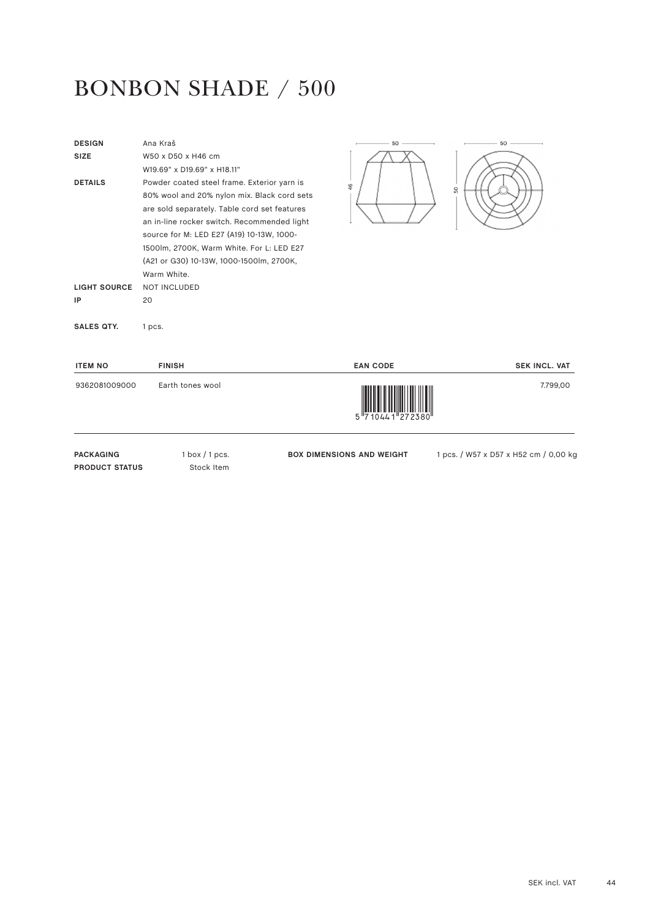#### BONBON SHADE / 500

| <b>DESIGN</b>       | Ana Kraš                                     | 50                               | 50                                    |
|---------------------|----------------------------------------------|----------------------------------|---------------------------------------|
| <b>SIZE</b>         | W50 x D50 x H46 cm                           |                                  |                                       |
|                     | W19.69" x D19.69" x H18.11"                  |                                  |                                       |
| <b>DETAILS</b>      | Powder coated steel frame. Exterior yarn is  | $\frac{6}{5}$                    | S <sub>0</sub>                        |
|                     | 80% wool and 20% nylon mix. Black cord sets  |                                  |                                       |
|                     | are sold separately. Table cord set features |                                  |                                       |
|                     | an in-line rocker switch. Recommended light  |                                  |                                       |
|                     | source for M: LED E27 (A19) 10-13W, 1000-    |                                  |                                       |
|                     | 1500lm, 2700K, Warm White. For L: LED E27    |                                  |                                       |
|                     | (A21 or G30) 10-13W, 1000-1500lm, 2700K,     |                                  |                                       |
|                     | Warm White.                                  |                                  |                                       |
| <b>LIGHT SOURCE</b> | <b>NOT INCLUDED</b>                          |                                  |                                       |
| IP                  | 20                                           |                                  |                                       |
| <b>SALES QTY.</b>   | 1 pcs.                                       |                                  |                                       |
| <b>ITEM NO</b>      | <b>FINISH</b>                                | <b>EAN CODE</b>                  | <b>SEK INCL. VAT</b>                  |
| 9362081009000       | Earth tones wool                             |                                  | 7.799,00                              |
| <b>PACKAGING</b>    | $1$ box $/1$ pcs.                            | <b>BOX DIMENSIONS AND WEIGHT</b> | 1 pcs. / W57 x D57 x H52 cm / 0,00 kg |

**PRODUCT STATUS** Stock Item

**BOX DIMENSIONS AND WEIGHT** 1 pcs. / W57 x D57 x H52 cm / 0,00 kg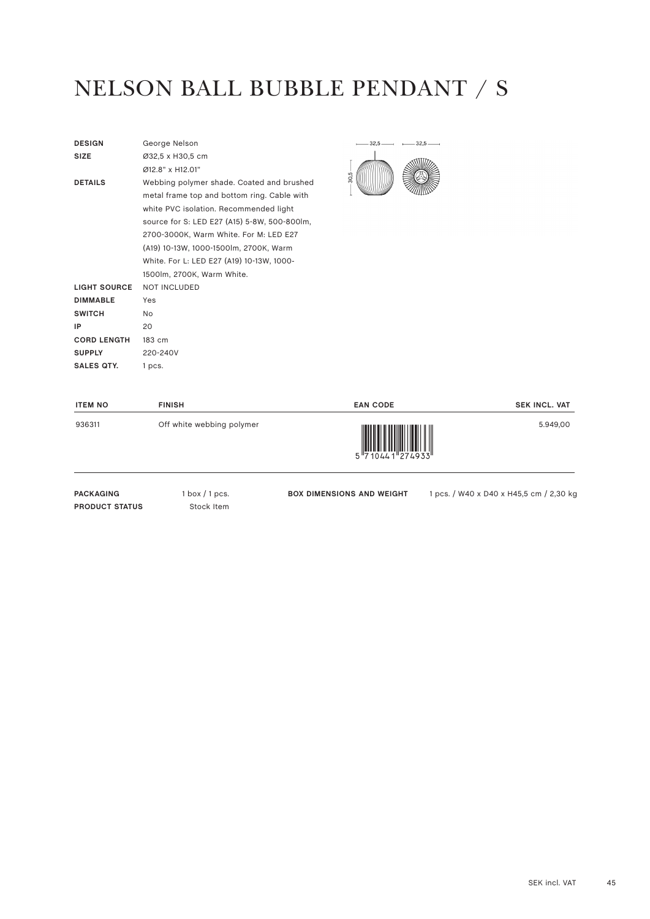## NELSON BALL BUBBLE PENDANT / S

| <b>DESIGN</b>       | George Nelson                                |
|---------------------|----------------------------------------------|
| <b>SIZE</b>         | Ø32,5 x H30,5 cm                             |
|                     | 012 8" x H12 01"                             |
| <b>DETAILS</b>      | Webbing polymer shade. Coated and brushed    |
|                     | metal frame top and bottom ring. Cable with  |
|                     | white PVC isolation. Recommended light       |
|                     | source for S: LED E27 (A15) 5-8W, 500-800lm, |
|                     | 2700-3000K, Warm White. For M: LED E27       |
|                     | (A19) 10-13W, 1000-1500lm, 2700K, Warm       |
|                     | White. For L: LED E27 (A19) 10-13W, 1000-    |
|                     | 1500lm, 2700K, Warm White.                   |
| <b>LIGHT SOURCE</b> | <b>NOT INCLUDED</b>                          |
| <b>DIMMABLE</b>     | Yes                                          |
| <b>SWITCH</b>       | No.                                          |
| IP                  | 20                                           |
| <b>CORD LENGTH</b>  | 183 cm                                       |
| <b>SUPPLY</b>       | 220-240V                                     |
| SALES OTY.          | 1 pcs.                                       |
|                     |                                              |



| <b>ITEM NO</b>                            | <b>FINISH</b>                                  | <b>EAN CODE</b>                  | <b>SEK INCL. VAT</b>                    |
|-------------------------------------------|------------------------------------------------|----------------------------------|-----------------------------------------|
| 936311                                    | Off white webbing polymer                      |                                  | 5.949,00                                |
| <b>PACKAGING</b><br><b>PRODUCT STATUS</b> | $1 \text{ box} / 1 \text{ pcs.}$<br>Stock Item | <b>BOX DIMENSIONS AND WEIGHT</b> | 1 pcs. / W40 x D40 x H45,5 cm / 2,30 kc |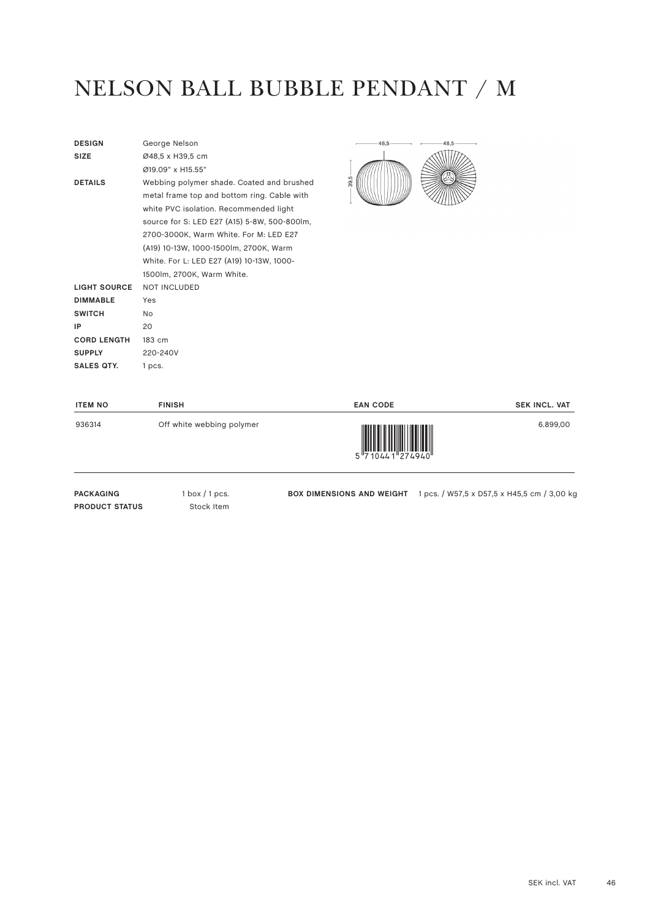## NELSON BALL BUBBLE PENDANT / M

| <b>DESIGN</b>       | George Nelson                                |
|---------------------|----------------------------------------------|
| <b>SIZE</b>         | Ø48,5 x H39,5 cm                             |
|                     | Ø19 09" x H15 55"                            |
| <b>DETAILS</b>      | Webbing polymer shade. Coated and brushed    |
|                     | metal frame top and bottom ring. Cable with  |
|                     | white PVC isolation. Recommended light       |
|                     | source for S: LED E27 (A15) 5-8W, 500-800lm, |
|                     | 2700-3000K, Warm White. For M: LED E27       |
|                     | (A19) 10-13W, 1000-1500lm, 2700K, Warm       |
|                     | White. For L: LED E27 (A19) 10-13W, 1000-    |
|                     | 1500lm, 2700K, Warm White.                   |
| <b>LIGHT SOURCE</b> | <b>NOT INCLUDED</b>                          |
| <b>DIMMABLE</b>     | Yes                                          |
| <b>SWITCH</b>       | No.                                          |
| IP                  | 20                                           |
| <b>CORD LENGTH</b>  | 183 cm                                       |
| <b>SUPPLY</b>       | 220-240V                                     |
| SALES OTY.          | 1 pcs.                                       |
|                     |                                              |



| <b>ITEM NO</b>   | <b>FINISH</b>             | <b>EAN CODE</b>                          | <b>SEK INCL. VAT</b>                        |
|------------------|---------------------------|------------------------------------------|---------------------------------------------|
| 936314           | Off white webbing polymer | $5\frac{1}{7}10441\frac{274940}{274940}$ | 6.899,00                                    |
| <b>PACKAGING</b> | l box / 1 pcs.            | <b>BOX DIMENSIONS AND WEIGHT</b>         | 1 pcs. / W57,5 x D57,5 x H45,5 cm / 3,00 kg |

**PRODUCT STATUS** Stock Item

**BOX DIMENSIONS AND WEIGHT** 1 pcs. / W57,5 x D57,5 x H45,5 cm / 3,00 kg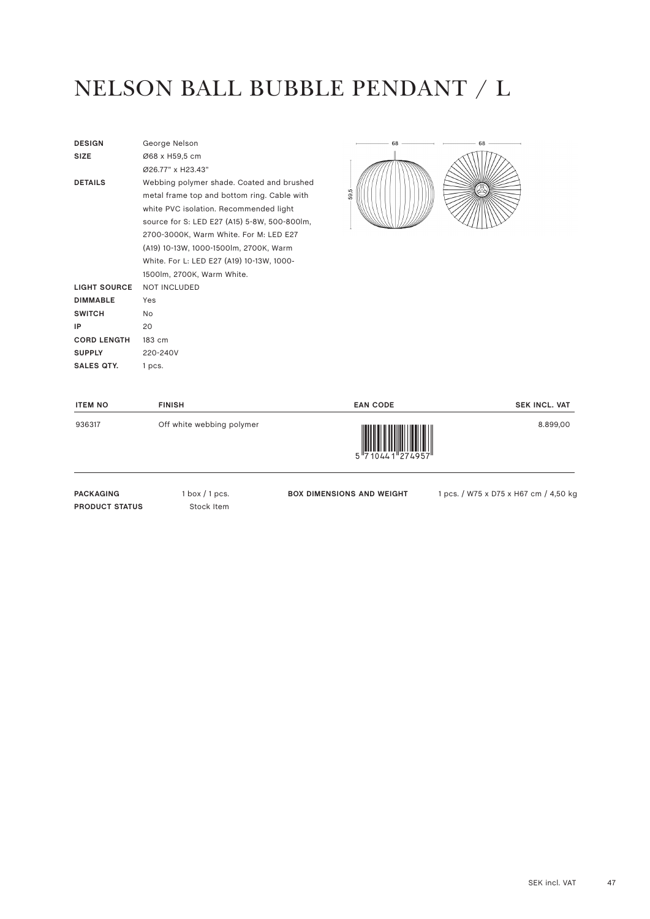## NELSON BALL BUBBLE PENDANT / L

| <b>DESIGN</b>       | George Nelson                                |
|---------------------|----------------------------------------------|
| <b>SIZE</b>         | Ø68 x H59,5 cm                               |
|                     | Ø26.77" x H23.43"                            |
| <b>DETAILS</b>      | Webbing polymer shade. Coated and brushed    |
|                     | metal frame top and bottom ring. Cable with  |
|                     | white PVC isolation. Recommended light       |
|                     | source for S: LED E27 (A15) 5-8W, 500-800lm, |
|                     | 2700-3000K, Warm White. For M: LED E27       |
|                     | (A19) 10-13W, 1000-1500lm, 2700K, Warm       |
|                     | White. For L: LED E27 (A19) 10-13W, 1000-    |
|                     | 1500lm, 2700K, Warm White.                   |
| <b>LIGHT SOURCE</b> | <b>NOT INCLUDED</b>                          |
| <b>DIMMABLE</b>     | Yes                                          |
| <b>SWITCH</b>       | No                                           |
| IP                  | 20                                           |
| <b>CORD LENGTH</b>  | 183 cm                                       |
| <b>SUPPLY</b>       | 220-240V                                     |
| SALES OTY.          | 1 pcs.                                       |
|                     |                                              |



| <b>ITEM NO</b>                            | <b>FINISH</b>                   | <b>EAN CODE</b>                  | <b>SEK INCL. VAT</b>                  |
|-------------------------------------------|---------------------------------|----------------------------------|---------------------------------------|
| 936317                                    | Off white webbing polymer       | II<br>5 7 10 4 4 1 2 7 4 9 5 7 1 | 8.899,00                              |
| <b>PACKAGING</b><br><b>PRODUCT STATUS</b> | $1$ box $/1$ pcs.<br>Stock Item | <b>BOX DIMENSIONS AND WEIGHT</b> | 1 pcs. / W75 x D75 x H67 cm / 4,50 kc |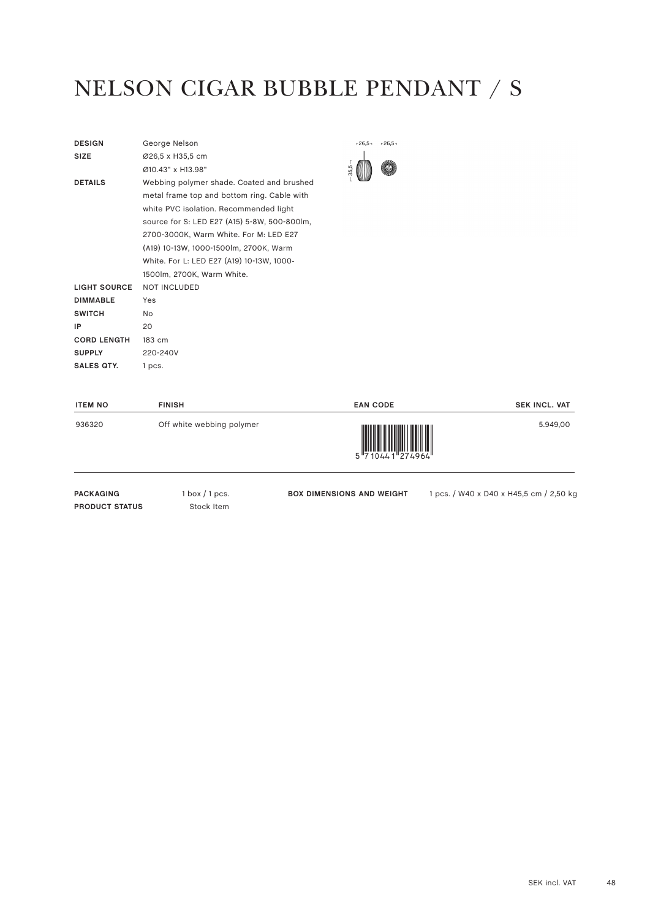#### NELSON CIGAR BUBBLE PENDANT / S

| <b>DESIGN</b>       | George Nelson                                |
|---------------------|----------------------------------------------|
| <b>SIZE</b>         | Ø26,5 x H35,5 cm                             |
|                     | Ø10.43" x H13.98"                            |
| <b>DETAILS</b>      | Webbing polymer shade. Coated and brushed    |
|                     | metal frame top and bottom ring. Cable with  |
|                     | white PVC isolation. Recommended light       |
|                     | source for S: LED E27 (A15) 5-8W, 500-800lm, |
|                     | 2700-3000K, Warm White. For M: LED E27       |
|                     | (A19) 10-13W, 1000-1500lm, 2700K, Warm       |
|                     | White. For L: LED E27 (A19) 10-13W, 1000-    |
|                     | 1500lm, 2700K, Warm White.                   |
| <b>LIGHT SOURCE</b> | <b>NOT INCLUDED</b>                          |
| <b>DIMMABLE</b>     | Yes                                          |
| <b>SWITCH</b>       | N <sub>o</sub>                               |
| IP                  | 20                                           |
| <b>CORD LENGTH</b>  | $183 \text{ cm}$                             |
| <b>SUPPLY</b>       | 220-240V                                     |
| SALES OTY.          | 1 pcs.                                       |
|                     |                                              |

|     | $+26,5-$ | $-26,5-$ |
|-----|----------|----------|
| 35, |          |          |

| <b>ITEM NO</b>                            | <b>FINISH</b>                   | <b>EAN CODE</b>                  | <b>SEK INCL. VAT</b>                    |
|-------------------------------------------|---------------------------------|----------------------------------|-----------------------------------------|
| 936320                                    | Off white webbing polymer       | 5 710441 274964                  | 5.949,00                                |
| <b>PACKAGING</b><br><b>PRODUCT STATUS</b> | $1$ box $/1$ pcs.<br>Stock Item | <b>BOX DIMENSIONS AND WEIGHT</b> | 1 pcs. / W40 x D40 x H45,5 cm / 2,50 kg |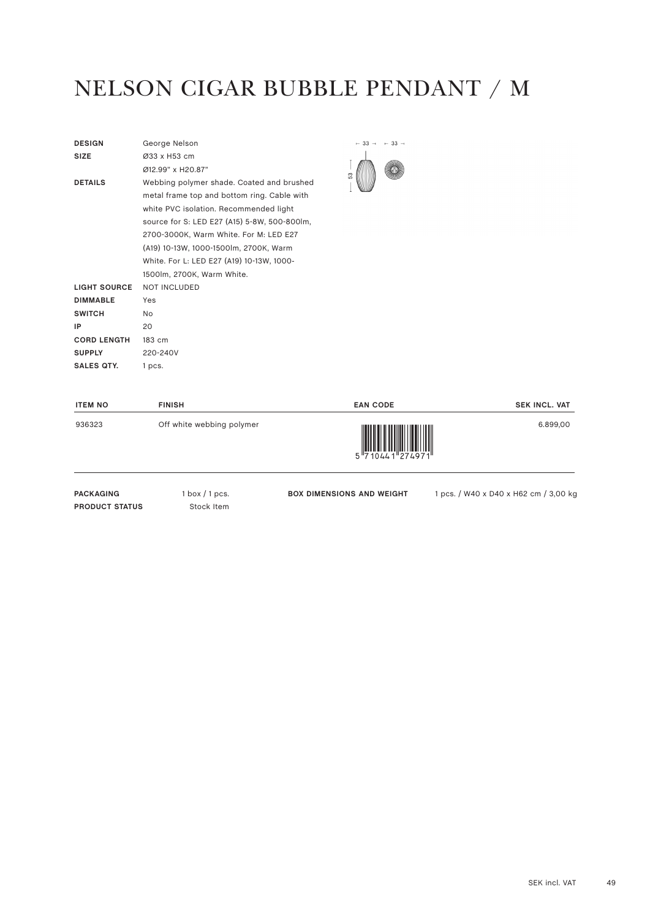## NELSON CIGAR BUBBLE PENDANT / M

| <b>DESIGN</b>       | George Nelson                                |
|---------------------|----------------------------------------------|
| <b>SIZE</b>         | Ø33 x H53 cm                                 |
|                     | Ø12.99" x H20.87"                            |
| <b>DETAILS</b>      | Webbing polymer shade. Coated and brushed    |
|                     | metal frame top and bottom ring. Cable with  |
|                     | white PVC isolation. Recommended light       |
|                     | source for S: LED E27 (A15) 5-8W, 500-800lm, |
|                     | 2700-3000K, Warm White. For M: LED E27       |
|                     | (A19) 10-13W, 1000-1500lm, 2700K, Warm       |
|                     | White. For L: LED E27 (A19) 10-13W, 1000-    |
|                     | 1500lm, 2700K, Warm White.                   |
| <b>LIGHT SOURCE</b> | <b>NOT INCLUDED</b>                          |
| <b>DIMMABLE</b>     | Yes                                          |
| <b>SWITCH</b>       | No                                           |
| IP                  | 20                                           |
| <b>CORD LENGTH</b>  | 183 cm                                       |
| <b>SUPPLY</b>       | 220-240V                                     |
| SALES OTY.          | 1 pcs.                                       |



| <b>ITEM NO</b>                            | <b>FINISH</b>                   | <b>EAN CODE</b>                  | <b>SEK INCL. VAT</b>                  |
|-------------------------------------------|---------------------------------|----------------------------------|---------------------------------------|
| 936323                                    | Off white webbing polymer       | 5 7 10 4 4 1 2 7 4 9 7 1         | 6.899,00                              |
| <b>PACKAGING</b><br><b>PRODUCT STATUS</b> | $1$ box $/1$ pcs.<br>Stock Item | <b>BOX DIMENSIONS AND WEIGHT</b> | 1 pcs. / W40 x D40 x H62 cm / 3,00 kc |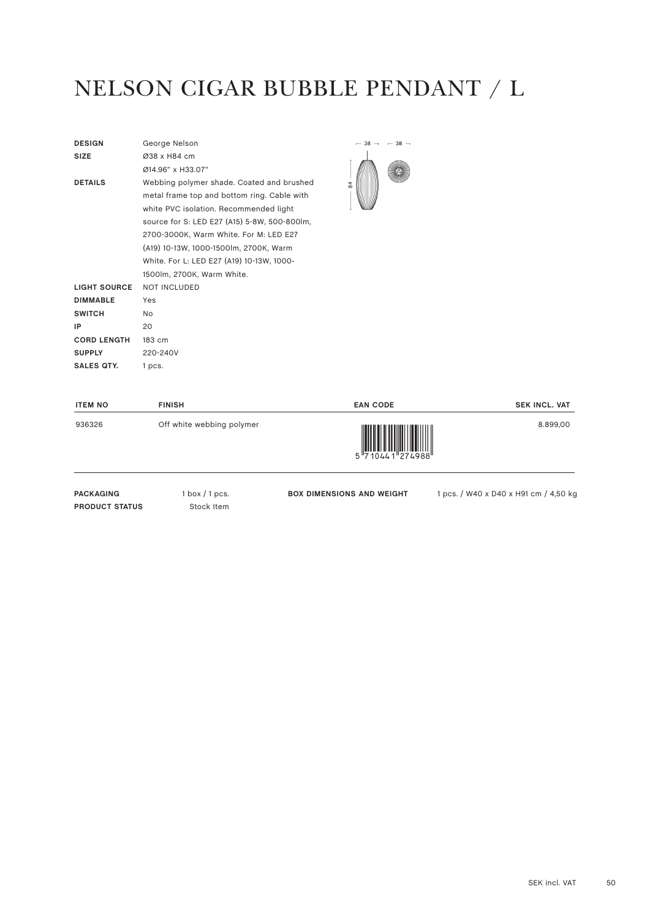## NELSON CIGAR BUBBLE PENDANT / L

| <b>DESIGN</b>       | George Nelson                                |
|---------------------|----------------------------------------------|
| <b>SIZE</b>         | Ø38 x H84 cm                                 |
|                     | Ø14.96" x H33.07"                            |
| <b>DETAILS</b>      | Webbing polymer shade. Coated and brushed    |
|                     | metal frame top and bottom ring. Cable with  |
|                     | white PVC isolation. Recommended light       |
|                     | source for S: LED E27 (A15) 5-8W, 500-800lm, |
|                     | 2700-3000K, Warm White. For M: LED E27       |
|                     | (A19) 10-13W, 1000-1500lm, 2700K, Warm       |
|                     | White. For L: LED E27 (A19) 10-13W, 1000-    |
|                     | 1500lm, 2700K, Warm White.                   |
| <b>LIGHT SOURCE</b> | <b>NOT INCLUDED</b>                          |
| <b>DIMMABLE</b>     | Yes                                          |
| <b>SWITCH</b>       | No                                           |
| IP                  | 20                                           |
| <b>CORD LENGTH</b>  | 183 cm                                       |
| <b>SUPPLY</b>       | 220-240V                                     |
| <b>SALES QTY.</b>   | 1 pcs.                                       |
|                     |                                              |



| <b>ITEM NO</b>                            | <b>FINISH</b>                   | <b>EAN CODE</b>                                                                                                                                                                                                                                                                                                                                                                                                                                                                                                                                                                           | <b>SEK INCL. VAT</b>                  |
|-------------------------------------------|---------------------------------|-------------------------------------------------------------------------------------------------------------------------------------------------------------------------------------------------------------------------------------------------------------------------------------------------------------------------------------------------------------------------------------------------------------------------------------------------------------------------------------------------------------------------------------------------------------------------------------------|---------------------------------------|
| 936326                                    | Off white webbing polymer       | $\begin{array}{c} \begin{array}{c} \begin{array}{c} \end{array}\\ \begin{array}{c} \end{array}\\ \begin{array}{c} \end{array}\\ \begin{array}{c} \end{array}\\ \begin{array}{c} \end{array}\\ \begin{array}{c} \end{array}\\ \begin{array}{c} \end{array}\\ \begin{array}{c} \end{array}\\ \begin{array}{c} \end{array}\\ \begin{array}{c} \end{array}\\ \begin{array}{c} \end{array}\\ \begin{array}{c} \end{array}\\ \begin{array}{c} \end{array}\\ \begin{array}{c} \end{array}\\ \begin{array}{c} \end{array}\\ \begin{array}{c} \end{array}\\ \begin{array}{c} \end{array}\\ \begin$ | 8.899,00                              |
| <b>PACKAGING</b><br><b>PRODUCT STATUS</b> | $1$ box $/1$ pcs.<br>Stock Item | <b>BOX DIMENSIONS AND WEIGHT</b>                                                                                                                                                                                                                                                                                                                                                                                                                                                                                                                                                          | 1 pcs. / W40 x D40 x H91 cm / 4,50 kg |

SEK incl. VAT 50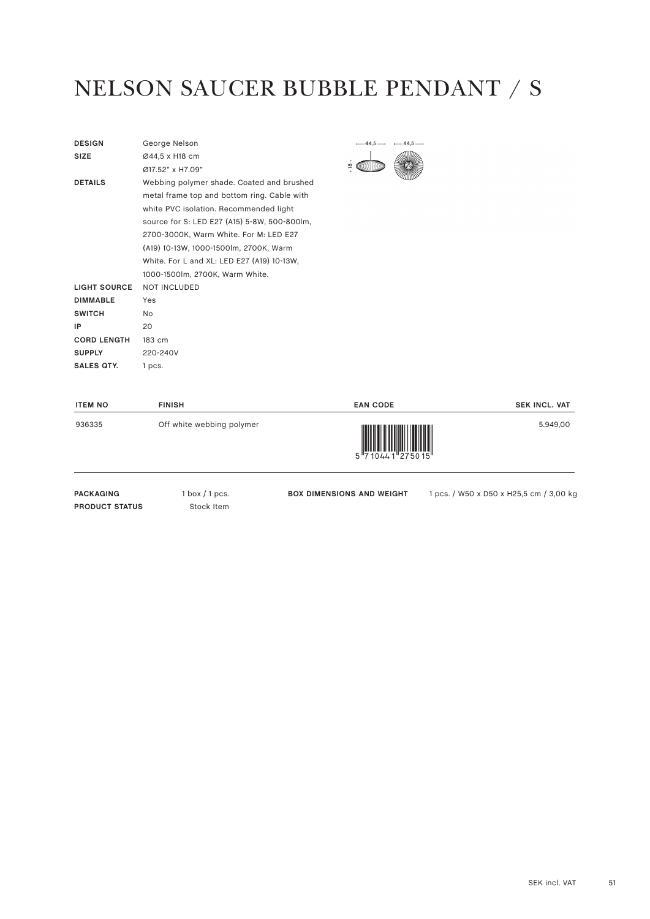#### NELSON SAUCER BUBBLE PENDANT / S

| <b>DESIGN</b>       | George Nelson                                |
|---------------------|----------------------------------------------|
| <b>SIZE</b>         | Ø44,5 x H18 cm                               |
|                     | Ø17.52" x H7.09"                             |
| <b>DETAILS</b>      | Webbing polymer shade. Coated and brushed    |
|                     | metal frame top and bottom ring. Cable with  |
|                     | white PVC isolation. Recommended light       |
|                     | source for S: LED E27 (A15) 5-8W, 500-800lm, |
|                     | 2700-3000K, Warm White. For M: LED E27       |
|                     | (A19) 10-13W, 1000-1500lm, 2700K, Warm       |
|                     | White. For L and XL: LED E27 (A19) 10-13W,   |
|                     | 1000-1500lm, 2700K, Warm White.              |
| <b>LIGHT SOURCE</b> | <b>NOT INCLUDED</b>                          |
| <b>DIMMABLE</b>     | Yes                                          |
| <b>SWITCH</b>       | NΩ                                           |
| IP                  | 20                                           |
| <b>CORD LENGTH</b>  | 183 cm                                       |
| <b>SUPPLY</b>       | 220-240V                                     |
| <b>SALES QTY.</b>   | 1 pcs.                                       |
|                     |                                              |



| <b>ITEM NO</b>                            | <b>FINISH</b>                   | <b>EAN CODE</b>                        | <b>SEK INCL. VAT</b>                    |
|-------------------------------------------|---------------------------------|----------------------------------------|-----------------------------------------|
| 936335                                    | Off white webbing polymer       | $5\frac{1}{7}$ 10441 <sup>275015</sup> | 5.949,00                                |
| <b>PACKAGING</b><br><b>PRODUCT STATUS</b> | $1$ box $/1$ pcs.<br>Stock Item | <b>BOX DIMENSIONS AND WEIGHT</b>       | 1 pcs. / W50 x D50 x H25,5 cm / 3,00 kg |

SEK incl. VAT 51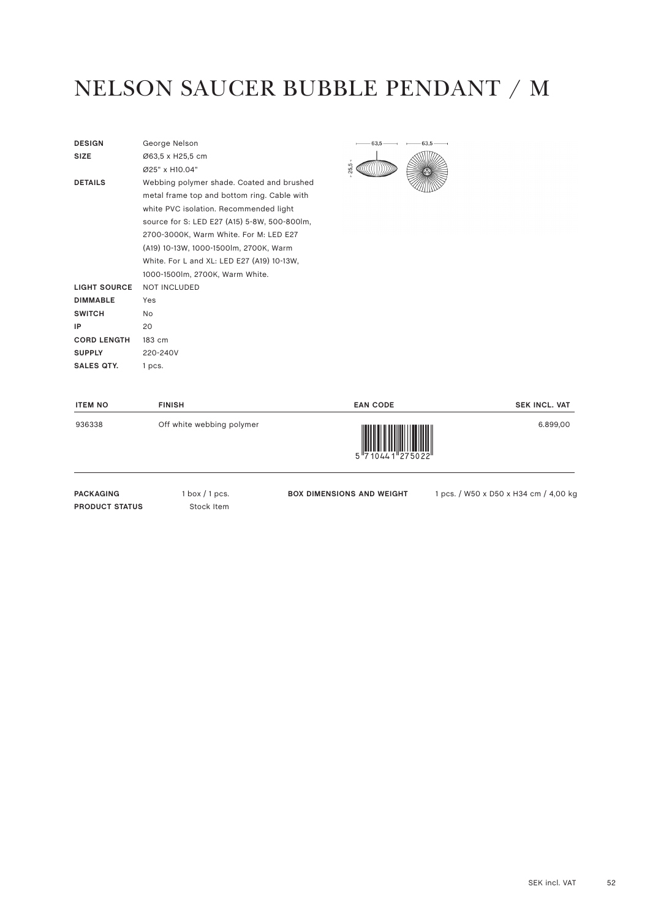#### NELSON SAUCER BUBBLE PENDANT / M

| <b>DESIGN</b>       | George Nelson                                |
|---------------------|----------------------------------------------|
| <b>SIZE</b>         | Ø63,5 x H25,5 cm                             |
|                     |                                              |
|                     | Ø25" x H10.04"                               |
| <b>DETAILS</b>      | Webbing polymer shade. Coated and brushed    |
|                     | metal frame top and bottom ring. Cable with  |
|                     | white PVC isolation. Recommended light       |
|                     | source for S: LED E27 (A15) 5-8W, 500-800lm, |
|                     | 2700-3000K, Warm White. For M: LED E27       |
|                     | (A19) 10-13W, 1000-1500lm, 2700K, Warm       |
|                     | White. For L and XL: LED E27 (A19) 10-13W,   |
|                     | 1000-1500lm, 2700K, Warm White.              |
| <b>LIGHT SOURCE</b> | <b>NOT INCLUDED</b>                          |
| <b>DIMMABLE</b>     | Yes                                          |
| <b>SWITCH</b>       | No                                           |
| IP                  | 20                                           |
| <b>CORD LENGTH</b>  | 183 cm                                       |
| <b>SUPPLY</b>       | 220-240V                                     |
| <b>SALES QTY.</b>   | 1 pcs.                                       |
|                     |                                              |



| <b>ITEM NO</b>                            | <b>FINISH</b>                                  | <b>EAN CODE</b>                  | <b>SEK INCL. VAT</b>                  |
|-------------------------------------------|------------------------------------------------|----------------------------------|---------------------------------------|
| 936338                                    | Off white webbing polymer                      | $5\frac{1}{710441}$ $275022$     | 6.899,00                              |
| <b>PACKAGING</b><br><b>PRODUCT STATUS</b> | $1 \text{ box} / 1 \text{ pcs.}$<br>Stock Item | <b>BOX DIMENSIONS AND WEIGHT</b> | 1 pcs. / W50 x D50 x H34 cm / 4,00 kc |

SEK incl. VAT 52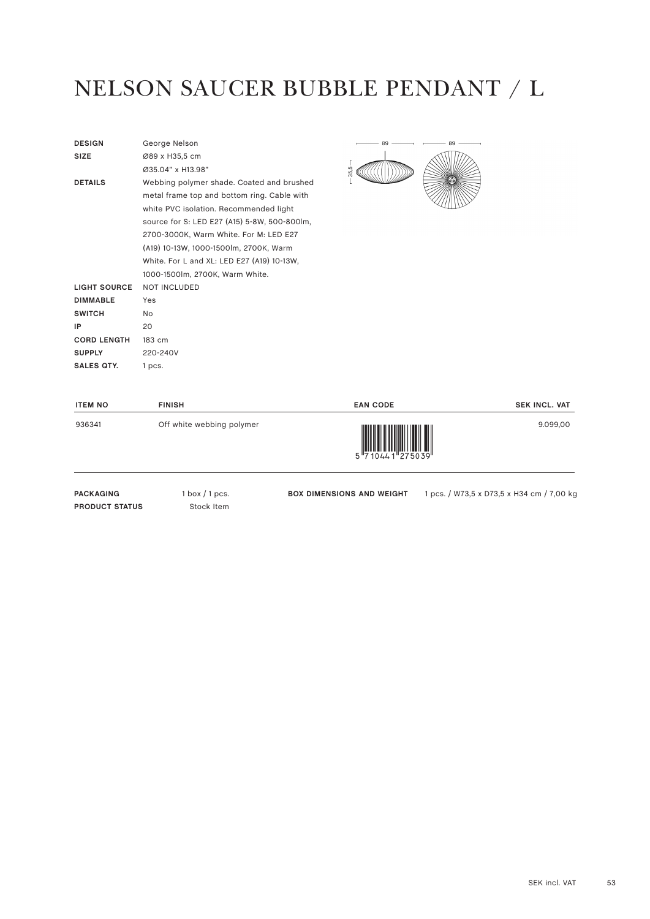#### NELSON SAUCER BUBBLE PENDANT / L

| <b>DESIGN</b>       | George Nelson                                |
|---------------------|----------------------------------------------|
| <b>SIZE</b>         | Ø89 x H35,5 cm                               |
|                     |                                              |
|                     | Ø35.04" x H13.98"                            |
| <b>DETAILS</b>      | Webbing polymer shade. Coated and brushed    |
|                     | metal frame top and bottom ring. Cable with  |
|                     | white PVC isolation. Recommended light       |
|                     | source for S: LED E27 (A15) 5-8W, 500-800lm, |
|                     | 2700-3000K, Warm White. For M: LED E27       |
|                     | (A19) 10-13W, 1000-1500lm, 2700K, Warm       |
|                     | White. For L and XL: LED E27 (A19) 10-13W,   |
|                     | 1000-1500lm, 2700K, Warm White.              |
| <b>LIGHT SOURCE</b> | <b>NOT INCLUDED</b>                          |
| <b>DIMMABLE</b>     | Yes                                          |
| <b>SWITCH</b>       | <b>No</b>                                    |
| IP                  | 20                                           |
| <b>CORD LENGTH</b>  | 183 cm                                       |
| <b>SUPPLY</b>       | 220-240V                                     |
| SALES OTY.          | 1 pcs.                                       |
|                     |                                              |



| <b>ITEM NO</b>                            | <b>FINISH</b>                   | <b>EAN CODE</b>                  | <b>SEK INCL. VAT</b>                      |
|-------------------------------------------|---------------------------------|----------------------------------|-------------------------------------------|
| 936341                                    | Off white webbing polymer       | 5 7 10 4 4 1 2 7 5 0 3 9 "       | 9.099,00                                  |
| <b>PACKAGING</b><br><b>PRODUCT STATUS</b> | $1$ box $/1$ pcs.<br>Stock Item | <b>BOX DIMENSIONS AND WEIGHT</b> | 1 pcs. / W73,5 x D73,5 x H34 cm / 7,00 kc |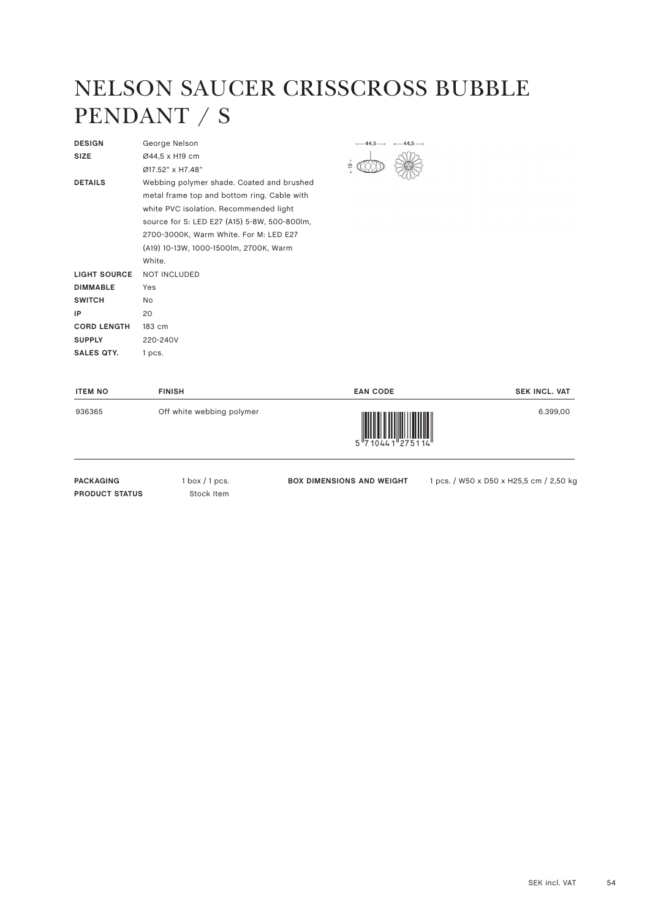#### NELSON SAUCER CRISSCROSS BUBBLE PENDANT / S

| <b>DESIGN</b>       | George Nelson                                |
|---------------------|----------------------------------------------|
| <b>SIZE</b>         | Ø44,5 x H19 cm                               |
|                     | Ø17.52" x H7.48"                             |
| <b>DETAILS</b>      | Webbing polymer shade. Coated and brushed    |
|                     | metal frame top and bottom ring. Cable with  |
|                     | white PVC isolation. Recommended light       |
|                     | source for S: LED E27 (A15) 5-8W, 500-800lm, |
|                     | 2700-3000K, Warm White. For M: LED E27       |
|                     | (A19) 10-13W, 1000-1500lm, 2700K, Warm       |
|                     | White.                                       |
| <b>LIGHT SOURCE</b> | <b>NOT INCLUDED</b>                          |
| <b>DIMMABLE</b>     | Yes                                          |
| <b>SWITCH</b>       | N <sub>o</sub>                               |
| IP                  | 20                                           |
| <b>CORD LENGTH</b>  | 183 cm                                       |
| <b>SUPPLY</b>       | 220-240V                                     |
| <b>SALES QTY.</b>   | 1 pcs.                                       |
|                     |                                              |



| <b>ITEM NO</b> | <b>FINISH</b>             | <b>EAN CODE</b>                            | <b>SEK INCL. VAT</b> |
|----------------|---------------------------|--------------------------------------------|----------------------|
| 936365         | Off white webbing polymer | 5 7 10 4 4 1 2 7 5 1 1 4 $^{\prime\prime}$ | 6.399,00             |

PACKAGING 1 box / 1 pcs. **PRODUCT STATUS** Stock Item

**BOX DIMENSIONS AND WEIGHT** 1 pcs. / W50 x D50 x H25,5 cm / 2,50 kg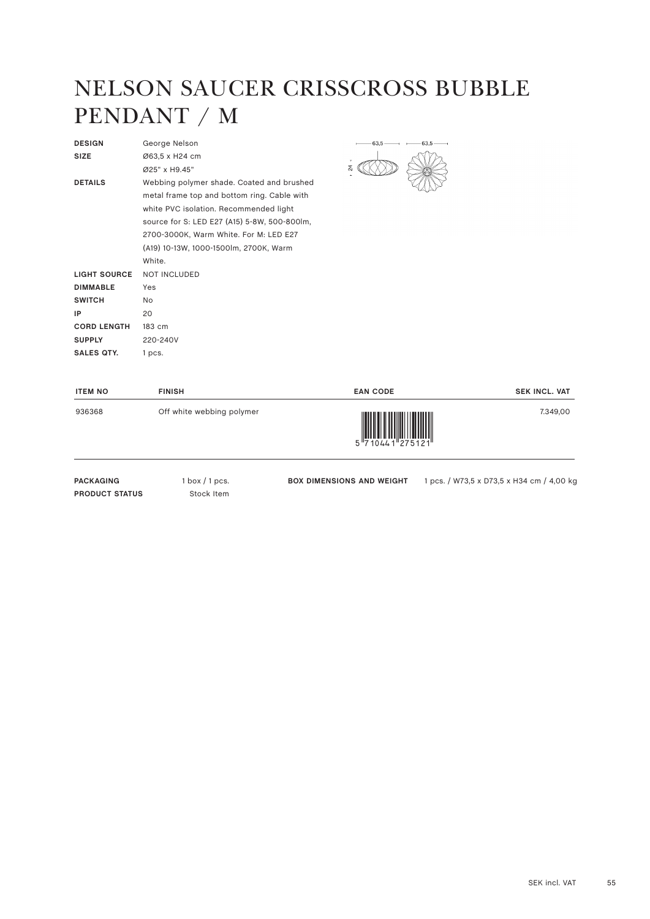#### NELSON SAUCER CRISSCROSS BUBBLE PENDANT / M

| <b>DESIGN</b>      | George Nelson                                |
|--------------------|----------------------------------------------|
| <b>SIZE</b>        | Ø63,5 x H24 cm                               |
|                    | Ø25" x H9.45"                                |
| <b>DETAILS</b>     | Webbing polymer shade. Coated and brushed    |
|                    | metal frame top and bottom ring. Cable with  |
|                    | white PVC isolation. Recommended light       |
|                    | source for S: LED E27 (A15) 5-8W, 500-800lm, |
|                    | 2700-3000K, Warm White. For M: LED E27       |
|                    | (A19) 10-13W, 1000-1500lm, 2700K, Warm       |
|                    | White                                        |
| LIGHT SOURCE       | <b>NOT INCLUDED</b>                          |
| <b>DIMMABLE</b>    | Yes                                          |
| <b>SWITCH</b>      | No.                                          |
| IP                 | 20                                           |
| <b>CORD LENGTH</b> | 183 cm                                       |
| <b>SUPPLY</b>      | 220-240V                                     |
| <b>SALES OTY.</b>  | 1 pcs.                                       |
|                    |                                              |



| <b>ITEM NO</b> | <b>FINISH</b>             | <b>EAN CODE</b>                                                                                                                                                                                                                                                                                                                                                                                                                                                                                                                                                 | <b>SEK INCL. VAT</b> |
|----------------|---------------------------|-----------------------------------------------------------------------------------------------------------------------------------------------------------------------------------------------------------------------------------------------------------------------------------------------------------------------------------------------------------------------------------------------------------------------------------------------------------------------------------------------------------------------------------------------------------------|----------------------|
| 936368         | Off white webbing polymer | $\begin{array}{c} \begin{array}{c} \begin{array}{c} \end{array} \\ \begin{array}{c} \end{array} \\ \begin{array}{c} \end{array} \\ \begin{array}{c} \end{array} \\ \begin{array}{c} \end{array} \\ \begin{array}{c} \end{array} \\ \begin{array}{c} \end{array} \\ \begin{array}{c} \end{array} \\ \begin{array}{c} \end{array} \\ \begin{array}{c} \end{array} \\ \begin{array}{c} \end{array} \\ \begin{array}{c} \end{array} \\ \begin{array}{c} \end{array} \\ \begin{array}{c} \end{array} \\ \begin{array}{c} \end{array} \\ \begin{array}{c} \end{array$ | 7.349,00             |

PACKAGING 1 box / 1 pcs. **PRODUCT STATUS** Stock Item

**BOX DIMENSIONS AND WEIGHT** 1 pcs. / W73,5 x D73,5 x H34 cm / 4,00 kg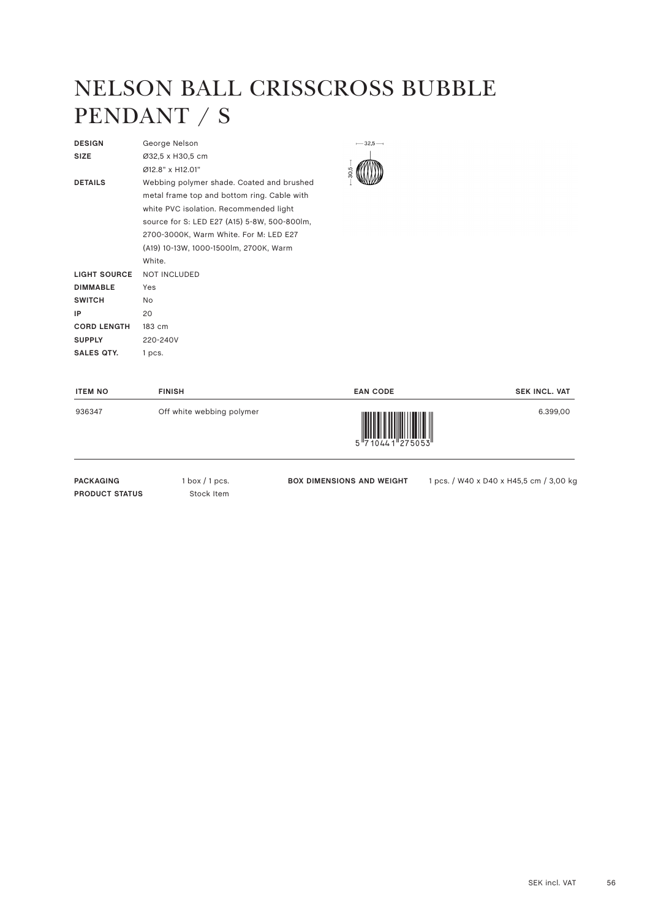#### NELSON BALL CRISSCROSS BUBBLE PENDANT / S

 $-32.5-$ 

| <b>DESIGN</b>       | George Nelson                                |
|---------------------|----------------------------------------------|
| <b>SIZE</b>         | Ø32,5 x H30,5 cm                             |
|                     | Ø12.8" x H12.01"                             |
| <b>DETAILS</b>      | Webbing polymer shade. Coated and brushed    |
|                     | metal frame top and bottom ring. Cable with  |
|                     | white PVC isolation. Recommended light       |
|                     | source for S: LED E27 (A15) 5-8W, 500-800lm, |
|                     | 2700-3000K, Warm White. For M: LED E27       |
|                     | (A19) 10-13W, 1000-1500lm, 2700K, Warm       |
|                     | White                                        |
| <b>LIGHT SOURCE</b> | <b>NOT INCLUDED</b>                          |
| <b>DIMMABLE</b>     | Yes                                          |
| <b>SWITCH</b>       | No                                           |
| IP                  | 20                                           |
| <b>CORD LENGTH</b>  | 183 cm                                       |
| <b>SUPPLY</b>       | 220-240V                                     |
| <b>SALES OTY.</b>   | 1 pcs.                                       |
|                     |                                              |

| <b>ITEM NO</b> | <b>FINISH</b>             | <b>EAN CODE</b>          | <b>SEK INCL. VAT</b> |
|----------------|---------------------------|--------------------------|----------------------|
| 936347         | Off white webbing polymer | $5$ $17$ 1044 1 $275053$ | 6.399,00             |

PACKAGING 1 box / 1 pcs. **PRODUCT STATUS** Stock Item

**BOX DIMENSIONS AND WEIGHT** 1 pcs. / W40 x D40 x H45,5 cm / 3,00 kg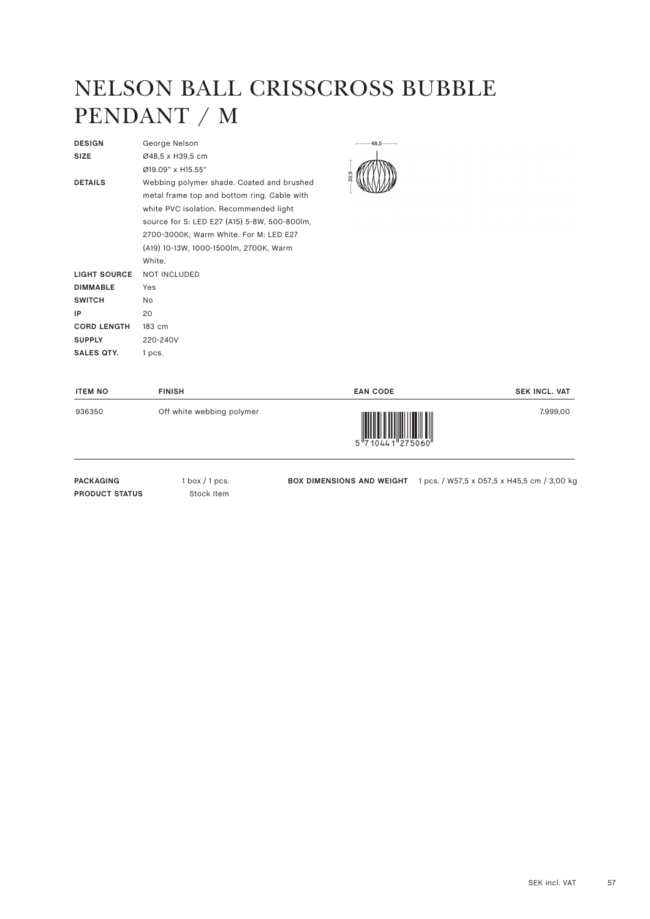#### NELSON BALL CRISSCROSS BUBBLE PENDANT / M

| <b>DESIGN</b>       | George Nelson                                |
|---------------------|----------------------------------------------|
| <b>SIZE</b>         | Ø48,5 x H39,5 cm                             |
|                     | Ø19.09" x H15.55"                            |
| <b>DETAILS</b>      | Webbing polymer shade. Coated and brushed    |
|                     | metal frame top and bottom ring. Cable with  |
|                     | white PVC isolation. Recommended light       |
|                     | source for S: LED E27 (A15) 5-8W, 500-800lm, |
|                     | 2700-3000K, Warm White. For M: LED E27       |
|                     | (A19) 10-13W, 1000-1500lm, 2700K, Warm       |
|                     | White                                        |
| <b>LIGHT SOURCE</b> | <b>NOT INCLUDED</b>                          |
| <b>DIMMABLE</b>     | Yes                                          |
| <b>SWITCH</b>       | No.                                          |
| IP                  | 20                                           |
| <b>CORD LENGTH</b>  | 183 cm                                       |
| <b>SUPPLY</b>       | 220-240V                                     |
| SALES OTY.          | 1 pcs.                                       |
|                     |                                              |



| <b>ITEM NO</b> | <b>FINISH</b>             | <b>EAN CODE</b>                                                                                                                                                                                                                                                                                                                                                                                                                                                                                                                                                 | <b>SEK INCL. VAT</b> |
|----------------|---------------------------|-----------------------------------------------------------------------------------------------------------------------------------------------------------------------------------------------------------------------------------------------------------------------------------------------------------------------------------------------------------------------------------------------------------------------------------------------------------------------------------------------------------------------------------------------------------------|----------------------|
| 936350         | Off white webbing polymer | $\begin{array}{c} \begin{array}{c} \begin{array}{c} \end{array} \\ \begin{array}{c} \end{array} \\ \begin{array}{c} \end{array} \\ \begin{array}{c} \end{array} \\ \begin{array}{c} \end{array} \\ \begin{array}{c} \end{array} \\ \begin{array}{c} \end{array} \\ \begin{array}{c} \end{array} \\ \begin{array}{c} \end{array} \\ \begin{array}{c} \end{array} \\ \begin{array}{c} \end{array} \\ \begin{array}{c} \end{array} \\ \begin{array}{c} \end{array} \\ \begin{array}{c} \end{array} \\ \begin{array}{c} \end{array} \\ \begin{array}{c} \end{array$ | 7.999,00             |

PACKAGING 1 box / 1 pcs. **PRODUCT STATUS** Stock Item

**BOX DIMENSIONS AND WEIGHT** 1 pcs. / W57,5 x D57,5 x H45,5 cm / 3,00 kg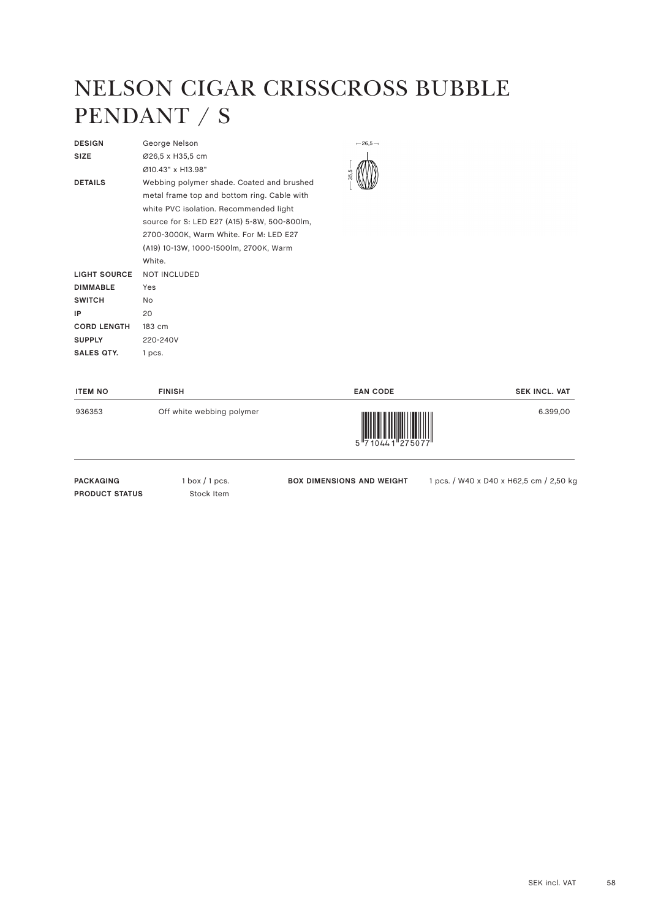#### NELSON CIGAR CRISSCROSS BUBBLE PENDANT / S

| <b>DESIGN</b>       | George Nelson                                |
|---------------------|----------------------------------------------|
| <b>SIZE</b>         | Ø26,5 x H35,5 cm                             |
|                     | Ø10 43" x H13 98"                            |
| <b>DETAILS</b>      | Webbing polymer shade. Coated and brushed    |
|                     | metal frame top and bottom ring. Cable with  |
|                     | white PVC isolation. Recommended light       |
|                     | source for S: LED E27 (A15) 5-8W, 500-800lm, |
|                     | 2700-3000K, Warm White. For M: LED E27       |
|                     | (A19) 10-13W, 1000-1500lm, 2700K, Warm       |
|                     | White.                                       |
| <b>LIGHT SOURCE</b> | <b>NOT INCLUDED</b>                          |
| <b>DIMMABLE</b>     | Yes                                          |
| <b>SWITCH</b>       | No.                                          |
| IP                  | 20                                           |
| <b>CORD LENGTH</b>  | 183 cm                                       |
| <b>SUPPLY</b>       | 220-240V                                     |
| <b>SALES OTY.</b>   | 1 pcs.                                       |
|                     |                                              |

 $-26.5-$ 

| <b>ITEM NO</b> | <b>FINISH</b>             | <b>EAN CODE</b>                         | <b>SEK INCL. VAT</b> |
|----------------|---------------------------|-----------------------------------------|----------------------|
| 936353         | Off white webbing polymer | $5\frac{1}{710441}$ $7\frac{1}{275077}$ | 6.399,00             |

PACKAGING 1 box / 1 pcs. **PRODUCT STATUS** Stock Item

BOX DIMENSIONS AND WEIGHT 1 pcs. / W40 x D40 x H62,5 cm / 2,50 kg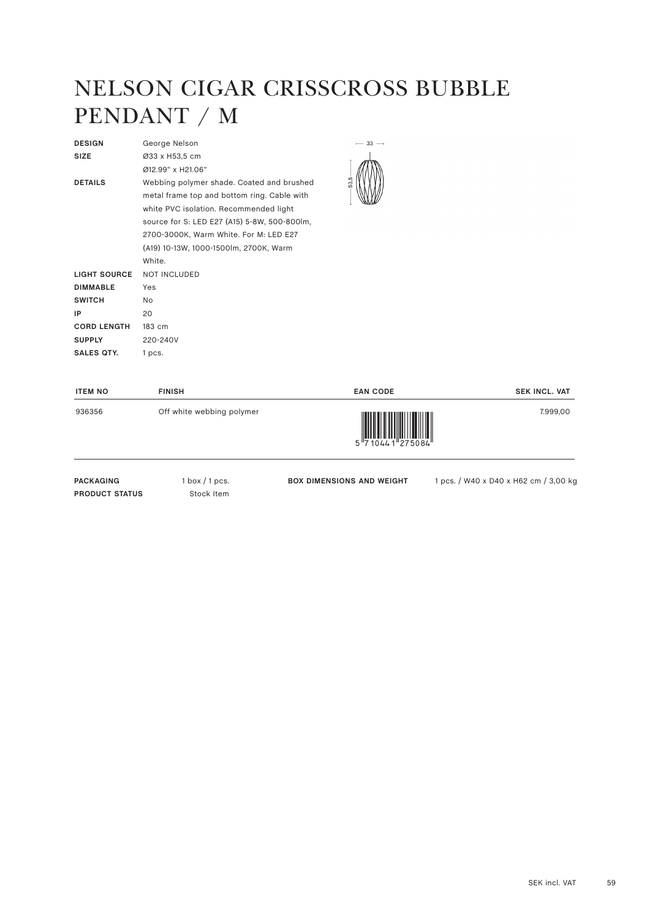#### NELSON CIGAR CRISSCROSS BUBBLE PENDANT / M

| <b>DESIGN</b>       | George Nelson                                |
|---------------------|----------------------------------------------|
| <b>SIZE</b>         | Ø33 x H53,5 cm                               |
|                     | Ø12.99" x H21.06"                            |
| <b>DETAILS</b>      | Webbing polymer shade. Coated and brushed    |
|                     | metal frame top and bottom ring. Cable with  |
|                     | white PVC isolation. Recommended light       |
|                     | source for S: LED E27 (A15) 5-8W, 500-800lm, |
|                     | 2700-3000K, Warm White. For M: LED E27       |
|                     | (A19) 10-13W, 1000-1500lm, 2700K, Warm       |
|                     | White.                                       |
| <b>LIGHT SOURCE</b> | <b>NOT INCLUDED</b>                          |
| <b>DIMMABLE</b>     | Yes                                          |
| <b>SWITCH</b>       | No.                                          |
| IP                  | 20                                           |
| <b>CORD LENGTH</b>  | 183 cm                                       |
| <b>SUPPLY</b>       | 220-240V                                     |
| <b>SALES OTY.</b>   | 1 pcs.                                       |
|                     |                                              |



| <b>ITEM NO</b> | <b>FINISH</b>             | <b>EAN CODE</b>                                                                                                                                                                                                                                                                                                                                                                                                                                                                                                                                                 | <b>SEK INCL. VAT</b> |
|----------------|---------------------------|-----------------------------------------------------------------------------------------------------------------------------------------------------------------------------------------------------------------------------------------------------------------------------------------------------------------------------------------------------------------------------------------------------------------------------------------------------------------------------------------------------------------------------------------------------------------|----------------------|
| 936356         | Off white webbing polymer | $\begin{array}{c} \begin{array}{c} \begin{array}{c} \end{array} \\ \begin{array}{c} \end{array} \\ \begin{array}{c} \end{array} \\ \begin{array}{c} \end{array} \\ \begin{array}{c} \end{array} \\ \begin{array}{c} \end{array} \\ \begin{array}{c} \end{array} \\ \begin{array}{c} \end{array} \\ \begin{array}{c} \end{array} \\ \begin{array}{c} \end{array} \\ \begin{array}{c} \end{array} \\ \begin{array}{c} \end{array} \\ \begin{array}{c} \end{array} \\ \begin{array}{c} \end{array} \\ \begin{array}{c} \end{array} \\ \begin{array}{c} \end{array$ | 7.999,00             |

PACKAGING 1 box / 1 pcs. **PRODUCT STATUS** Stock Item

**BOX DIMENSIONS AND WEIGHT** 1 pcs. / W40 x D40 x H62 cm / 3,00 kg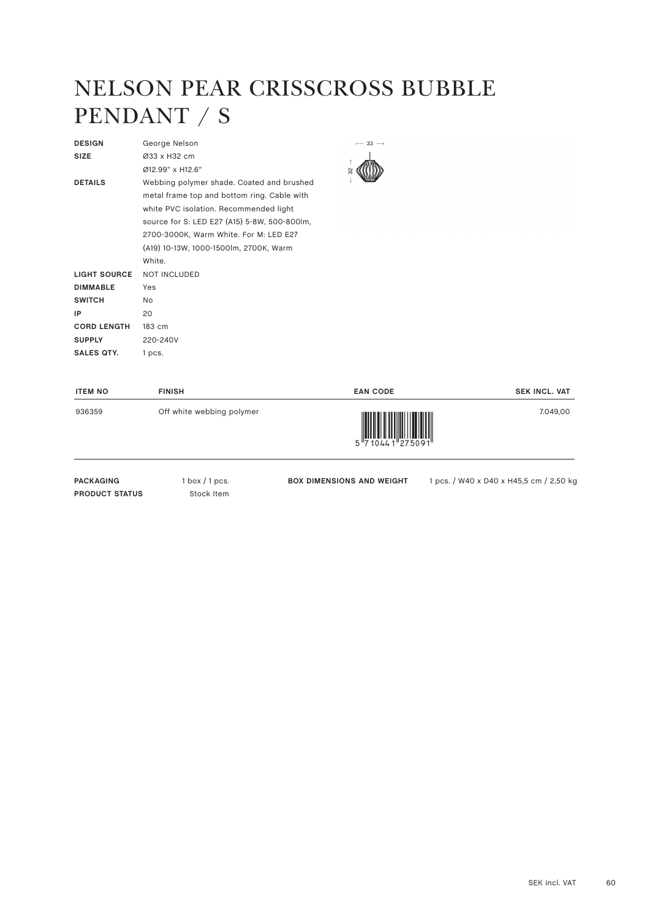#### NELSON PEAR CRISSCROSS BUBBLE PENDANT / S

 $-33-$ 

| <b>DESIGN</b>       | George Nelson                                |
|---------------------|----------------------------------------------|
| <b>SIZE</b>         | Ø33 x H32 cm                                 |
|                     | Ø12.99" x H12.6"                             |
| <b>DETAILS</b>      | Webbing polymer shade. Coated and brushed    |
|                     | metal frame top and bottom ring. Cable with  |
|                     | white PVC isolation. Recommended light       |
|                     | source for S: LED E27 (A15) 5-8W, 500-800lm, |
|                     | 2700-3000K, Warm White. For M: LED E27       |
|                     | (A19) 10-13W, 1000-1500lm, 2700K, Warm       |
|                     | White                                        |
| <b>LIGHT SOURCE</b> | <b>NOT INCLUDED</b>                          |
| <b>DIMMABLE</b>     | Yes                                          |
| <b>SWITCH</b>       | No.                                          |
| IP                  | 20                                           |
| <b>CORD LENGTH</b>  | 183 cm                                       |
| <b>SUPPLY</b>       | 220-240V                                     |
| <b>SALES QTY.</b>   | 1 pcs.                                       |
|                     |                                              |

| <b>ITEM NO</b> | <b>FINISH</b>             | <b>EAN CODE</b>    | <b>SEK INCL. VAT</b> |
|----------------|---------------------------|--------------------|----------------------|
| 936359         | Off white webbing polymer | 5 7 1044 1 27509 1 | 7.049,00             |

PACKAGING 1 box / 1 pcs. **PRODUCT STATUS** Stock Item

BOX DIMENSIONS AND WEIGHT 1 pcs. / W40 x D40 x H45,5 cm / 2,50 kg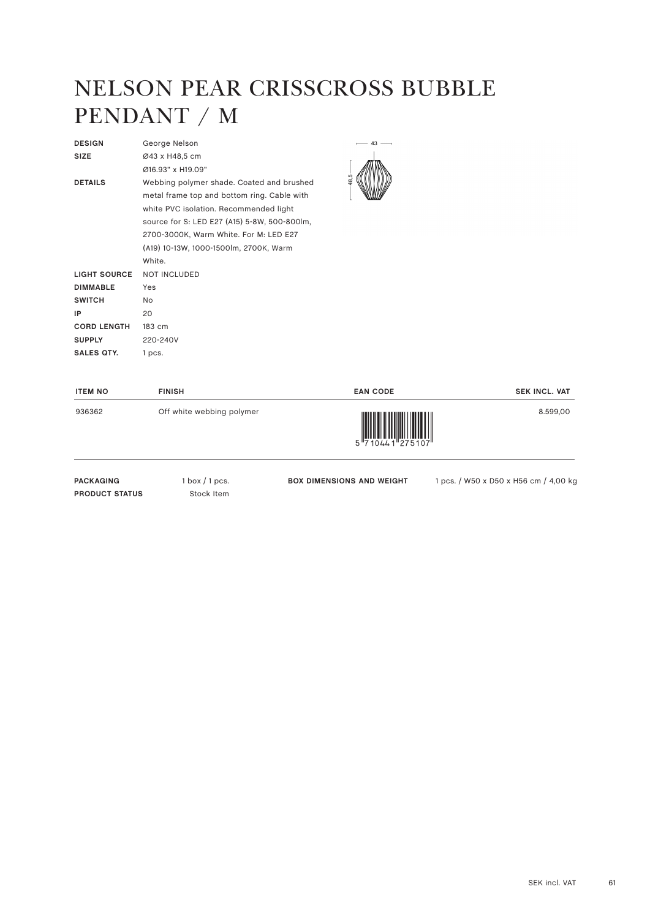#### NELSON PEAR CRISSCROSS BUBBLE PENDANT / M

| <b>DESIGN</b>       | George Nelson                                |
|---------------------|----------------------------------------------|
| <b>SIZE</b>         | Ø43 x H48,5 cm                               |
|                     | Ø16.93" x H19.09"                            |
| <b>DETAILS</b>      | Webbing polymer shade. Coated and brushed    |
|                     | metal frame top and bottom ring. Cable with  |
|                     | white PVC isolation. Recommended light       |
|                     | source for S: LED E27 (A15) 5-8W, 500-800lm, |
|                     | 2700-3000K, Warm White. For M: LED E27       |
|                     | (A19) 10-13W, 1000-1500lm, 2700K, Warm       |
|                     | White.                                       |
| <b>LIGHT SOURCE</b> | <b>NOT INCLUDED</b>                          |
| <b>DIMMABLE</b>     | Yes                                          |
| <b>SWITCH</b>       | No.                                          |
| IP                  | 20                                           |
| <b>CORD LENGTH</b>  | 183 cm                                       |
| <b>SUPPLY</b>       | 220-240V                                     |
| <b>SALES OTY.</b>   | 1 pcs.                                       |
|                     |                                              |



| <b>ITEM NO</b> | <b>FINISH</b>             | <b>EAN CODE</b>          | <b>SEK INCL. VAT</b> |
|----------------|---------------------------|--------------------------|----------------------|
| 936362         | Off white webbing polymer | 5 7 10 4 4 1 2 7 5 1 0 7 | 8.599,00             |

PACKAGING 1 box / 1 pcs. **PRODUCT STATUS** Stock Item

**BOX DIMENSIONS AND WEIGHT** 1 pcs. / W50 x D50 x H56 cm / 4,00 kg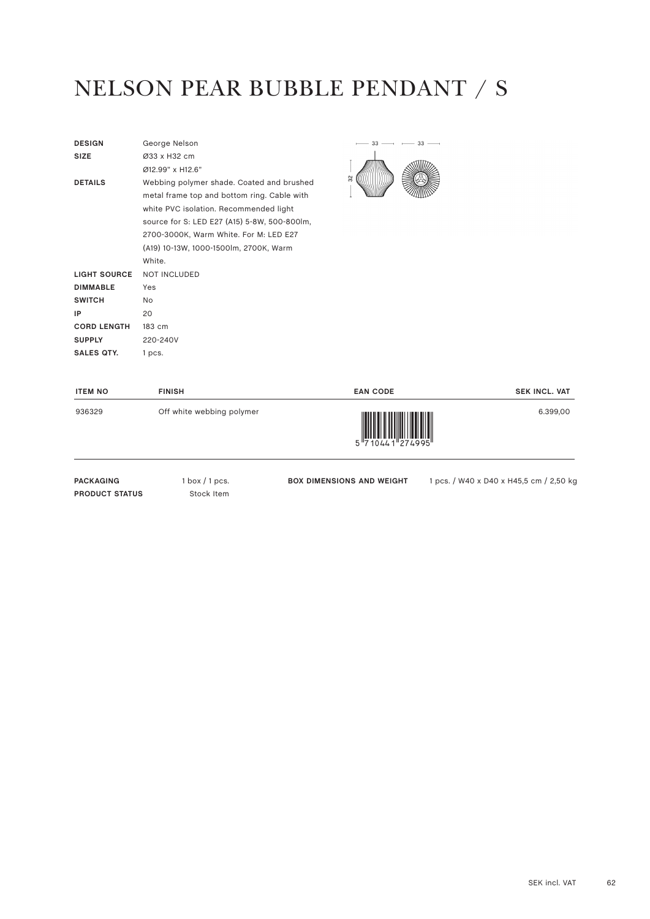#### NELSON PEAR BUBBLE PENDANT / S

| <b>DESIGN</b>       | George Nelson                                |
|---------------------|----------------------------------------------|
| <b>SIZE</b>         | Ø33 x H32 cm                                 |
|                     | $Ø12.99"$ x H12.6"                           |
| <b>DETAILS</b>      | Webbing polymer shade. Coated and brushed    |
|                     | metal frame top and bottom ring. Cable with  |
|                     | white PVC isolation. Recommended light       |
|                     | source for S: LED E27 (A15) 5-8W, 500-800lm, |
|                     | 2700-3000K, Warm White. For M: LED E27       |
|                     | (A19) 10-13W, 1000-1500lm, 2700K, Warm       |
|                     | White.                                       |
| <b>LIGHT SOURCE</b> | <b>NOT INCLUDED</b>                          |
| <b>DIMMABLE</b>     | Yes                                          |
| <b>SWITCH</b>       | N <sub>o</sub>                               |
| IP                  | 20                                           |
| <b>CORD LENGTH</b>  | 183 cm                                       |
| <b>SUPPLY</b>       | 220-240V                                     |
| <b>SALES OTY.</b>   | 1 pcs.                                       |
|                     |                                              |



| <b>ITEM NO</b> | <b>FINISH</b>             | <b>EAN CODE</b>    | <b>SEK INCL. VAT</b> |
|----------------|---------------------------|--------------------|----------------------|
| 936329         | Off white webbing polymer | 5 7 1044 1 274 995 | 6.399.00             |

PACKAGING 1 box / 1 pcs. **PRODUCT STATUS** Stock Item

BOX DIMENSIONS AND WEIGHT 1 pcs. / W40 x D40 x H45,5 cm / 2,50 kg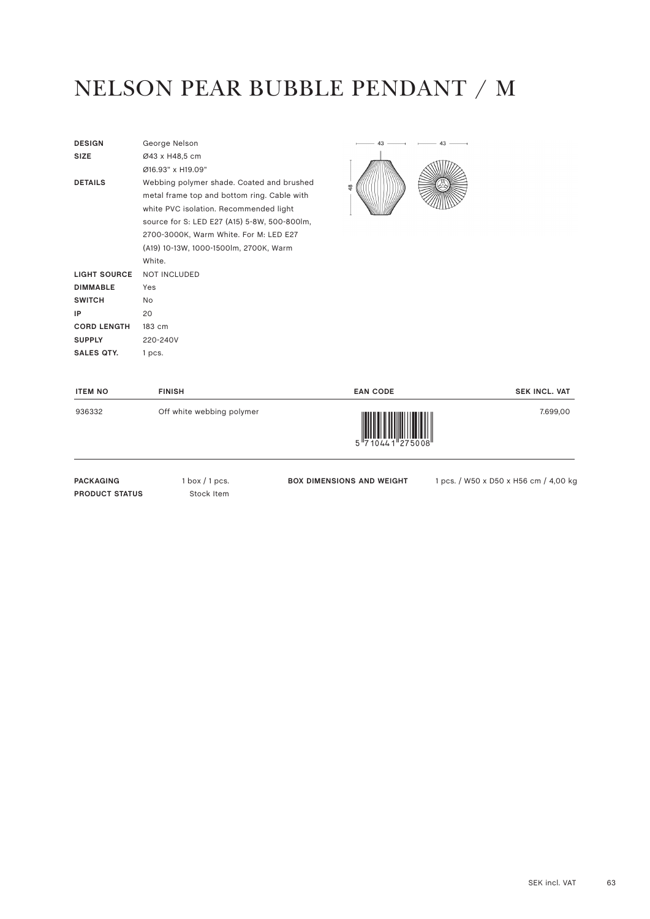#### NELSON PEAR BUBBLE PENDANT / M

| <b>DESIGN</b>       | George Nelson                                |
|---------------------|----------------------------------------------|
| <b>SIZE</b>         | Ø43 x H48,5 cm                               |
|                     | Ø16.93" x H19.09"                            |
| <b>DETAILS</b>      | Webbing polymer shade. Coated and brushed    |
|                     | metal frame top and bottom ring. Cable with  |
|                     | white PVC isolation. Recommended light       |
|                     | source for S: LED E27 (A15) 5-8W, 500-800lm, |
|                     | 2700-3000K, Warm White. For M: LED E27       |
|                     | (A19) 10-13W, 1000-1500lm, 2700K, Warm       |
|                     | White.                                       |
| <b>LIGHT SOURCE</b> | <b>NOT INCLUDED</b>                          |
| <b>DIMMABLE</b>     | Yes                                          |
| <b>SWITCH</b>       | No.                                          |
| IP                  | 20                                           |
| <b>CORD LENGTH</b>  | 183 cm                                       |
| <b>SUPPLY</b>       | 220-240V                                     |
| <b>SALES OTY.</b>   | 1 pcs.                                       |
|                     |                                              |



| <b>ITEM NO</b> | <b>FINISH</b>             | <b>EAN CODE</b>                        | <b>SEK INCL. VAT</b> |
|----------------|---------------------------|----------------------------------------|----------------------|
| 936332         | Off white webbing polymer | 5 7 10 4 4 1 2 7 5 0 0 8 <sup>11</sup> | 7.699,00             |

PACKAGING 1 box / 1 pcs. **PRODUCT STATUS** Stock Item

**BOX DIMENSIONS AND WEIGHT** 1 pcs. / W50 x D50 x H56 cm / 4,00 kg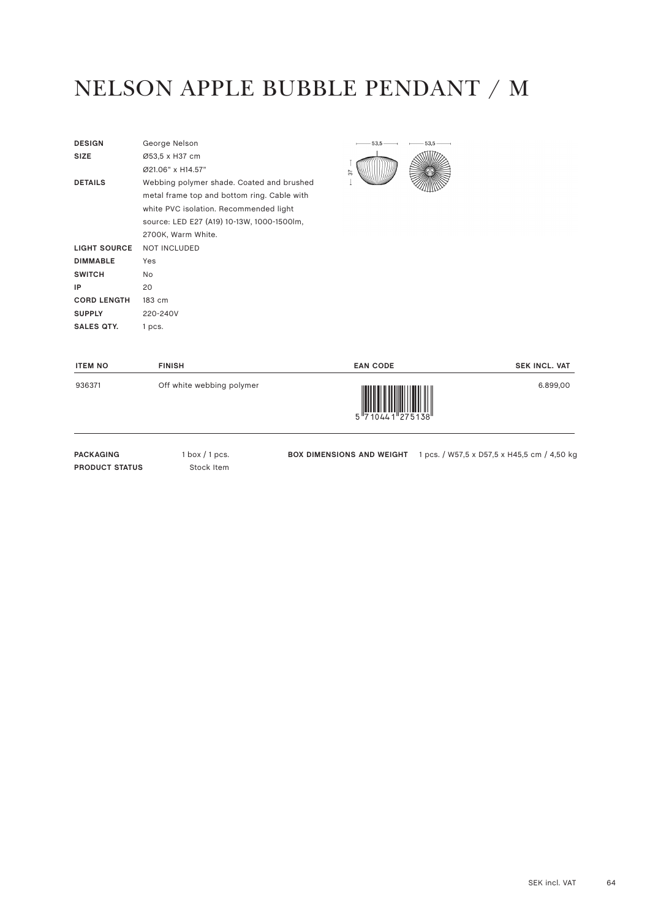## NELSON APPLE BUBBLE PENDANT / M

| <b>DESIGN</b>      | George Nelson                               |
|--------------------|---------------------------------------------|
| <b>SIZE</b>        | Ø53,5 x H37 cm                              |
|                    | Ø21.06" x H14.57"                           |
| <b>DETAILS</b>     | Webbing polymer shade. Coated and brushed   |
|                    | metal frame top and bottom ring. Cable with |
|                    | white PVC isolation. Recommended light      |
|                    | source: LED E27 (A19) 10-13W, 1000-1500lm,  |
|                    | 2700K, Warm White.                          |
| LIGHT SOURCE       | <b>NOT INCLUDED</b>                         |
| <b>DIMMABLE</b>    | Yes                                         |
| <b>SWITCH</b>      | No.                                         |
| IP                 | 20                                          |
| <b>CORD LENGTH</b> | 183 cm                                      |
| <b>SUPPLY</b>      | 220-240V                                    |
| <b>SALES QTY.</b>  | 1 pcs.                                      |



| <b>ITEM NO</b> | <b>FINISH</b>             | <b>EAN CODE</b>                                          | <b>SEK INCL. VAT</b> |
|----------------|---------------------------|----------------------------------------------------------|----------------------|
| 936371         | Off white webbing polymer | I III III IIII<br>5 7 10 4 4 1 2 7 5 1 3 8 <sup>11</sup> | 6.899,00             |

PACKAGING 1 box / 1 pcs. **PRODUCT STATUS** Stock Item

**BOX DIMENSIONS AND WEIGHT** 1 pcs. / W57,5 x D57,5 x H45,5 cm / 4,50 kg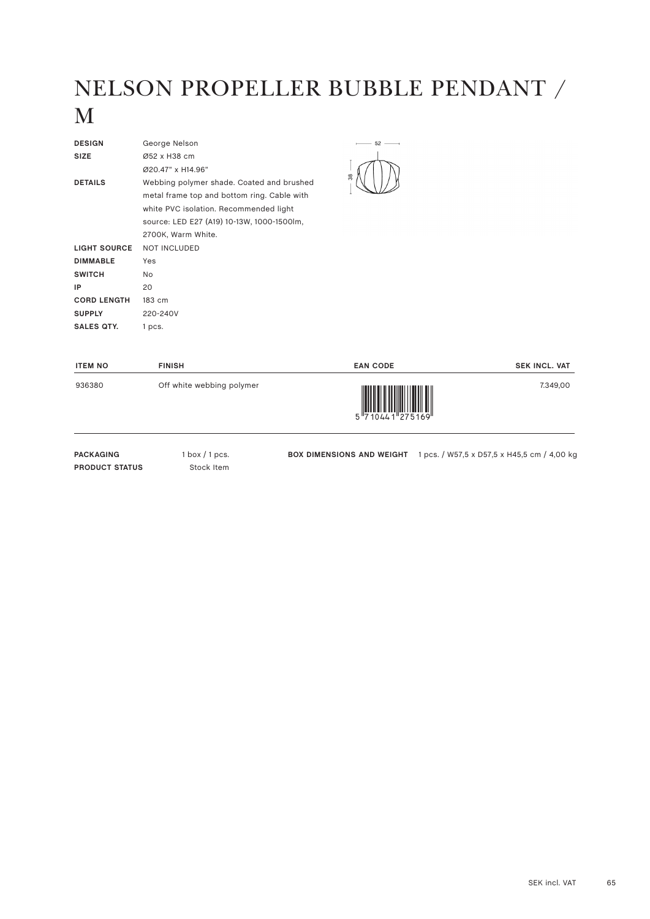## NELSON PROPELLER BUBBLE PENDANT / M

| <b>DESIGN</b>       | George Nelson                               |
|---------------------|---------------------------------------------|
| <b>SIZE</b>         | Ø52 x H38 cm                                |
|                     | Ø20.47" x H14.96"                           |
| <b>DETAILS</b>      | Webbing polymer shade. Coated and brushed   |
|                     | metal frame top and bottom ring. Cable with |
|                     | white PVC isolation. Recommended light      |
|                     | source: LED E27 (A19) 10-13W, 1000-1500lm,  |
|                     | 2700K, Warm White.                          |
| <b>LIGHT SOURCE</b> | <b>NOT INCLUDED</b>                         |
| <b>DIMMABLE</b>     | Yes                                         |
| <b>SWITCH</b>       | No.                                         |
| IP                  | 20                                          |
| <b>CORD LENGTH</b>  | 183 cm                                      |
| <b>SUPPLY</b>       | 220-240V                                    |
| SALES QTY.          | 1 pcs.                                      |



| <b>ITEM NO</b> | <b>FINISH</b>             | <b>EAN CODE</b> | <b>SEK INCL. VAT</b> |
|----------------|---------------------------|-----------------|----------------------|
| 936380         | Off white webbing polymer | 710441 275169 " | 7.349.00             |

PACKAGING 1 box / 1 pcs. **PRODUCT STATUS** Stock Item

**BOX DIMENSIONS AND WEIGHT** 1 pcs. / W57,5 x D57,5 x H45,5 cm / 4,00 kg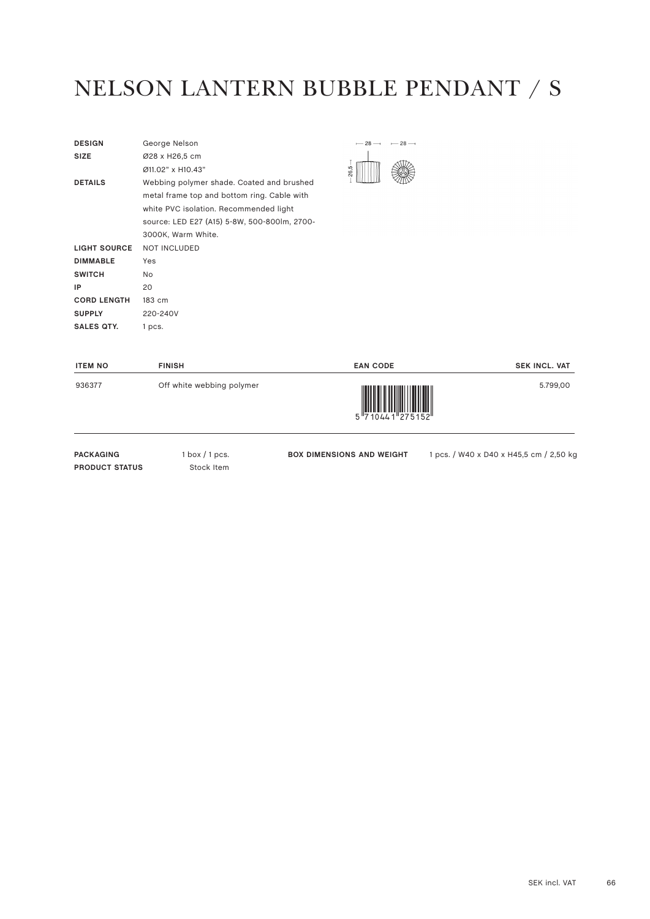#### NELSON LANTERN BUBBLE PENDANT / S

| <b>DESIGN</b>       | George Nelson                                |  |
|---------------------|----------------------------------------------|--|
| <b>SIZE</b>         | Ø28 x H26,5 cm                               |  |
|                     | Ø11.02" x H10.43"                            |  |
| <b>DETAILS</b>      | Webbing polymer shade. Coated and brushed    |  |
|                     | metal frame top and bottom ring. Cable with  |  |
|                     | white PVC isolation. Recommended light       |  |
|                     | source: LED E27 (A15) 5-8W, 500-800lm, 2700- |  |
|                     | 3000K, Warm White.                           |  |
| <b>LIGHT SOURCE</b> | <b>NOT INCLUDED</b>                          |  |
| <b>DIMMABLE</b>     | Yes                                          |  |
| <b>SWITCH</b>       | No.                                          |  |
| IP                  | 20                                           |  |
| <b>CORD LENGTH</b>  | 183 cm                                       |  |
| <b>SUPPLY</b>       | 220-240V                                     |  |
| SALES QTY.          | 1 pcs.                                       |  |



| <b>ITEM NO</b> | <b>FINISH</b>             | <b>EAN CODE</b>                                                                                                                                                                                                                                                                                                                                                                                                                                                                                                                                                 | <b>SEK INCL. VAT</b> |
|----------------|---------------------------|-----------------------------------------------------------------------------------------------------------------------------------------------------------------------------------------------------------------------------------------------------------------------------------------------------------------------------------------------------------------------------------------------------------------------------------------------------------------------------------------------------------------------------------------------------------------|----------------------|
| 936377         | Off white webbing polymer | $\begin{array}{c} \begin{array}{c} \begin{array}{c} \end{array} \\ \begin{array}{c} \end{array} \\ \begin{array}{c} \end{array} \\ \begin{array}{c} \end{array} \\ \begin{array}{c} \end{array} \\ \begin{array}{c} \end{array} \\ \begin{array}{c} \end{array} \\ \begin{array}{c} \end{array} \\ \begin{array}{c} \end{array} \\ \begin{array}{c} \end{array} \\ \begin{array}{c} \end{array} \\ \begin{array}{c} \end{array} \\ \begin{array}{c} \end{array} \\ \begin{array}{c} \end{array} \\ \begin{array}{c} \end{array} \\ \begin{array}{c} \end{array$ | 5.799,00             |

PACKAGING 1 box / 1 pcs. **PRODUCT STATUS** Stock Item

**BOX DIMENSIONS AND WEIGHT** 1 pcs. / W40 x D40 x H45,5 cm / 2,50 kg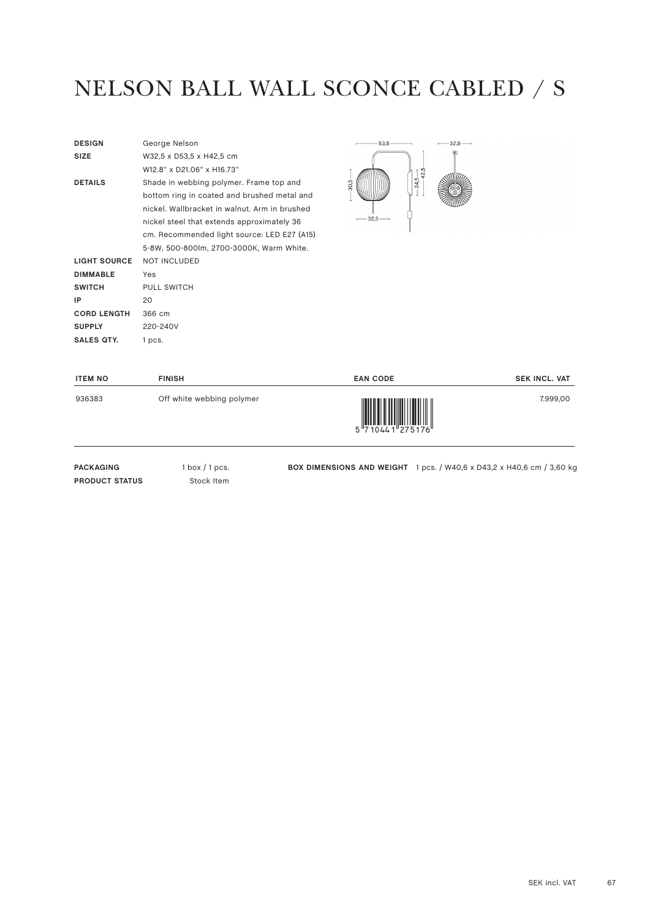#### NELSON BALL WALL SCONCE CABLED / S

| <b>DESIGN</b>      | George Nelson                                 |
|--------------------|-----------------------------------------------|
| <b>SIZE</b>        | W32,5 x D53,5 x H42,5 cm                      |
|                    | W12.8" x D21.06" x H16.73"                    |
| <b>DETAILS</b>     | Shade in webbing polymer. Frame top and       |
|                    | bottom ring in coated and brushed metal and   |
|                    | nickel. Wallbracket in walnut. Arm in brushed |
|                    | nickel steel that extends approximately 36    |
|                    | cm. Recommended light source: LED E27 (A15)   |
|                    | 5-8W, 500-800lm, 2700-3000K, Warm White.      |
| LIGHT SOURCE       | <b>NOT INCLUDED</b>                           |
| <b>DIMMABLE</b>    | Yes                                           |
| <b>SWITCH</b>      | <b>PULL SWITCH</b>                            |
| IP                 | 20                                            |
| <b>CORD LENGTH</b> | 366 cm                                        |
| <b>SUPPLY</b>      | 220-240V                                      |
| SALES QTY.         | 1 pcs.                                        |
|                    |                                               |



| <b>ITEM NO</b> | <b>FINISH</b>             | <b>EAN CODE</b>    | <b>SEK INCL. VAT</b> |
|----------------|---------------------------|--------------------|----------------------|
| 936383         | Off white webbing polymer | 5 7 1044 1 275 176 | 7.999,00             |

PACKAGING 1 box / 1 pcs. **PRODUCT STATUS** Stock Item

**BOX DIMENSIONS AND WEIGHT** 1 pcs. / W40,6 x D43,2 x H40,6 cm / 3,60 kg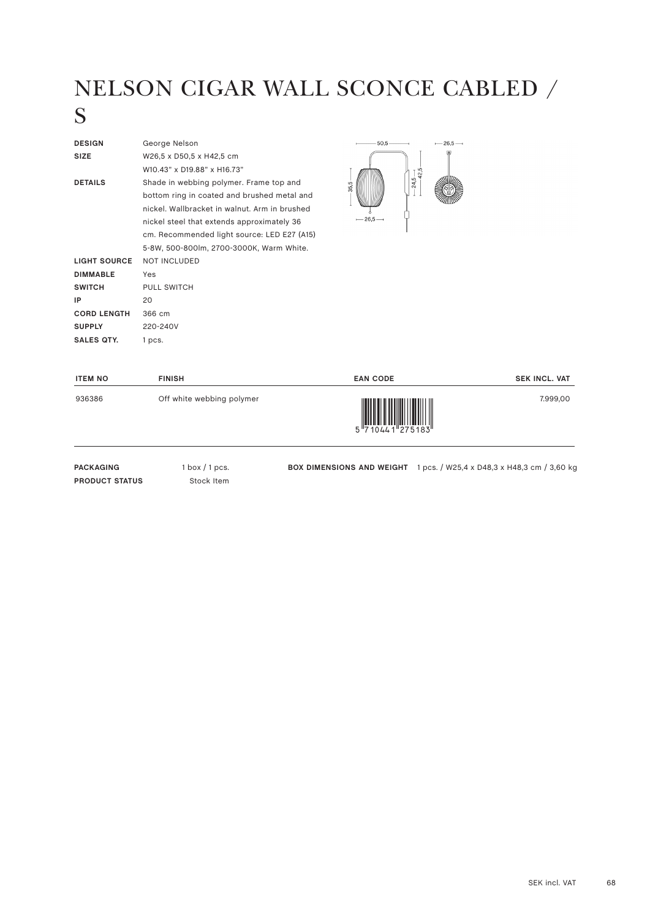# NELSON CIGAR WALL SCONCE CABLED /

#### S

| <b>DESIGN</b>       | George Nelson                                 |  |
|---------------------|-----------------------------------------------|--|
| <b>SIZE</b>         | W26,5 x D50,5 x H42,5 cm                      |  |
|                     | W10.43" x D19.88" x H16.73"                   |  |
| <b>DETAILS</b>      | Shade in webbing polymer. Frame top and       |  |
|                     | bottom ring in coated and brushed metal and   |  |
|                     | nickel. Wallbracket in walnut. Arm in brushed |  |
|                     | nickel steel that extends approximately 36    |  |
|                     | cm. Recommended light source: LED E27 (A15)   |  |
|                     | 5-8W, 500-800lm, 2700-3000K, Warm White.      |  |
| <b>LIGHT SOURCE</b> | <b>NOT INCLUDED</b>                           |  |
| <b>DIMMABLE</b>     | Yes                                           |  |
| <b>SWITCH</b>       | <b>PULL SWITCH</b>                            |  |
| IP                  | 20                                            |  |
| <b>CORD LENGTH</b>  | 366 cm                                        |  |
| <b>SUPPLY</b>       | 220-240V                                      |  |
| SALES QTY.          | 1 pcs.                                        |  |
|                     |                                               |  |



| <b>ITEM NO</b> | <b>FINISH</b>             | <b>EAN CODE</b>                                                                                                                                                                                                                                                                                                                                                                                                                                                                                                                                                                           | <b>SEK INCL. VAT</b> |
|----------------|---------------------------|-------------------------------------------------------------------------------------------------------------------------------------------------------------------------------------------------------------------------------------------------------------------------------------------------------------------------------------------------------------------------------------------------------------------------------------------------------------------------------------------------------------------------------------------------------------------------------------------|----------------------|
| 936386         | Off white webbing polymer | $\begin{array}{c} \begin{array}{c} \begin{array}{c} \end{array}\\ \begin{array}{c} \end{array}\\ \begin{array}{c} \end{array}\\ \begin{array}{c} \end{array}\\ \begin{array}{c} \end{array}\\ \begin{array}{c} \end{array}\\ \begin{array}{c} \end{array}\\ \begin{array}{c} \end{array}\\ \begin{array}{c} \end{array}\\ \begin{array}{c} \end{array}\\ \begin{array}{c} \end{array}\\ \begin{array}{c} \end{array}\\ \begin{array}{c} \end{array}\\ \begin{array}{c} \end{array}\\ \begin{array}{c} \end{array}\\ \begin{array}{c} \end{array}\\ \begin{array}{c} \end{array}\\ \begin$ | 7.999,00             |

PACKAGING 1 box / 1 pcs. **PRODUCT STATUS** Stock Item

**BOX DIMENSIONS AND WEIGHT** 1 pcs. / W25,4 x D48,3 x H48,3 cm / 3,60 kg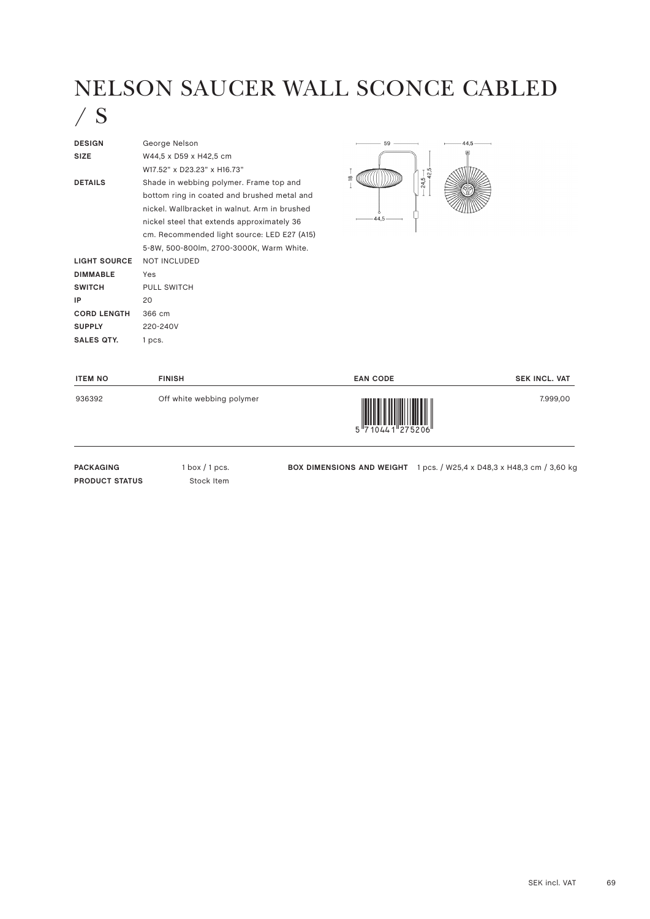#### NELSON SAUCER WALL SCONCE CABLED



| <b>DESIGN</b>      | George Nelson                                 |               |
|--------------------|-----------------------------------------------|---------------|
| <b>SIZE</b>        | W44,5 x D59 x H42,5 cm                        |               |
|                    | W17.52" x D23.23" x H16.73"                   |               |
| <b>DETAILS</b>     | Shade in webbing polymer. Frame top and       | $\frac{8}{2}$ |
|                    | bottom ring in coated and brushed metal and   |               |
|                    | nickel. Wallbracket in walnut. Arm in brushed |               |
|                    | nickel steel that extends approximately 36    | 44.5          |
|                    | cm. Recommended light source: LED E27 (A15)   |               |
|                    | 5-8W, 500-800lm, 2700-3000K, Warm White.      |               |
| LIGHT SOURCE       | <b>NOT INCLUDED</b>                           |               |
| <b>DIMMABLE</b>    | Yes                                           |               |
| <b>SWITCH</b>      | PULL SWITCH                                   |               |
| IP                 | 20                                            |               |
| <b>CORD LENGTH</b> | 366 cm                                        |               |
| <b>SUPPLY</b>      | 220-240V                                      |               |
| <b>SALES QTY.</b>  | 1 pcs.                                        |               |
|                    |                                               |               |



| <b>ITEM NO</b> | <b>FINISH</b>             | <b>EAN CODE</b> | <b>SEK INCL. VAT</b> |
|----------------|---------------------------|-----------------|----------------------|
| 936392         | Off white webbing polymer | 5 710441 275206 | 7.999,00             |

PACKAGING 1 box / 1 pcs. **PRODUCT STATUS** Stock Item

**BOX DIMENSIONS AND WEIGHT** 1 pcs. / W25,4 x D48,3 x H48,3 cm / 3,60 kg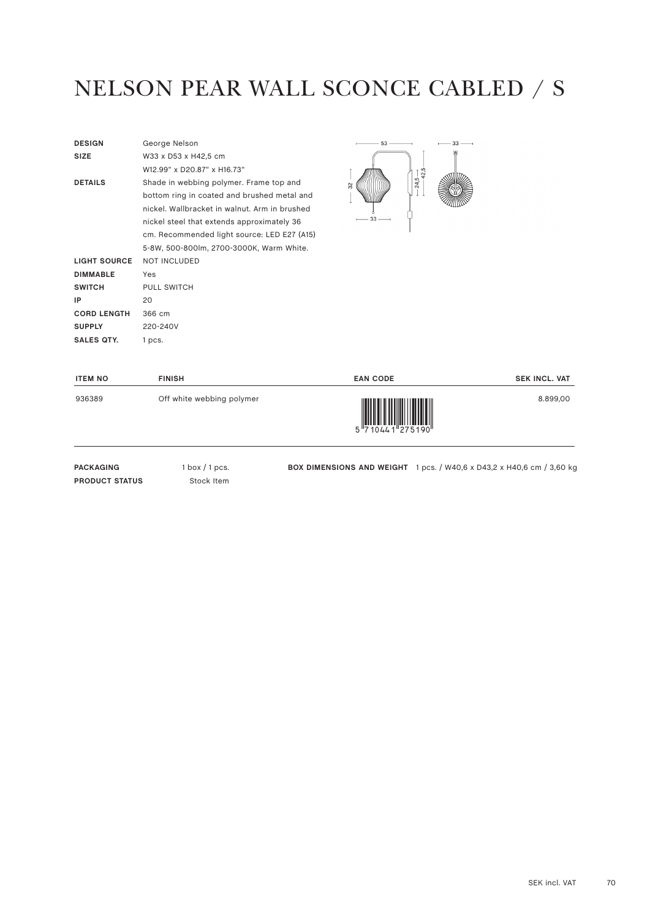#### NELSON PEAR WALL SCONCE CABLED / S

| W33 x D53 x H42,5 cm<br><b>SIZE</b>                       |  |
|-----------------------------------------------------------|--|
|                                                           |  |
| W12.99" x D20.87" x H16.73"                               |  |
| <b>DETAILS</b><br>Shade in webbing polymer. Frame top and |  |
| bottom ring in coated and brushed metal and               |  |
| nickel. Wallbracket in walnut. Arm in brushed             |  |
| nickel steel that extends approximately 36                |  |
| cm. Recommended light source: LED E27 (A15)               |  |
| 5-8W, 500-800lm, 2700-3000K, Warm White.                  |  |
| <b>NOT INCLUDED</b><br>LIGHT SOURCE                       |  |
| <b>DIMMABLE</b><br>Yes                                    |  |
| <b>SWITCH</b><br><b>PULL SWITCH</b>                       |  |
| IP<br>20                                                  |  |
| <b>CORD LENGTH</b><br>366 cm                              |  |
| <b>SUPPLY</b><br>220-240V                                 |  |
| SALES OTY.<br>1 pcs.                                      |  |



| <b>ITEM NO</b> | <b>FINISH</b>             | <b>EAN CODE</b>            | <b>SEK INCL. VAT</b> |
|----------------|---------------------------|----------------------------|----------------------|
| 936389         | Off white webbing polymer | 5 7 10 4 4 1 2 7 5 1 9 0 " | 8.899.00             |

PACKAGING 1 box / 1 pcs. **PRODUCT STATUS** Stock Item

**BOX DIMENSIONS AND WEIGHT** 1 pcs. / W40,6 x D43,2 x H40,6 cm / 3,60 kg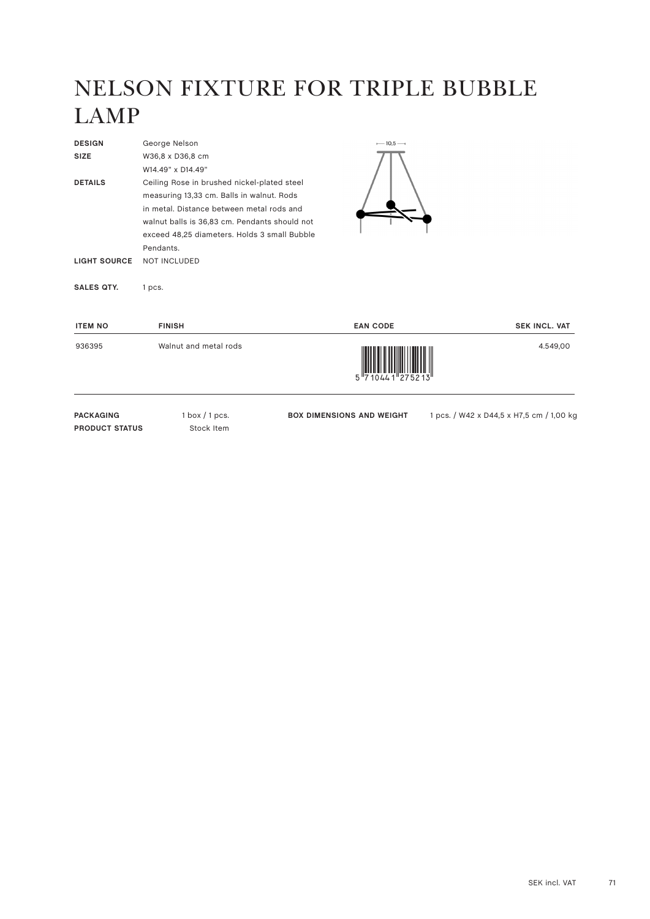## NELSON FIXTURE FOR TRIPLE BUBBLE LAMP

| <b>DESIGN</b>                             | George Nelson                                                                                                                                                                                                                                                       | $-10,5-$                         |                                          |
|-------------------------------------------|---------------------------------------------------------------------------------------------------------------------------------------------------------------------------------------------------------------------------------------------------------------------|----------------------------------|------------------------------------------|
| <b>SIZE</b>                               | W36,8 x D36,8 cm                                                                                                                                                                                                                                                    |                                  |                                          |
|                                           | W14.49" x D14.49"                                                                                                                                                                                                                                                   |                                  |                                          |
| <b>DETAILS</b><br><b>LIGHT SOURCE</b>     | Ceiling Rose in brushed nickel-plated steel<br>measuring 13,33 cm. Balls in walnut. Rods<br>in metal. Distance between metal rods and<br>walnut balls is 36,83 cm. Pendants should not<br>exceed 48,25 diameters. Holds 3 small Bubble<br>Pendants.<br>NOT INCLUDED |                                  |                                          |
| <b>SALES QTY.</b>                         | 1 pcs.                                                                                                                                                                                                                                                              |                                  |                                          |
| <b>ITEM NO</b>                            | <b>FINISH</b>                                                                                                                                                                                                                                                       | <b>EAN CODE</b>                  | <b>SEK INCL. VAT</b>                     |
| 936395                                    | Walnut and metal rods                                                                                                                                                                                                                                               |                                  | 4.549,00                                 |
| <b>PACKAGING</b><br><b>PRODUCT STATUS</b> | $1$ box $/1$ pcs.<br>Stock Item                                                                                                                                                                                                                                     | <b>BOX DIMENSIONS AND WEIGHT</b> | 1 pcs. / W42 x D44,5 x H7,5 cm / 1,00 kg |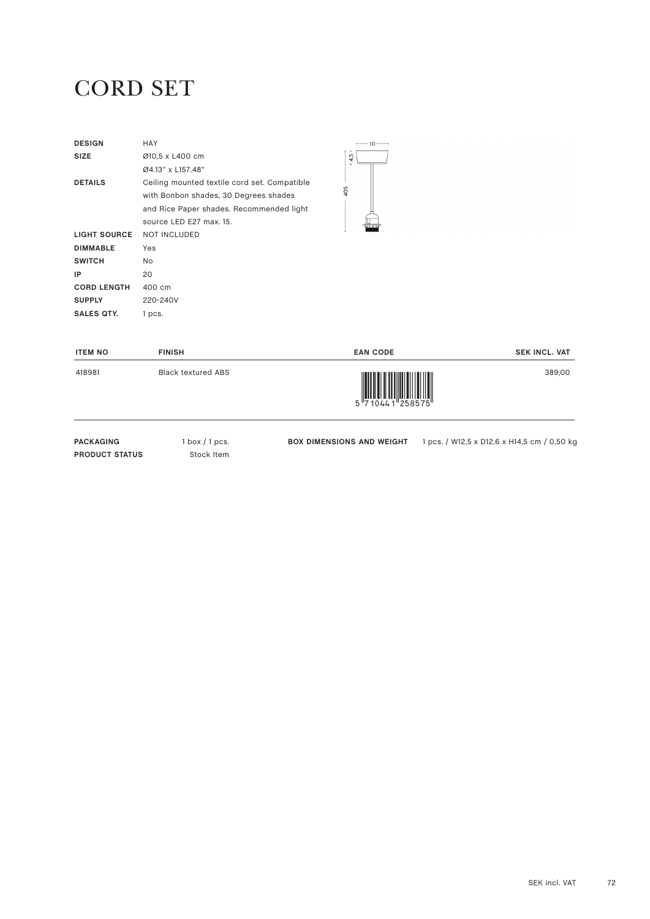#### CORD SET

| <b>DESIGN</b>       | HAY                                          |  |
|---------------------|----------------------------------------------|--|
| <b>SIZE</b>         | Ø10,5 x L400 cm                              |  |
|                     | Ø4.13" x L157.48"                            |  |
| <b>DETAILS</b>      | Ceiling mounted textile cord set. Compatible |  |
|                     | with Bonbon shades, 30 Degrees shades        |  |
|                     | and Rice Paper shades. Recommended light     |  |
|                     | source LED E27 max. 15.                      |  |
| <b>LIGHT SOURCE</b> | <b>NOT INCLUDED</b>                          |  |
| <b>DIMMABLE</b>     | Yes                                          |  |
| <b>SWITCH</b>       | No.                                          |  |
| ΙP                  | 20                                           |  |
| <b>CORD LENGTH</b>  | 400 cm                                       |  |
| <b>SUPPLY</b>       | 220-240V                                     |  |
| SALES QTY.          | 1 pcs.                                       |  |



| <b>ITEM NO</b> | <b>FINISH</b>             | <b>EAN CODE</b>                                                                                                                                                                                                                                                                                                                                                                                                                                                                                                                                                                           | <b>SEK INCL. VAT</b> |
|----------------|---------------------------|-------------------------------------------------------------------------------------------------------------------------------------------------------------------------------------------------------------------------------------------------------------------------------------------------------------------------------------------------------------------------------------------------------------------------------------------------------------------------------------------------------------------------------------------------------------------------------------------|----------------------|
| 418981         | <b>Black textured ABS</b> | $\begin{array}{c} \begin{array}{c} \begin{array}{c} \end{array}\\ \begin{array}{c} \end{array}\\ \begin{array}{c} \end{array}\\ \begin{array}{c} \end{array}\\ \begin{array}{c} \end{array}\\ \begin{array}{c} \end{array}\\ \begin{array}{c} \end{array}\\ \begin{array}{c} \end{array}\\ \begin{array}{c} \end{array}\\ \begin{array}{c} \end{array}\\ \begin{array}{c} \end{array}\\ \begin{array}{c} \end{array}\\ \begin{array}{c} \end{array}\\ \begin{array}{c} \end{array}\\ \begin{array}{c} \end{array}\\ \begin{array}{c} \end{array}\\ \begin{array}{c} \end{array}\\ \begin$ | 389,00               |
|                |                           |                                                                                                                                                                                                                                                                                                                                                                                                                                                                                                                                                                                           |                      |

**PACKAGING** 1 box / 1 pcs. **PRODUCT STATUS** Stock Item

**BOX DIMENSIONS AND WEIGHT** 1 pcs. / W12,5 x D12,6 x H14,5 cm / 0,50 kg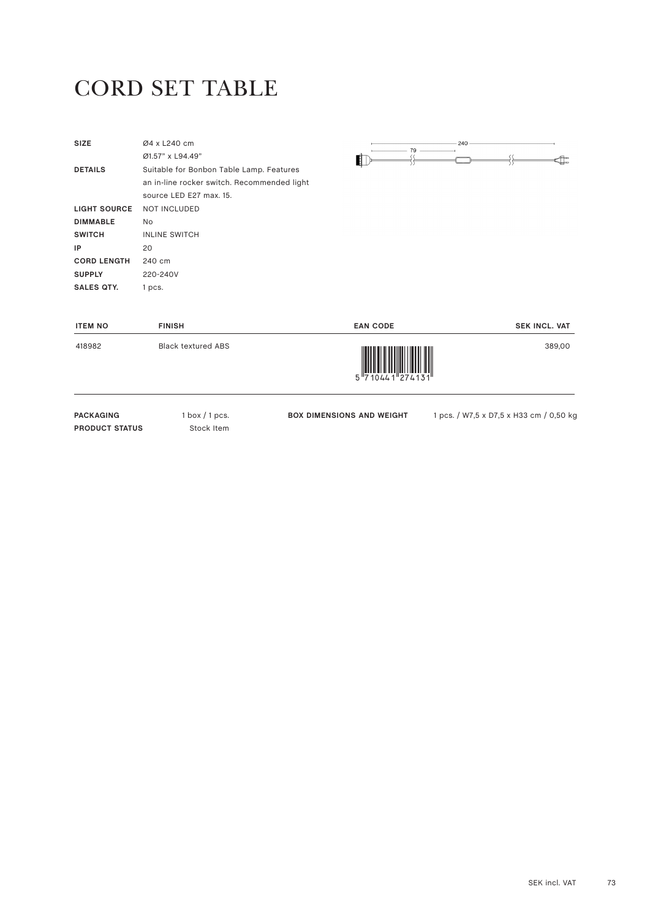### CORD SET TABLE

| <b>PACKAGING</b><br><b>PRODUCT STATUS</b> | $1$ box $/1$ pcs.<br>Stock Item                                        | <b>BOX DIMENSIONS AND WEIGHT</b> | 1 pcs. / W7,5 x D7,5 x H33 cm / 0,50 kg |
|-------------------------------------------|------------------------------------------------------------------------|----------------------------------|-----------------------------------------|
| 418982                                    | <b>Black textured ABS</b>                                              |                                  | 389,00                                  |
| <b>ITEM NO</b>                            | <b>FINISH</b>                                                          | <b>EAN CODE</b>                  | <b>SEK INCL. VAT</b>                    |
| <b>SALES QTY.</b>                         | 1 pcs.                                                                 |                                  |                                         |
| <b>SUPPLY</b>                             | 220-240V                                                               |                                  |                                         |
| <b>CORD LENGTH</b>                        | 240 cm                                                                 |                                  |                                         |
| IP                                        | 20                                                                     |                                  |                                         |
| <b>SWITCH</b>                             | <b>INLINE SWITCH</b>                                                   |                                  |                                         |
| <b>DIMMABLE</b>                           | No                                                                     |                                  |                                         |
| <b>LIGHT SOURCE</b>                       | <b>NOT INCLUDED</b>                                                    |                                  |                                         |
|                                           | an in-line rocker switch. Recommended light<br>source LED E27 max. 15. |                                  |                                         |
| <b>DETAILS</b>                            | Suitable for Bonbon Table Lamp. Features                               |                                  |                                         |
|                                           | Ø1.57" x L94.49"                                                       |                                  |                                         |
| <b>SIZE</b>                               | Ø4 x L240 cm                                                           | 240<br>$-79$                     |                                         |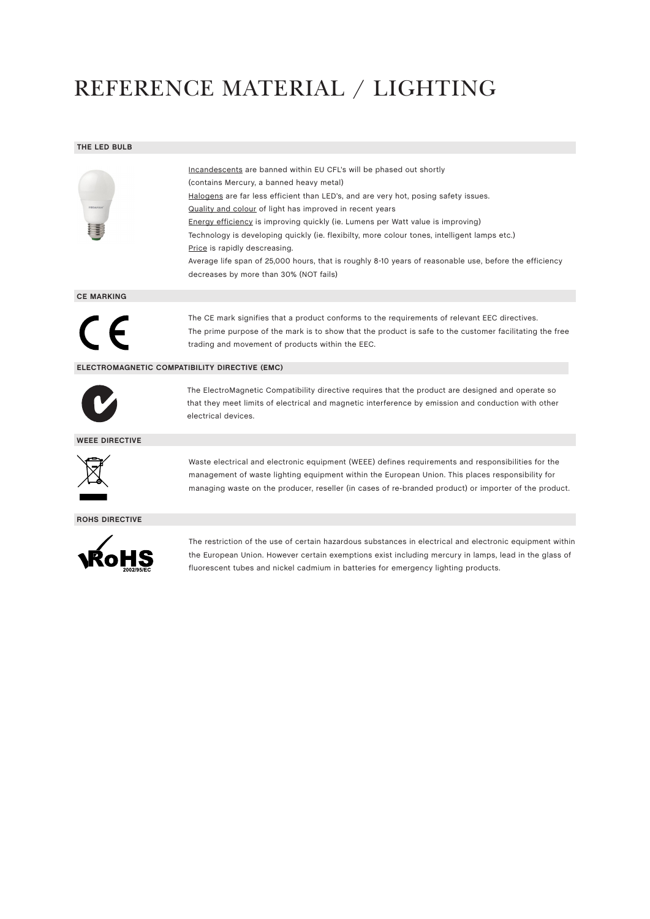## REFERENCE MATERIAL / LIGHTING

#### **THE LED BULB**

| Incandescents are banned within EU CFL's will be phased out shortly                                    |
|--------------------------------------------------------------------------------------------------------|
| (contains Mercury, a banned heavy metal)                                                               |
| Halogens are far less efficient than LED's, and are very hot, posing safety issues.                    |
| Quality and colour of light has improved in recent years                                               |
| Energy efficiency is improving quickly (ie. Lumens per Watt value is improving)                        |
| Technology is developing quickly (ie. flexibilty, more colour tones, intelligent lamps etc.)           |
| Price is rapidly descreasing.                                                                          |
| Average life span of 25,000 hours, that is roughly 8-10 years of reasonable use, before the efficiency |
| decreases by more than 30% (NOT fails)                                                                 |

**CE MARKING**



The CE mark signifies that a product conforms to the requirements of relevant EEC directives. The prime purpose of the mark is to show that the product is safe to the customer facilitating the free trading and movement of products within the EEC.

#### **ELECTROMAGNETIC COMPATIBILITY DIRECTIVE (EMC)**



The ElectroMagnetic Compatibility directive requires that the product are designed and operate so that they meet limits of electrical and magnetic interference by emission and conduction with other electrical devices.

**WEEE DIRECTIVE**



Waste electrical and electronic equipment (WEEE) defines requirements and responsibilities for the management of waste lighting equipment within the European Union. This places responsibility for managing waste on the producer, reseller (in cases of re-branded product) or importer of the product.

#### **ROHS DIRECTIVE**



The restriction of the use of certain hazardous substances in electrical and electronic equipment within the European Union. However certain exemptions exist including mercury in lamps, lead in the glass of fluorescent tubes and nickel cadmium in batteries for emergency lighting products.